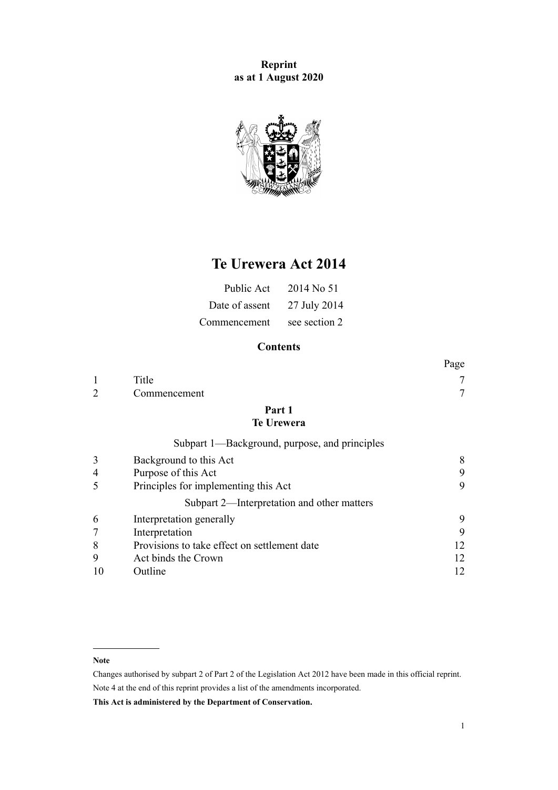**Reprint as at 1 August 2020**



# **Te Urewera Act 2014**

| Public Act     | 2014 No 51    |
|----------------|---------------|
| Date of assent | 27 July 2014  |
| Commencement   | see section 2 |

## **Contents**

|                |                                               | Page |
|----------------|-----------------------------------------------|------|
|                | Title                                         |      |
| $\overline{2}$ | Commencement                                  | 7    |
|                | Part 1<br><b>Te Urewera</b>                   |      |
|                | Subpart 1—Background, purpose, and principles |      |
| 3              | Background to this Act                        | 8    |
| 4              | Purpose of this Act                           | 9    |
| 5              | Principles for implementing this Act          | 9    |
|                | Subpart 2—Interpretation and other matters    |      |
| 6              | Interpretation generally                      | 9    |
| 7              | Interpretation                                | 9    |
| 8              | Provisions to take effect on settlement date  | 12   |
| 9              | Act binds the Crown                           | 12   |
| 10             | Outline                                       | 12   |

#### **Note**

Changes authorised by [subpart 2](http://legislation.govt.nz/pdflink.aspx?id=DLM2998524) of Part 2 of the Legislation Act 2012 have been made in this official reprint. Note 4 at the end of this reprint provides a list of the amendments incorporated.

**This Act is administered by the Department of Conservation.**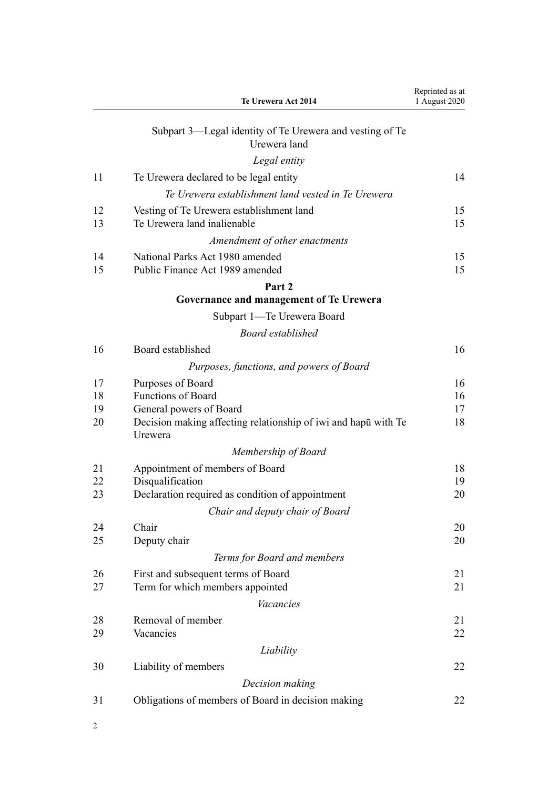|          | Te Urewera Act 2014                                                        | Reprinted as at<br>1 August 2020 |
|----------|----------------------------------------------------------------------------|----------------------------------|
|          | Subpart 3—Legal identity of Te Urewera and vesting of Te<br>Urewera land   |                                  |
|          | Legal entity                                                               |                                  |
| 11       | Te Urewera declared to be legal entity                                     | 14                               |
|          | Te Urewera establishment land vested in Te Urewera                         |                                  |
| 12<br>13 | Vesting of Te Urewera establishment land<br>Te Urewera land inalienable    | 15<br>15                         |
|          | Amendment of other enactments                                              |                                  |
| 14<br>15 | National Parks Act 1980 amended<br>Public Finance Act 1989 amended         | 15<br>15                         |
|          | Part 2                                                                     |                                  |
|          | Governance and management of Te Urewera                                    |                                  |
|          | Subpart 1—Te Urewera Board                                                 |                                  |
|          | <b>Board established</b>                                                   |                                  |
| 16       | Board established                                                          | 16                               |
|          | Purposes, functions, and powers of Board                                   |                                  |
| 17       | Purposes of Board                                                          | 16                               |
| 18       | <b>Functions of Board</b>                                                  | 16                               |
| 19<br>20 | General powers of Board                                                    | 17<br>18                         |
|          | Decision making affecting relationship of iwi and haput with Te<br>Urewera |                                  |
|          | Membership of Board                                                        |                                  |
| 21       | Appointment of members of Board                                            | 18                               |
| 22<br>23 | Disqualification<br>Declaration required as condition of appointment       | 19<br>20                         |
|          | Chair and deputy chair of Board                                            |                                  |
| 24       | Chair                                                                      | 20                               |
| 25       | Deputy chair                                                               | 20                               |
|          | Terms for Board and members                                                |                                  |
| 26       | First and subsequent terms of Board                                        | 21                               |
| 27       | Term for which members appointed                                           | 21                               |
|          | <b>Vacancies</b>                                                           |                                  |
| 28<br>29 | Removal of member<br>Vacancies                                             | 21<br>22                         |
|          | Liability                                                                  |                                  |
| 30       | Liability of members                                                       | 22                               |
|          | Decision making                                                            |                                  |
| 31       | Obligations of members of Board in decision making                         | 22                               |
|          |                                                                            |                                  |

2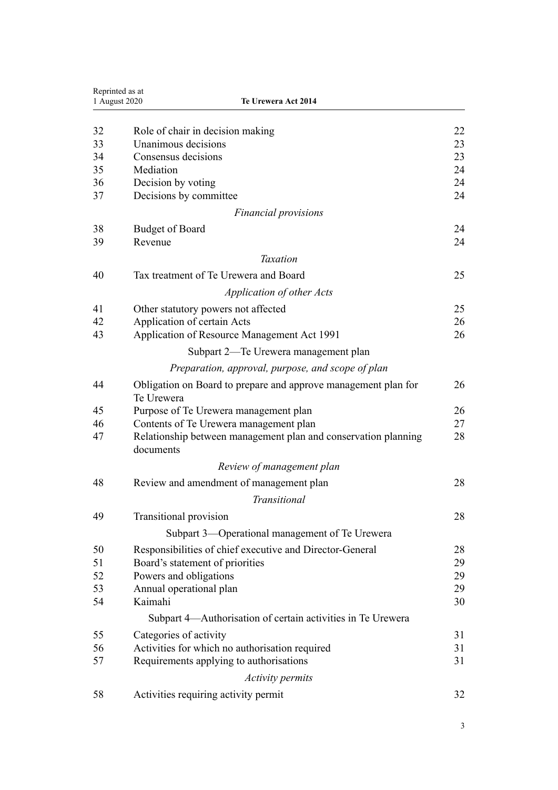| 1 August 2020 | Te Urewera Act 2014                                                          |    |
|---------------|------------------------------------------------------------------------------|----|
| 32            | Role of chair in decision making                                             | 22 |
| 33            | Unanimous decisions                                                          | 23 |
| 34            | Consensus decisions                                                          | 23 |
| 35            | Mediation                                                                    | 24 |
| 36            | Decision by voting                                                           | 24 |
| 37            | Decisions by committee                                                       | 24 |
|               | <b>Financial provisions</b>                                                  |    |
| 38            | <b>Budget of Board</b>                                                       | 24 |
| 39            | Revenue                                                                      | 24 |
|               | <b>Taxation</b>                                                              |    |
| 40            | Tax treatment of Te Urewera and Board                                        | 25 |
|               | Application of other Acts                                                    |    |
| 41            | Other statutory powers not affected                                          | 25 |
| 42            | Application of certain Acts                                                  | 26 |
| 43            | Application of Resource Management Act 1991                                  | 26 |
|               | Subpart 2-Te Urewera management plan                                         |    |
|               | Preparation, approval, purpose, and scope of plan                            |    |
| 44            | Obligation on Board to prepare and approve management plan for<br>Te Urewera | 26 |
| 45            | Purpose of Te Urewera management plan                                        | 26 |
| 46            | Contents of Te Urewera management plan                                       | 27 |
| 47            | Relationship between management plan and conservation planning<br>documents  | 28 |
|               | Review of management plan                                                    |    |
| 48            | Review and amendment of management plan                                      | 28 |
|               | Transitional                                                                 |    |
| 49            | <b>Transitional provision</b>                                                | 28 |
|               | Subpart 3—Operational management of Te Urewera                               |    |
| 50            | Responsibilities of chief executive and Director-General                     | 28 |
| 51            | Board's statement of priorities                                              | 29 |
| 52            | Powers and obligations                                                       | 29 |
| 53            | Annual operational plan                                                      | 29 |
| 54            | Kaimahi                                                                      | 30 |
|               | Subpart 4—Authorisation of certain activities in Te Urewera                  |    |
| 55            | Categories of activity                                                       | 31 |
| 56            | Activities for which no authorisation required                               | 31 |
| 57            | Requirements applying to authorisations                                      | 31 |
|               | <b>Activity permits</b>                                                      |    |
| 58            | Activities requiring activity permit                                         | 32 |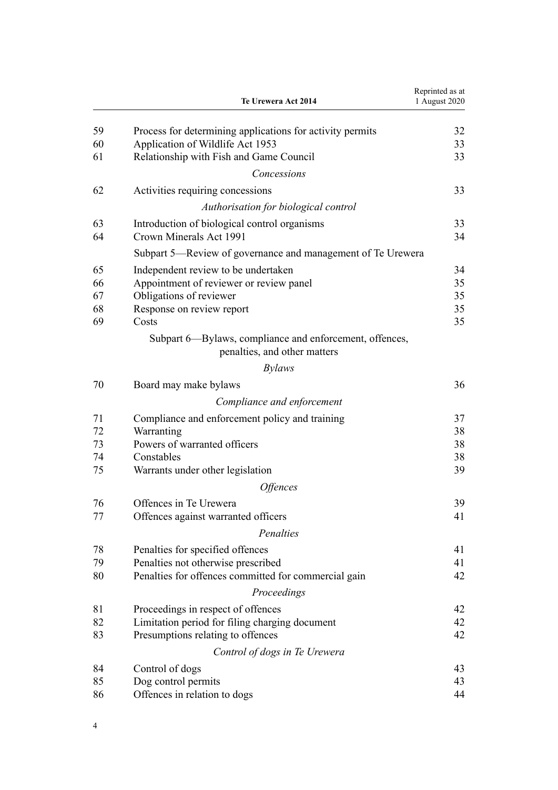|    | Te Urewera Act 2014                                                                     | Reprinted as at<br>1 August 2020 |
|----|-----------------------------------------------------------------------------------------|----------------------------------|
| 59 | Process for determining applications for activity permits                               | 32                               |
| 60 | Application of Wildlife Act 1953                                                        | 33                               |
| 61 | Relationship with Fish and Game Council                                                 | 33                               |
|    | Concessions                                                                             |                                  |
| 62 | Activities requiring concessions                                                        | 33                               |
|    | Authorisation for biological control                                                    |                                  |
| 63 | Introduction of biological control organisms                                            | 33                               |
| 64 | Crown Minerals Act 1991                                                                 | 34                               |
|    | Subpart 5-Review of governance and management of Te Urewera                             |                                  |
| 65 | Independent review to be undertaken                                                     | 34                               |
| 66 | Appointment of reviewer or review panel                                                 | 35                               |
| 67 | Obligations of reviewer                                                                 | 35                               |
| 68 | Response on review report                                                               | 35                               |
| 69 | Costs                                                                                   | 35                               |
|    | Subpart 6—Bylaws, compliance and enforcement, offences,<br>penalties, and other matters |                                  |
|    | <i>Bylaws</i>                                                                           |                                  |
| 70 | Board may make bylaws                                                                   | 36                               |
|    | Compliance and enforcement                                                              |                                  |
| 71 | Compliance and enforcement policy and training                                          | 37                               |
| 72 | Warranting                                                                              | 38                               |
| 73 | Powers of warranted officers                                                            | 38                               |
| 74 | Constables                                                                              | 38                               |
| 75 | Warrants under other legislation                                                        | 39                               |
|    | <i><b>Offences</b></i>                                                                  |                                  |
| 76 | Offences in Te Urewera                                                                  | 39                               |
| 77 | Offences against warranted officers                                                     | 41                               |
|    | Penalties                                                                               |                                  |
| 78 | Penalties for specified offences                                                        | 41                               |
| 79 | Penalties not otherwise prescribed                                                      | 41                               |
| 80 | Penalties for offences committed for commercial gain                                    | 42                               |
|    | Proceedings                                                                             |                                  |
| 81 | Proceedings in respect of offences                                                      | 42                               |
| 82 | Limitation period for filing charging document                                          | 42                               |
| 83 | Presumptions relating to offences                                                       | 42                               |
|    | Control of dogs in Te Urewera                                                           |                                  |
| 84 | Control of dogs                                                                         | 43                               |
| 85 | Dog control permits                                                                     | 43                               |
| 86 | Offences in relation to dogs                                                            | 44                               |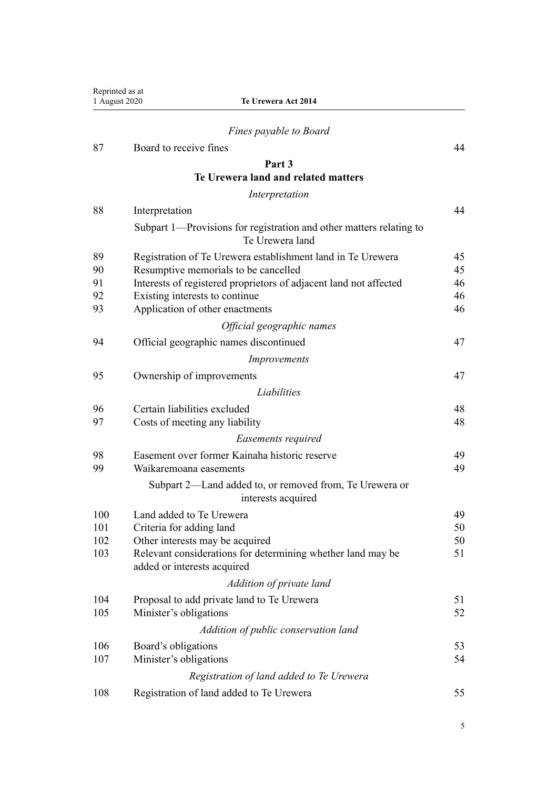| Reprinted as at<br>1 August 2020 | Te Urewera Act 2014                                                                        |          |
|----------------------------------|--------------------------------------------------------------------------------------------|----------|
|                                  | Fines payable to Board                                                                     |          |
| 87                               | Board to receive fines                                                                     | 44       |
|                                  | Part 3                                                                                     |          |
|                                  | Te Urewera land and related matters                                                        |          |
|                                  | Interpretation                                                                             |          |
| 88                               | Interpretation                                                                             | 44       |
|                                  | Subpart 1—Provisions for registration and other matters relating to<br>Te Urewera land     |          |
| 89                               | Registration of Te Urewera establishment land in Te Urewera                                | 45       |
| 90                               | Resumptive memorials to be cancelled                                                       | 45       |
| 91                               | Interests of registered proprietors of adjacent land not affected                          | 46       |
| 92                               | Existing interests to continue                                                             | 46<br>46 |
| 93                               | Application of other enactments                                                            |          |
|                                  | Official geographic names                                                                  |          |
| 94                               | Official geographic names discontinued                                                     | 47       |
|                                  | Improvements                                                                               |          |
| 95                               | Ownership of improvements                                                                  | 47       |
|                                  | Liabilities                                                                                |          |
| 96                               | Certain liabilities excluded                                                               | 48       |
| 97                               | Costs of meeting any liability                                                             | 48       |
|                                  | Easements required                                                                         |          |
| 98                               | Easement over former Kainaha historic reserve                                              | 49       |
| 99                               | Waikaremoana easements                                                                     | 49       |
|                                  | Subpart 2—Land added to, or removed from, Te Urewera or<br>interests acquired              |          |
| 100                              | Land added to Te Urewera                                                                   | 49       |
| 101                              | Criteria for adding land                                                                   | 50       |
| 102                              | Other interests may be acquired                                                            | 50       |
| 103                              | Relevant considerations for determining whether land may be<br>added or interests acquired | 51       |
|                                  | Addition of private land                                                                   |          |
| 104                              | Proposal to add private land to Te Urewera                                                 | 51       |
| 105                              | Minister's obligations                                                                     | 52       |
|                                  | Addition of public conservation land                                                       |          |
| 106                              | Board's obligations                                                                        | 53       |
| 107                              | Minister's obligations                                                                     | 54       |
|                                  | Registration of land added to Te Urewera                                                   |          |
| 108                              | Registration of land added to Te Urewera                                                   | 55       |
|                                  |                                                                                            |          |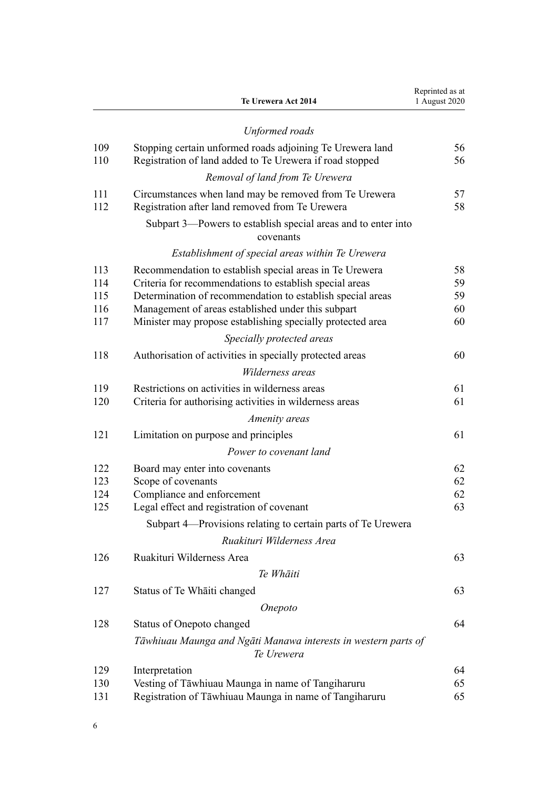|            | Te Urewera Act 2014                                                          | Reprinted as at<br>1 August 2020 |
|------------|------------------------------------------------------------------------------|----------------------------------|
|            | Unformed roads                                                               |                                  |
| 109        | Stopping certain unformed roads adjoining Te Urewera land                    | 56                               |
| 110        | Registration of land added to Te Urewera if road stopped                     | 56                               |
|            | Removal of land from Te Urewera                                              |                                  |
| 111        | Circumstances when land may be removed from Te Urewera                       | 57                               |
| 112        | Registration after land removed from Te Urewera                              | 58                               |
|            | Subpart 3—Powers to establish special areas and to enter into<br>covenants   |                                  |
|            | Establishment of special areas within Te Urewera                             |                                  |
| 113        | Recommendation to establish special areas in Te Urewera                      | 58                               |
| 114        | Criteria for recommendations to establish special areas                      | 59                               |
| 115        | Determination of recommendation to establish special areas                   | 59                               |
| 116        | Management of areas established under this subpart                           | 60                               |
| 117        | Minister may propose establishing specially protected area                   | 60                               |
|            | Specially protected areas                                                    |                                  |
| 118        | Authorisation of activities in specially protected areas                     | 60                               |
|            | Wilderness areas                                                             |                                  |
| 119        | Restrictions on activities in wilderness areas                               | 61                               |
| 120        | Criteria for authorising activities in wilderness areas                      | 61                               |
|            | Amenity areas                                                                |                                  |
| 121        | Limitation on purpose and principles                                         | 61                               |
|            | Power to covenant land                                                       |                                  |
| 122        | Board may enter into covenants                                               | 62                               |
| 123        | Scope of covenants                                                           | 62                               |
| 124<br>125 | Compliance and enforcement                                                   | 62                               |
|            | Legal effect and registration of covenant                                    | 63                               |
|            | Subpart 4—Provisions relating to certain parts of Te Urewera                 |                                  |
|            | Ruakituri Wilderness Area                                                    |                                  |
| 126        | Ruakituri Wilderness Area                                                    | 63                               |
|            | Te Whāiti                                                                    |                                  |
| 127        | Status of Te Whaiti changed                                                  | 63                               |
|            | Onepoto                                                                      |                                  |
| 128        | <b>Status of Onepoto changed</b>                                             | 64                               |
|            | Tāwhiuau Maunga and Ngāti Manawa interests in western parts of<br>Te Urewera |                                  |
| 129        | Interpretation                                                               | 64                               |
| 130        | Vesting of Tāwhiuau Maunga in name of Tangiharuru                            | 65                               |
| 131        | Registration of Tāwhiuau Maunga in name of Tangiharuru                       | 65                               |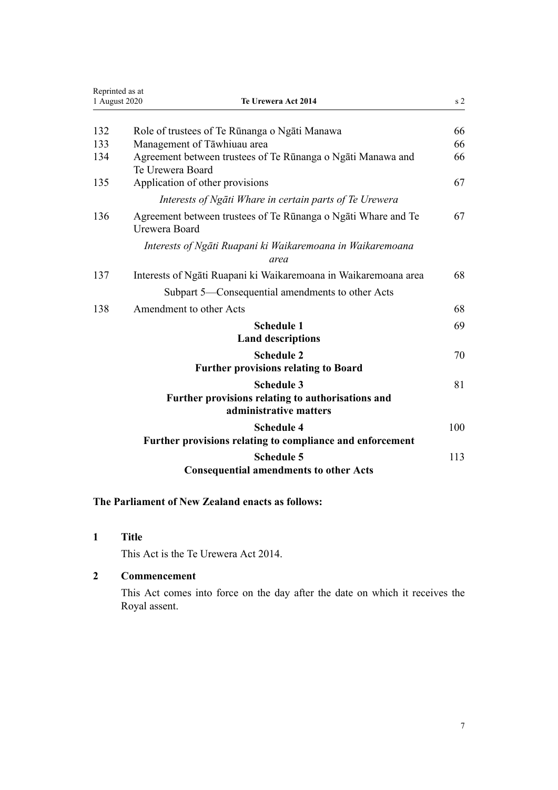<span id="page-6-0"></span>

| Reprinted as at<br>1 August 2020 | Te Urewera Act 2014                                                                              | s <sub>2</sub> |
|----------------------------------|--------------------------------------------------------------------------------------------------|----------------|
| 132                              | Role of trustees of Te Rūnanga o Ngāti Manawa                                                    | 66             |
| 133                              | Management of Tāwhiuau area                                                                      | 66             |
| 134                              | Agreement between trustees of Te Rūnanga o Ngāti Manawa and<br>Te Urewera Board                  | 66             |
| 135                              | Application of other provisions                                                                  | 67             |
|                                  | Interests of Ngāti Whare in certain parts of Te Urewera                                          |                |
| 136                              | Agreement between trustees of Te Rūnanga o Ngāti Whare and Te<br>Urewera Board                   | 67             |
|                                  | Interests of Ngāti Ruapani ki Waikaremoana in Waikaremoana<br>area                               |                |
| 137                              | Interests of Ngati Ruapani ki Waikaremoana in Waikaremoana area                                  | 68             |
|                                  | Subpart 5—Consequential amendments to other Acts                                                 |                |
| 138                              | Amendment to other Acts                                                                          | 68             |
|                                  | <b>Schedule 1</b>                                                                                | 69             |
|                                  | <b>Land descriptions</b>                                                                         |                |
|                                  | <b>Schedule 2</b>                                                                                | 70             |
|                                  | <b>Further provisions relating to Board</b>                                                      |                |
|                                  | <b>Schedule 3</b><br>Further provisions relating to authorisations and<br>administrative matters | 81             |
|                                  | <b>Schedule 4</b><br>Further provisions relating to compliance and enforcement                   | 100            |
|                                  | <b>Schedule 5</b><br><b>Consequential amendments to other Acts</b>                               | 113            |

## **The Parliament of New Zealand enacts as follows:**

**1 Title**

This Act is the Te Urewera Act 2014.

## **2 Commencement**

This Act comes into force on the day after the date on which it receives the Royal assent.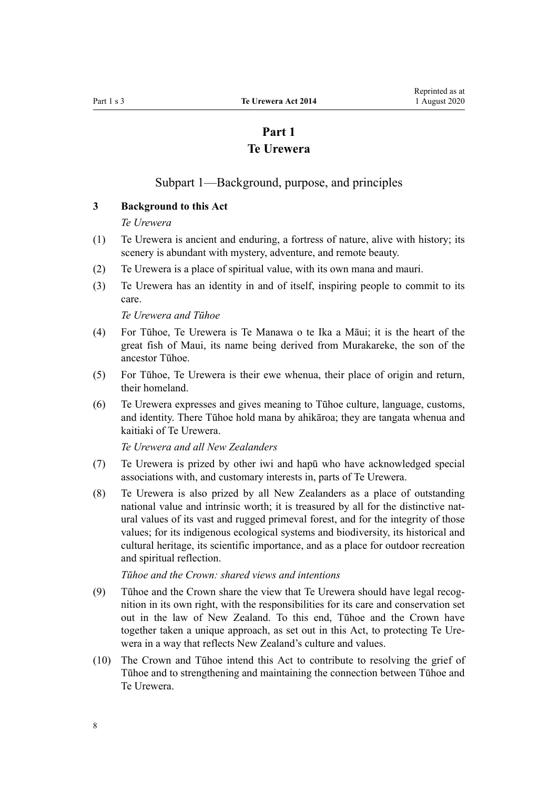# **Part 1 Te Urewera**

## Subpart 1—Background, purpose, and principles

#### <span id="page-7-0"></span>**3 Background to this Act**

#### *Te Urewera*

- (1) Te Urewera is ancient and enduring, a fortress of nature, alive with history; its scenery is abundant with mystery, adventure, and remote beauty.
- (2) Te Urewera is a place of spiritual value, with its own mana and mauri.
- (3) Te Urewera has an identity in and of itself, inspiring people to commit to its care.

*Te Urewera and Tūhoe*

- (4) For Tūhoe, Te Urewera is Te Manawa o te Ika a Māui; it is the heart of the great fish of Maui, its name being derived from Murakareke, the son of the ancestor Tūhoe.
- (5) For Tūhoe, Te Urewera is their ewe whenua, their place of origin and return, their homeland.
- (6) Te Urewera expresses and gives meaning to Tūhoe culture, language, customs, and identity. There Tūhoe hold mana by ahikāroa; they are tangata whenua and kaitiaki of Te Urewera.

*Te Urewera and all New Zealanders*

- (7) Te Urewera is prized by other iwi and hapū who have acknowledged special associations with, and customary interests in, parts of Te Urewera.
- (8) Te Urewera is also prized by all New Zealanders as a place of outstanding national value and intrinsic worth; it is treasured by all for the distinctive natural values of its vast and rugged primeval forest, and for the integrity of those values; for its indigenous ecological systems and biodiversity, its historical and cultural heritage, its scientific importance, and as a place for outdoor recreation and spiritual reflection.

*Tūhoe and the Crown: shared views and intentions*

- (9) Tūhoe and the Crown share the view that Te Urewera should have legal recognition in its own right, with the responsibilities for its care and conservation set out in the law of New Zealand. To this end, Tūhoe and the Crown have together taken a unique approach, as set out in this Act, to protecting Te Urewera in a way that reflects New Zealand's culture and values.
- (10) The Crown and Tūhoe intend this Act to contribute to resolving the grief of Tūhoe and to strengthening and maintaining the connection between Tūhoe and Te Urewera.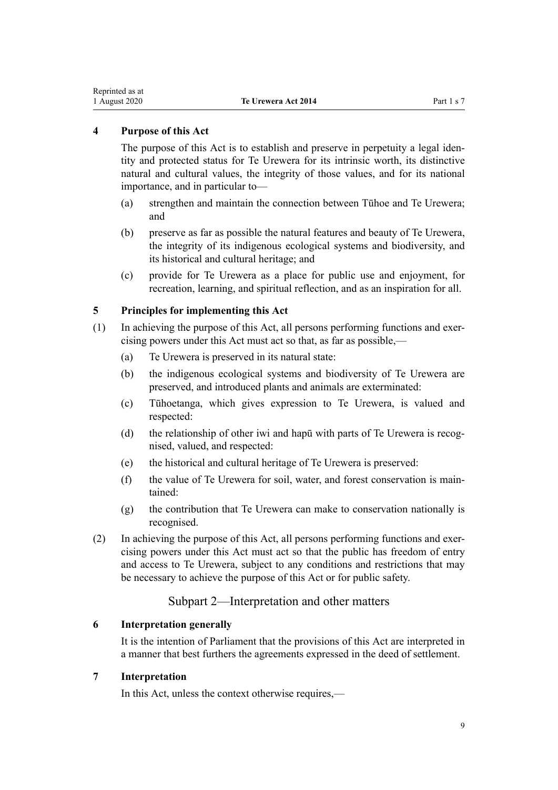## <span id="page-8-0"></span>**4 Purpose of this Act**

The purpose of this Act is to establish and preserve in perpetuity a legal identity and protected status for Te Urewera for its intrinsic worth, its distinctive natural and cultural values, the integrity of those values, and for its national importance, and in particular to—

- (a) strengthen and maintain the connection between Tūhoe and Te Urewera; and
- (b) preserve as far as possible the natural features and beauty of Te Urewera, the integrity of its indigenous ecological systems and biodiversity, and its historical and cultural heritage; and
- (c) provide for Te Urewera as a place for public use and enjoyment, for recreation, learning, and spiritual reflection, and as an inspiration for all.

## **5 Principles for implementing this Act**

- (1) In achieving the purpose of this Act, all persons performing functions and exercising powers under this Act must act so that, as far as possible,—
	- (a) Te Urewera is preserved in its natural state:
	- (b) the indigenous ecological systems and biodiversity of Te Urewera are preserved, and introduced plants and animals are exterminated:
	- (c) Tūhoetanga, which gives expression to Te Urewera, is valued and respected:
	- (d) the relationship of other iwi and hapū with parts of Te Urewera is recognised, valued, and respected:
	- (e) the historical and cultural heritage of Te Urewera is preserved:
	- (f) the value of Te Urewera for soil, water, and forest conservation is maintained:
	- (g) the contribution that Te Urewera can make to conservation nationally is recognised.
- (2) In achieving the purpose of this Act, all persons performing functions and exercising powers under this Act must act so that the public has freedom of entry and access to Te Urewera, subject to any conditions and restrictions that may be necessary to achieve the purpose of this Act or for public safety.

## Subpart 2—Interpretation and other matters

## **6 Interpretation generally**

It is the intention of Parliament that the provisions of this Act are interpreted in a manner that best furthers the agreements expressed in the deed of settlement.

#### **7 Interpretation**

In this Act, unless the context otherwise requires,—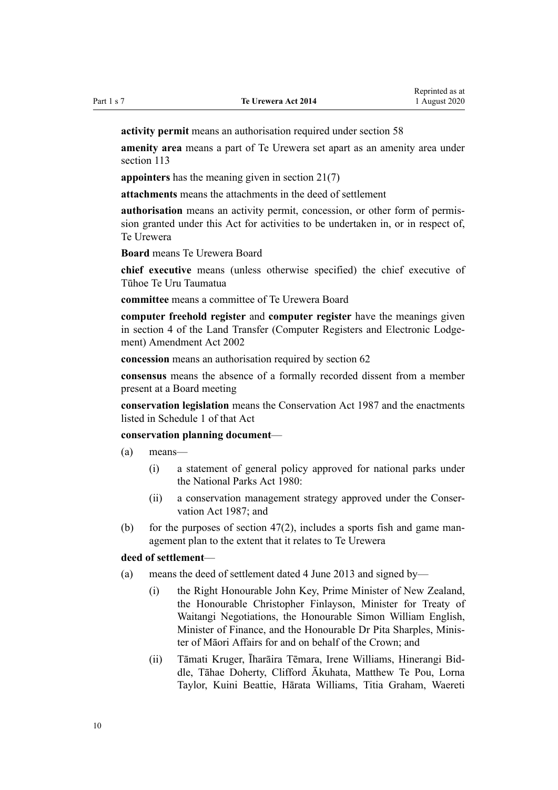**activity permit** means an authorisation required under [section 58](#page-31-0)

**amenity area** means a part of Te Urewera set apart as an amenity area under [section 113](#page-57-0)

**appointers** has the meaning given in [section 21\(7\)](#page-17-0)

**attachments** means the attachments in the deed of settlement

**authorisation** means an activity permit, concession, or other form of permission granted under this Act for activities to be undertaken in, or in respect of, Te Urewera

**Board** means Te Urewera Board

**chief executive** means (unless otherwise specified) the chief executive of Tūhoe Te Uru Taumatua

**committee** means a committee of Te Urewera Board

**computer freehold register** and **computer register** have the meanings given in [section 4](http://legislation.govt.nz/pdflink.aspx?id=DLM140144) of the Land Transfer (Computer Registers and Electronic Lodgement) Amendment Act 2002

**concession** means an authorisation required by [section 62](#page-32-0)

**consensus** means the absence of a formally recorded dissent from a member present at a Board meeting

**conservation legislation** means the [Conservation Act 1987](http://legislation.govt.nz/pdflink.aspx?id=DLM103609) and the enactments listed in [Schedule 1](http://legislation.govt.nz/pdflink.aspx?id=DLM107200) of that Act

#### **conservation planning document**—

(a) means—

- (i) a statement of general policy approved for national parks under the [National Parks Act 1980:](http://legislation.govt.nz/pdflink.aspx?id=DLM36962)
- (ii) a conservation management strategy approved under the [Conser](http://legislation.govt.nz/pdflink.aspx?id=DLM103609)[vation Act 1987](http://legislation.govt.nz/pdflink.aspx?id=DLM103609); and
- (b) for the purposes of section  $47(2)$ , includes a sports fish and game management plan to the extent that it relates to Te Urewera

#### **deed of settlement**—

- (a) means the deed of settlement dated 4 June 2013 and signed by—
	- (i) the Right Honourable John Key, Prime Minister of New Zealand, the Honourable Christopher Finlayson, Minister for Treaty of Waitangi Negotiations, the Honourable Simon William English, Minister of Finance, and the Honourable Dr Pita Sharples, Minister of Māori Affairs for and on behalf of the Crown; and
	- (ii) Tāmati Kruger, Īharāira Tēmara, Irene Williams, Hinerangi Biddle, Tāhae Doherty, Clifford Ākuhata, Matthew Te Pou, Lorna Taylor, Kuini Beattie, Hārata Williams, Titia Graham, Waereti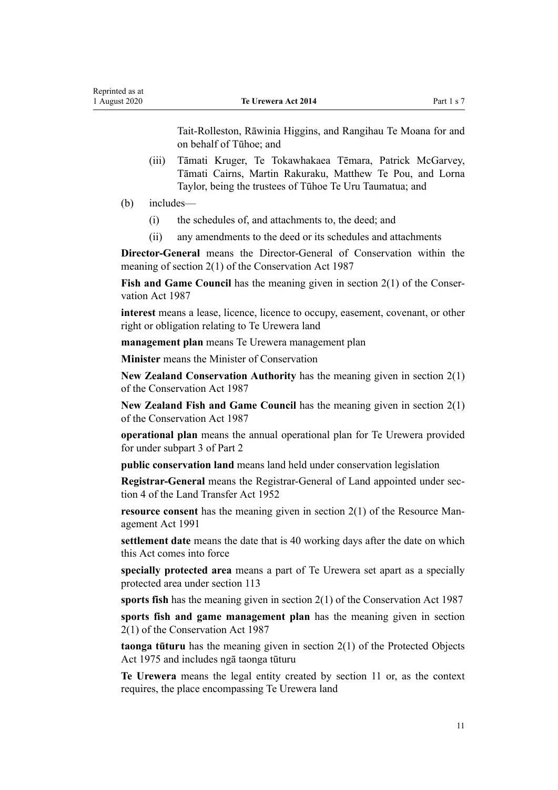Tait-Rolleston, Rāwinia Higgins, and Rangihau Te Moana for and on behalf of Tūhoe; and

- (iii) Tāmati Kruger, Te Tokawhakaea Tēmara, Patrick McGarvey, Tāmati Cairns, Martin Rakuraku, Matthew Te Pou, and Lorna Taylor, being the trustees of Tūhoe Te Uru Taumatua; and
- (b) includes—
	- (i) the schedules of, and attachments to, the deed; and
	- (ii) any amendments to the deed or its schedules and attachments

**Director-General** means the Director-General of Conservation within the meaning of [section 2\(1\)](http://legislation.govt.nz/pdflink.aspx?id=DLM103616) of the Conservation Act 1987

**Fish and Game Council** has the meaning given in [section 2\(1\)](http://legislation.govt.nz/pdflink.aspx?id=DLM103616) of the Conservation Act 1987

**interest** means a lease, licence, licence to occupy, easement, covenant, or other right or obligation relating to Te Urewera land

**management plan** means Te Urewera management plan

**Minister** means the Minister of Conservation

**New Zealand Conservation Authority** has the meaning given in [section 2\(1\)](http://legislation.govt.nz/pdflink.aspx?id=DLM103616) of the Conservation Act 1987

**New Zealand Fish and Game Council** has the meaning given in [section 2\(1\)](http://legislation.govt.nz/pdflink.aspx?id=DLM103616) of the Conservation Act 1987

**operational plan** means the annual operational plan for Te Urewera provided for under [subpart 3](#page-27-0) of Part 2

**public conservation land** means land held under conservation legislation

**Registrar-General** means the Registrar-General of Land appointed under [sec](http://legislation.govt.nz/pdflink.aspx?id=DLM270019)[tion 4](http://legislation.govt.nz/pdflink.aspx?id=DLM270019) of the Land Transfer Act 1952

**resource consent** has the meaning given in [section 2\(1\)](http://legislation.govt.nz/pdflink.aspx?id=DLM230272) of the Resource Management Act 1991

**settlement date** means the date that is 40 working days after the date on which this Act comes into force

**specially protected area** means a part of Te Urewera set apart as a specially protected area under [section 113](#page-57-0)

**sports fish** has the meaning given in [section 2\(1\)](http://legislation.govt.nz/pdflink.aspx?id=DLM103616) of the Conservation Act 1987

**sports fish and game management plan** has the meaning given in [section](http://legislation.govt.nz/pdflink.aspx?id=DLM103616) [2\(1\)](http://legislation.govt.nz/pdflink.aspx?id=DLM103616) of the Conservation Act 1987

**taonga tūturu** has the meaning given in [section 2\(1\)](http://legislation.govt.nz/pdflink.aspx?id=DLM432125) of the Protected Objects Act 1975 and includes ngā taonga tūturu

**Te Urewera** means the legal entity created by [section 11](#page-13-0) or, as the context requires, the place encompassing Te Urewera land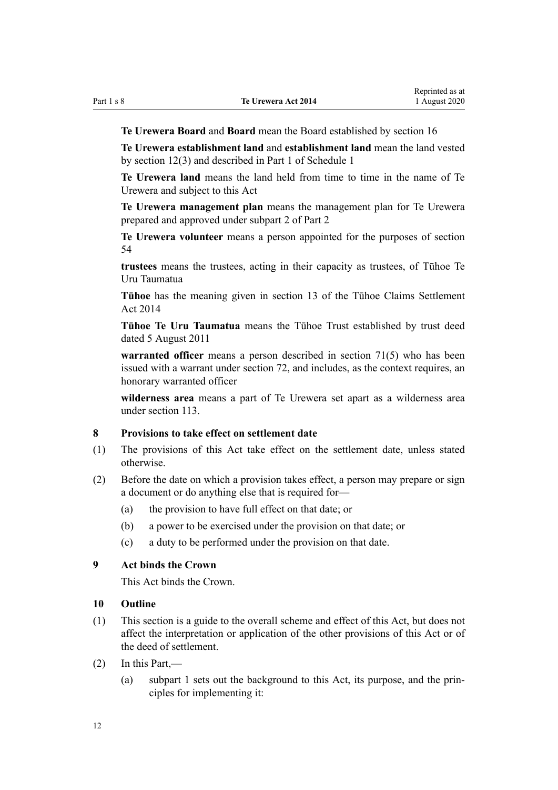<span id="page-11-0"></span>

**Te Urewera Board** and **Board** mean the Board established by [section 16](#page-15-0)

**Te Urewera establishment land** and **establishment land** mean the land vested by [section 12\(3\)](#page-14-0) and described in [Part 1](#page-68-0) of Schedule 1

**Te Urewera land** means the land held from time to time in the name of Te Urewera and subject to this Act

**Te Urewera management plan** means the management plan for Te Urewera prepared and approved under [subpart 2](#page-25-0) of Part 2

**Te Urewera volunteer** means a person appointed for the purposes of [section](#page-29-0) [54](#page-29-0)

**trustees** means the trustees, acting in their capacity as trustees, of Tūhoe Te Uru Taumatua

**Tūhoe** has the meaning given in [section 13](http://legislation.govt.nz/pdflink.aspx?id=DLM5481318) of the Tūhoe Claims Settlement Act 2014

**Tūhoe Te Uru Taumatua** means the Tūhoe Trust established by trust deed dated 5 August 2011

**warranted officer** means a person described in [section 71\(5\)](#page-36-0) who has been issued with a warrant under [section 72,](#page-37-0) and includes, as the context requires, an honorary warranted officer

**wilderness area** means a part of Te Urewera set apart as a wilderness area under [section 113.](#page-57-0)

#### **8 Provisions to take effect on settlement date**

- (1) The provisions of this Act take effect on the settlement date, unless stated otherwise.
- (2) Before the date on which a provision takes effect, a person may prepare or sign a document or do anything else that is required for—
	- (a) the provision to have full effect on that date; or
	- (b) a power to be exercised under the provision on that date; or
	- (c) a duty to be performed under the provision on that date.

## **9 Act binds the Crown**

This Act binds the Crown.

#### **10 Outline**

- (1) This section is a guide to the overall scheme and effect of this Act, but does not affect the interpretation or application of the other provisions of this Act or of the deed of settlement.
- (2) In this Part,—
	- (a) [subpart 1](#page-7-0) sets out the background to this Act, its purpose, and the principles for implementing it: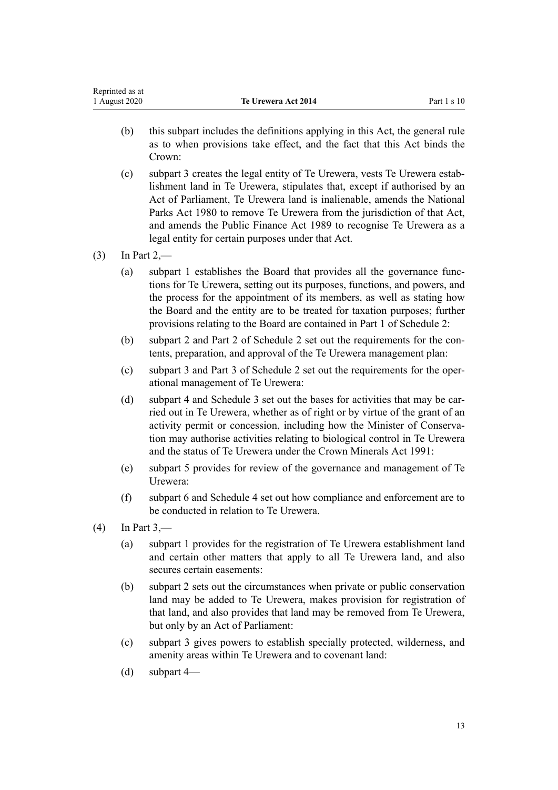- (b) this subpart includes the definitions applying in this Act, the general rule as to when provisions take effect, and the fact that this Act binds the Crown:
- (c) [subpart 3](#page-13-0) creates the legal entity of Te Urewera, vests Te Urewera establishment land in Te Urewera, stipulates that, except if authorised by an Act of Parliament, Te Urewera land is inalienable, amends the [National](http://legislation.govt.nz/pdflink.aspx?id=DLM36962) [Parks Act 1980](http://legislation.govt.nz/pdflink.aspx?id=DLM36962) to remove Te Urewera from the jurisdiction of that Act, and amends the [Public Finance Act 1989](http://legislation.govt.nz/pdflink.aspx?id=DLM160808) to recognise Te Urewera as a legal entity for certain purposes under that Act.
- $(3)$  In [Part 2,](#page-15-0)
	- (a) [subpart 1](#page-7-0) establishes the Board that provides all the governance functions for Te Urewera, setting out its purposes, functions, and powers, and the process for the appointment of its members, as well as stating how the Board and the entity are to be treated for taxation purposes; further provisions relating to the Board are contained in [Part 1](#page-70-0) of Schedule 2:
	- (b) [subpart 2](#page-25-0) and [Part 2](#page-76-0) of Schedule 2 set out the requirements for the contents, preparation, and approval of the Te Urewera management plan:
	- (c) [subpart 3](#page-27-0) and [Part 3](#page-79-0) of Schedule 2 set out the requirements for the operational management of Te Urewera:
	- (d) [subpart 4](#page-30-0) and Schedule 3 set out the bases for activities that may be carried out in Te Urewera, whether as of right or by virtue of the grant of an activity permit or concession, including how the Minister of Conservation may authorise activities relating to biological control in Te Urewera and the status of Te Urewera under the [Crown Minerals Act 1991](http://legislation.govt.nz/pdflink.aspx?id=DLM242535):
	- (e) [subpart 5](#page-33-0) provides for review of the governance and management of Te Urewera:
	- (f) [subpart 6](#page-35-0) and [Schedule 4](#page-99-0) set out how compliance and enforcement are to be conducted in relation to Te Urewera.
- $(4)$  In [Part 3,](#page-43-0)
	- (a) [subpart 1](#page-44-0) provides for the registration of Te Urewera establishment land and certain other matters that apply to all Te Urewera land, and also secures certain easements:
	- (b) [subpart 2](#page-48-0) sets out the circumstances when private or public conservation land may be added to Te Urewera, makes provision for registration of that land, and also provides that land may be removed from Te Urewera, but only by an Act of Parliament:
	- (c) [subpart 3](#page-57-0) gives powers to establish specially protected, wilderness, and amenity areas within Te Urewera and to covenant land:
	- (d) [subpart 4—](#page-62-0)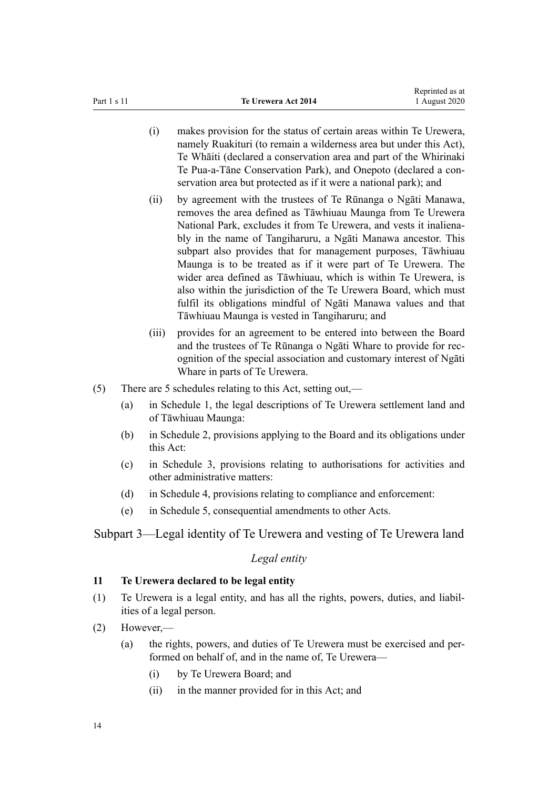- <span id="page-13-0"></span>(i) makes provision for the status of certain areas within Te Urewera, namely Ruakituri (to remain a wilderness area but under this Act), Te Whāiti (declared a conservation area and part of the Whirinaki Te Pua-a-Tāne Conservation Park), and Onepoto (declared a conservation area but protected as if it were a national park); and
- (ii) by agreement with the trustees of Te Rūnanga o Ngāti Manawa, removes the area defined as Tāwhiuau Maunga from Te Urewera National Park, excludes it from Te Urewera, and vests it inalienably in the name of Tangiharuru, a Ngāti Manawa ancestor. This subpart also provides that for management purposes, Tāwhiuau Maunga is to be treated as if it were part of Te Urewera. The wider area defined as Tāwhiuau, which is within Te Urewera, is also within the jurisdiction of the Te Urewera Board, which must fulfil its obligations mindful of Ngāti Manawa values and that Tāwhiuau Maunga is vested in Tangiharuru; and
- (iii) provides for an agreement to be entered into between the Board and the trustees of Te Rūnanga o Ngāti Whare to provide for recognition of the special association and customary interest of Ngāti Whare in parts of Te Urewera.
- (5) There are 5 schedules relating to this Act, setting out,—
	- (a) in [Schedule 1,](#page-68-0) the legal descriptions of Te Urewera settlement land and of Tāwhiuau Maunga:
	- (b) in [Schedule 2](#page-69-0), provisions applying to the Board and its obligations under this Act:
	- (c) in [Schedule 3,](#page-80-0) provisions relating to authorisations for activities and other administrative matters:
	- (d) in [Schedule 4,](#page-99-0) provisions relating to compliance and enforcement:
	- (e) in [Schedule 5,](#page-112-0) consequential amendments to other Acts.

Subpart 3—Legal identity of Te Urewera and vesting of Te Urewera land

#### *Legal entity*

### **11 Te Urewera declared to be legal entity**

- (1) Te Urewera is a legal entity, and has all the rights, powers, duties, and liabilities of a legal person.
- (2) However,—
	- (a) the rights, powers, and duties of Te Urewera must be exercised and performed on behalf of, and in the name of, Te Urewera—
		- (i) by Te Urewera Board; and
		- (ii) in the manner provided for in this Act; and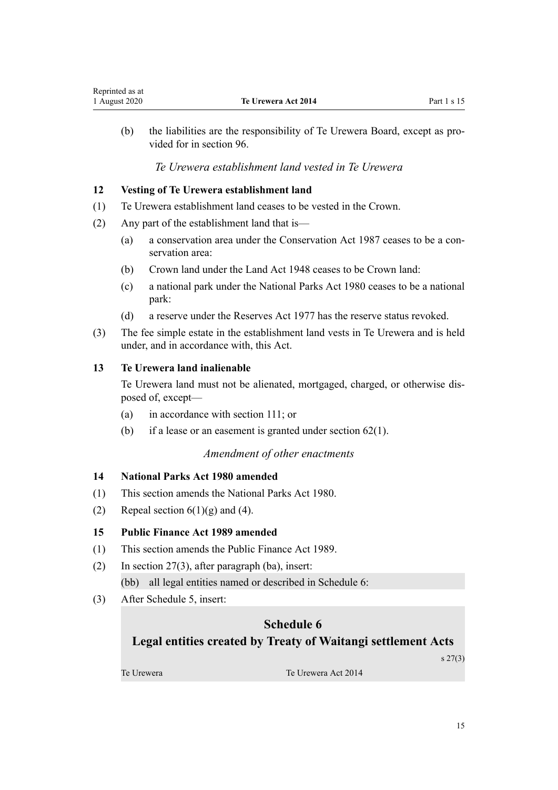<span id="page-14-0"></span>(b) the liabilities are the responsibility of Te Urewera Board, except as provided for in [section 96.](#page-47-0)

## *Te Urewera establishment land vested in Te Urewera*

## **12 Vesting of Te Urewera establishment land**

- (1) Te Urewera establishment land ceases to be vested in the Crown.
- (2) Any part of the establishment land that is—
	- (a) a conservation area under the [Conservation Act 1987](http://legislation.govt.nz/pdflink.aspx?id=DLM103609) ceases to be a conservation area:
	- (b) Crown land under the [Land Act 1948](http://legislation.govt.nz/pdflink.aspx?id=DLM250585) ceases to be Crown land:
	- (c) a national park under the [National Parks Act 1980](http://legislation.govt.nz/pdflink.aspx?id=DLM36962) ceases to be a national park:
	- (d) a reserve under the [Reserves Act 1977](http://legislation.govt.nz/pdflink.aspx?id=DLM444304) has the reserve status revoked.
- (3) The fee simple estate in the establishment land vests in Te Urewera and is held under, and in accordance with, this Act.

## **13 Te Urewera land inalienable**

Te Urewera land must not be alienated, mortgaged, charged, or otherwise disposed of, except—

- (a) in accordance with [section 111;](#page-56-0) or
- (b) if a lease or an easement is granted under section  $62(1)$ .

## *Amendment of other enactments*

## **14 National Parks Act 1980 amended**

- (1) This section amends the [National Parks Act 1980](http://legislation.govt.nz/pdflink.aspx?id=DLM36962).
- (2) Repeal section  $6(1)(g)$  and (4).

## **15 Public Finance Act 1989 amended**

- (1) This section amends the [Public Finance Act 1989.](http://legislation.govt.nz/pdflink.aspx?id=DLM160808)
- (2) In [section 27\(3\)](http://legislation.govt.nz/pdflink.aspx?id=DLM162017), after paragraph (ba), insert: (bb) all legal entities named or described in Schedule 6:
- (3) After [Schedule 5](http://legislation.govt.nz/pdflink.aspx?id=DLM163652), insert:

# **Schedule 6 Legal entities created by Treaty of Waitangi settlement Acts**

s 27(3)

Te Urewera Te Urewera Act 2014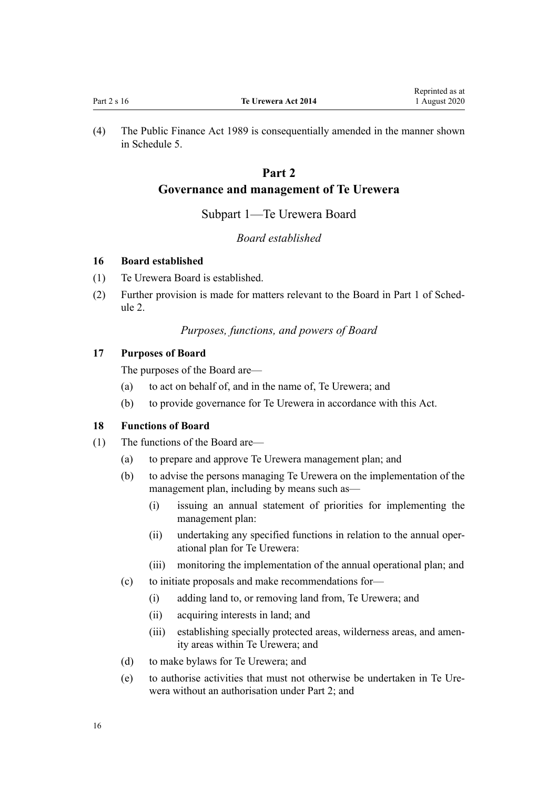<span id="page-15-0"></span>(4) The [Public Finance Act 1989](http://legislation.govt.nz/pdflink.aspx?id=DLM160808) is consequentially amended in the manner shown in [Schedule 5.](#page-112-0)

# **Part 2**

## **Governance and management of Te Urewera**

#### Subpart 1—Te Urewera Board

## *Board established*

#### **16 Board established**

- (1) Te Urewera Board is established.
- (2) Further provision is made for matters relevant to the Board in [Part 1](#page-70-0) of Schedule 2.

## *Purposes, functions, and powers of Board*

## **17 Purposes of Board**

The purposes of the Board are—

- (a) to act on behalf of, and in the name of, Te Urewera; and
- (b) to provide governance for Te Urewera in accordance with this Act.

## **18 Functions of Board**

- (1) The functions of the Board are—
	- (a) to prepare and approve Te Urewera management plan; and
	- (b) to advise the persons managing Te Urewera on the implementation of the management plan, including by means such as—
		- (i) issuing an annual statement of priorities for implementing the management plan:
		- (ii) undertaking any specified functions in relation to the annual operational plan for Te Urewera:
		- (iii) monitoring the implementation of the annual operational plan; and
	- (c) to initiate proposals and make recommendations for—
		- (i) adding land to, or removing land from, Te Urewera; and
		- (ii) acquiring interests in land; and
		- (iii) establishing specially protected areas, wilderness areas, and amenity areas within Te Urewera; and
	- (d) to make bylaws for Te Urewera; and
	- (e) to authorise activities that must not otherwise be undertaken in Te Urewera without an authorisation under Part 2; and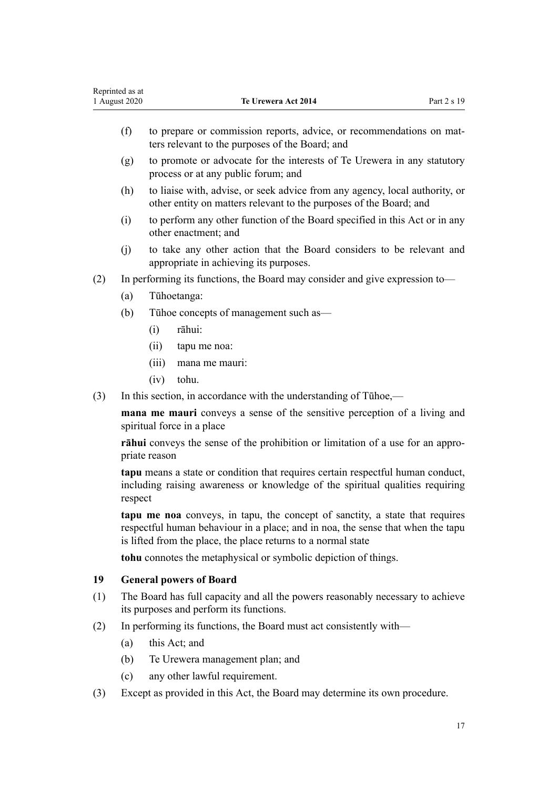|     | (f)     | to prepare or commission reports, advice, or recommendations on mat-<br>ters relevant to the purposes of the Board; and                                                                                                          |
|-----|---------|----------------------------------------------------------------------------------------------------------------------------------------------------------------------------------------------------------------------------------|
|     | (g)     | to promote or advocate for the interests of Te Urewera in any statutory<br>process or at any public forum; and                                                                                                                   |
|     | (h)     | to liaise with, advise, or seek advice from any agency, local authority, or<br>other entity on matters relevant to the purposes of the Board; and                                                                                |
|     | (i)     | to perform any other function of the Board specified in this Act or in any<br>other enactment; and                                                                                                                               |
|     | (j)     | to take any other action that the Board considers to be relevant and<br>appropriate in achieving its purposes.                                                                                                                   |
| (2) |         | In performing its functions, the Board may consider and give expression to-                                                                                                                                                      |
|     | (a)     | Tūhoetanga:                                                                                                                                                                                                                      |
|     | (b)     | Tūhoe concepts of management such as-                                                                                                                                                                                            |
|     |         | rāhui:<br>(i)                                                                                                                                                                                                                    |
|     |         | (ii)<br>tapu me noa:                                                                                                                                                                                                             |
|     |         | (iii)<br>mana me mauri:                                                                                                                                                                                                          |
|     |         | tohu.<br>(iv)                                                                                                                                                                                                                    |
| (3) |         | In this section, in accordance with the understanding of Tūhoe,—                                                                                                                                                                 |
|     |         | mana me mauri conveys a sense of the sensitive perception of a living and<br>spiritual force in a place                                                                                                                          |
|     |         | rāhui conveys the sense of the prohibition or limitation of a use for an appro-<br>priate reason                                                                                                                                 |
|     | respect | tapu means a state or condition that requires certain respectful human conduct,<br>including raising awareness or knowledge of the spiritual qualities requiring                                                                 |
|     |         | tapu me noa conveys, in tapu, the concept of sanctity, a state that requires<br>respectful human behaviour in a place; and in noa, the sense that when the tapu<br>is lifted from the place, the place returns to a normal state |
|     |         | <b>tohu</b> connotes the metaphysical or symbolic depiction of things.                                                                                                                                                           |
| 19  |         | <b>General powers of Board</b>                                                                                                                                                                                                   |
| (1) |         | The Board has full capacity and all the powers reasonably necessary to achieve<br>its purposes and perform its functions.                                                                                                        |
| (2) |         | In performing its functions, the Board must act consistently with—                                                                                                                                                               |
|     | (a)     | this Act; and                                                                                                                                                                                                                    |
|     | (b)     | Te Urewera management plan; and                                                                                                                                                                                                  |
|     | (c)     | any other lawful requirement.                                                                                                                                                                                                    |
| (3) |         | Except as provided in this Act, the Board may determine its own procedure.                                                                                                                                                       |
|     |         |                                                                                                                                                                                                                                  |
|     |         |                                                                                                                                                                                                                                  |

**1 Te Urewera Act 2014** Part 2 s 19

<span id="page-16-0"></span>Reprinted as at<br>1 August 2020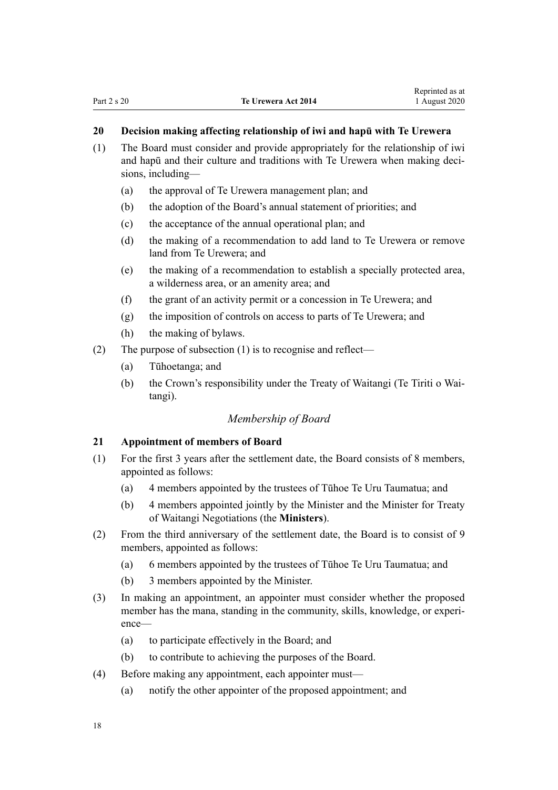## <span id="page-17-0"></span>**20 Decision making affecting relationship of iwi and hapū with Te Urewera**

- (1) The Board must consider and provide appropriately for the relationship of iwi and hapū and their culture and traditions with Te Urewera when making decisions, including—
	- (a) the approval of Te Urewera management plan; and
	- (b) the adoption of the Board's annual statement of priorities; and
	- (c) the acceptance of the annual operational plan; and
	- (d) the making of a recommendation to add land to Te Urewera or remove land from Te Urewera; and
	- (e) the making of a recommendation to establish a specially protected area, a wilderness area, or an amenity area; and
	- (f) the grant of an activity permit or a concession in Te Urewera; and
	- (g) the imposition of controls on access to parts of Te Urewera; and
	- (h) the making of bylaws.
- (2) The purpose of subsection (1) is to recognise and reflect—
	- (a) Tūhoetanga; and
	- (b) the Crown's responsibility under the Treaty of Waitangi (Te Tiriti o Waitangi).

## *Membership of Board*

#### **21 Appointment of members of Board**

- (1) For the first 3 years after the settlement date, the Board consists of 8 members, appointed as follows:
	- (a) 4 members appointed by the trustees of Tūhoe Te Uru Taumatua; and
	- (b) 4 members appointed jointly by the Minister and the Minister for Treaty of Waitangi Negotiations (the **Ministers**).
- (2) From the third anniversary of the settlement date, the Board is to consist of 9 members, appointed as follows:
	- (a) 6 members appointed by the trustees of Tūhoe Te Uru Taumatua; and
	- (b) 3 members appointed by the Minister.
- (3) In making an appointment, an appointer must consider whether the proposed member has the mana, standing in the community, skills, knowledge, or experience—
	- (a) to participate effectively in the Board; and
	- (b) to contribute to achieving the purposes of the Board.
- (4) Before making any appointment, each appointer must—
	- (a) notify the other appointer of the proposed appointment; and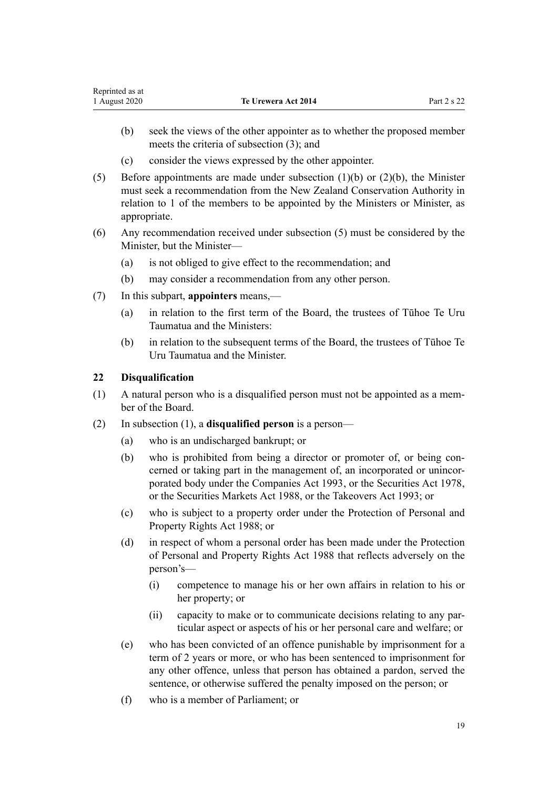- <span id="page-18-0"></span>(b) seek the views of the other appointer as to whether the proposed member meets the criteria of subsection (3); and
- (c) consider the views expressed by the other appointer.
- (5) Before appointments are made under subsection (1)(b) or (2)(b), the Minister must seek a recommendation from the New Zealand Conservation Authority in relation to 1 of the members to be appointed by the Ministers or Minister, as appropriate.
- (6) Any recommendation received under subsection (5) must be considered by the Minister, but the Minister—
	- (a) is not obliged to give effect to the recommendation; and
	- (b) may consider a recommendation from any other person.
- (7) In this subpart, **appointers** means,—
	- (a) in relation to the first term of the Board, the trustees of Tūhoe Te Uru Taumatua and the Ministers:
	- (b) in relation to the subsequent terms of the Board, the trustees of Tūhoe Te Uru Taumatua and the Minister.

### **22 Disqualification**

- (1) A natural person who is a disqualified person must not be appointed as a member of the Board.
- (2) In subsection (1), a **disqualified person** is a person—
	- (a) who is an undischarged bankrupt; or
	- (b) who is prohibited from being a director or promoter of, or being concerned or taking part in the management of, an incorporated or unincorporated body under the [Companies Act 1993,](http://legislation.govt.nz/pdflink.aspx?id=DLM319569) or the [Securities Act 1978](http://legislation.govt.nz/pdflink.aspx?id=DLM25999), or the [Securities Markets Act 1988,](http://legislation.govt.nz/pdflink.aspx?id=DLM139726) or the [Takeovers Act 1993](http://legislation.govt.nz/pdflink.aspx?id=DLM325508); or
	- (c) who is subject to a property order under the [Protection of Personal and](http://legislation.govt.nz/pdflink.aspx?id=DLM126527) [Property Rights Act 1988](http://legislation.govt.nz/pdflink.aspx?id=DLM126527); or
	- (d) in respect of whom a personal order has been made under the [Protection](http://legislation.govt.nz/pdflink.aspx?id=DLM126527) [of Personal and Property Rights Act 1988](http://legislation.govt.nz/pdflink.aspx?id=DLM126527) that reflects adversely on the person's—
		- (i) competence to manage his or her own affairs in relation to his or her property; or
		- (ii) capacity to make or to communicate decisions relating to any particular aspect or aspects of his or her personal care and welfare; or
	- (e) who has been convicted of an offence punishable by imprisonment for a term of 2 years or more, or who has been sentenced to imprisonment for any other offence, unless that person has obtained a pardon, served the sentence, or otherwise suffered the penalty imposed on the person; or
	- (f) who is a member of Parliament; or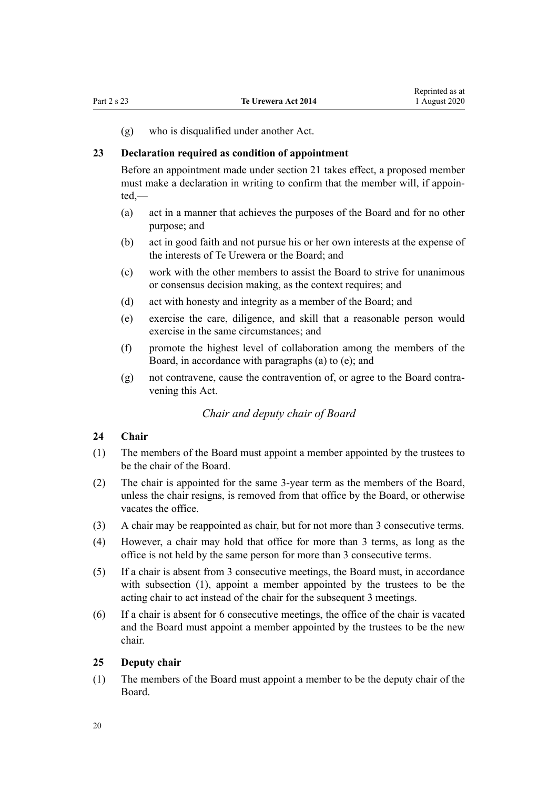<span id="page-19-0"></span>(g) who is disqualified under another Act.

#### **23 Declaration required as condition of appointment**

Before an appointment made under [section 21](#page-17-0) takes effect, a proposed member must make a declaration in writing to confirm that the member will, if appointed,—

- (a) act in a manner that achieves the purposes of the Board and for no other purpose; and
- (b) act in good faith and not pursue his or her own interests at the expense of the interests of Te Urewera or the Board; and
- (c) work with the other members to assist the Board to strive for unanimous or consensus decision making, as the context requires; and
- (d) act with honesty and integrity as a member of the Board; and
- (e) exercise the care, diligence, and skill that a reasonable person would exercise in the same circumstances; and
- (f) promote the highest level of collaboration among the members of the Board, in accordance with paragraphs (a) to (e); and
- (g) not contravene, cause the contravention of, or agree to the Board contravening this Act.

#### *Chair and deputy chair of Board*

#### **24 Chair**

- (1) The members of the Board must appoint a member appointed by the trustees to be the chair of the Board.
- (2) The chair is appointed for the same 3-year term as the members of the Board, unless the chair resigns, is removed from that office by the Board, or otherwise vacates the office.
- (3) A chair may be reappointed as chair, but for not more than 3 consecutive terms.
- (4) However, a chair may hold that office for more than 3 terms, as long as the office is not held by the same person for more than 3 consecutive terms.
- (5) If a chair is absent from 3 consecutive meetings, the Board must, in accordance with subsection (1), appoint a member appointed by the trustees to be the acting chair to act instead of the chair for the subsequent 3 meetings.
- (6) If a chair is absent for 6 consecutive meetings, the office of the chair is vacated and the Board must appoint a member appointed by the trustees to be the new chair.

#### **25 Deputy chair**

(1) The members of the Board must appoint a member to be the deputy chair of the Board.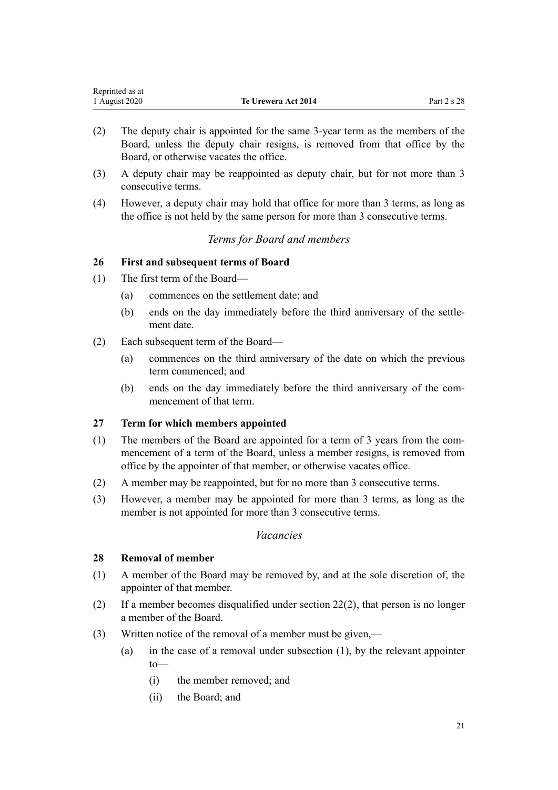<span id="page-20-0"></span>

| Reprinted as at |                            |             |
|-----------------|----------------------------|-------------|
| 1 August 2020   | <b>Te Urewera Act 2014</b> | Part 2 s 28 |

- (2) The deputy chair is appointed for the same 3-year term as the members of the Board, unless the deputy chair resigns, is removed from that office by the Board, or otherwise vacates the office.
- (3) A deputy chair may be reappointed as deputy chair, but for not more than 3 consecutive terms.
- (4) However, a deputy chair may hold that office for more than 3 terms, as long as the office is not held by the same person for more than 3 consecutive terms.

## *Terms for Board and members*

## **26 First and subsequent terms of Board**

- (1) The first term of the Board—
	- (a) commences on the settlement date; and
	- (b) ends on the day immediately before the third anniversary of the settlement date.
- (2) Each subsequent term of the Board—
	- (a) commences on the third anniversary of the date on which the previous term commenced; and
	- (b) ends on the day immediately before the third anniversary of the commencement of that term.

## **27 Term for which members appointed**

- (1) The members of the Board are appointed for a term of 3 years from the commencement of a term of the Board, unless a member resigns, is removed from office by the appointer of that member, or otherwise vacates office.
- (2) A member may be reappointed, but for no more than 3 consecutive terms.
- (3) However, a member may be appointed for more than 3 terms, as long as the member is not appointed for more than 3 consecutive terms.

#### *Vacancies*

#### **28 Removal of member**

- (1) A member of the Board may be removed by, and at the sole discretion of, the appointer of that member.
- (2) If a member becomes disqualified under [section 22\(2\),](#page-18-0) that person is no longer a member of the Board.
- (3) Written notice of the removal of a member must be given,—
	- (a) in the case of a removal under subsection (1), by the relevant appointer to—
		- (i) the member removed; and
		- (ii) the Board; and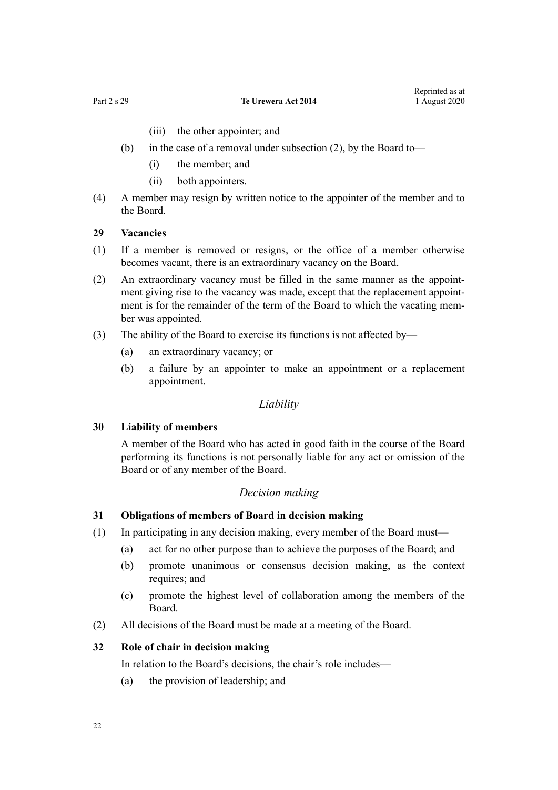(iii) the other appointer; and

- <span id="page-21-0"></span>(b) in the case of a removal under subsection (2), by the Board to—
	- (i) the member; and
	- (ii) both appointers.
- (4) A member may resign by written notice to the appointer of the member and to the Board.

#### **29 Vacancies**

- (1) If a member is removed or resigns, or the office of a member otherwise becomes vacant, there is an extraordinary vacancy on the Board.
- (2) An extraordinary vacancy must be filled in the same manner as the appointment giving rise to the vacancy was made, except that the replacement appointment is for the remainder of the term of the Board to which the vacating member was appointed.
- (3) The ability of the Board to exercise its functions is not affected by—
	- (a) an extraordinary vacancy; or
	- (b) a failure by an appointer to make an appointment or a replacement appointment.

#### *Liability*

#### **30 Liability of members**

A member of the Board who has acted in good faith in the course of the Board performing its functions is not personally liable for any act or omission of the Board or of any member of the Board.

#### *Decision making*

#### **31 Obligations of members of Board in decision making**

- (1) In participating in any decision making, every member of the Board must—
	- (a) act for no other purpose than to achieve the purposes of the Board; and
	- (b) promote unanimous or consensus decision making, as the context requires; and
	- (c) promote the highest level of collaboration among the members of the Board.
- (2) All decisions of the Board must be made at a meeting of the Board.

#### **32 Role of chair in decision making**

In relation to the Board's decisions, the chair's role includes—

(a) the provision of leadership; and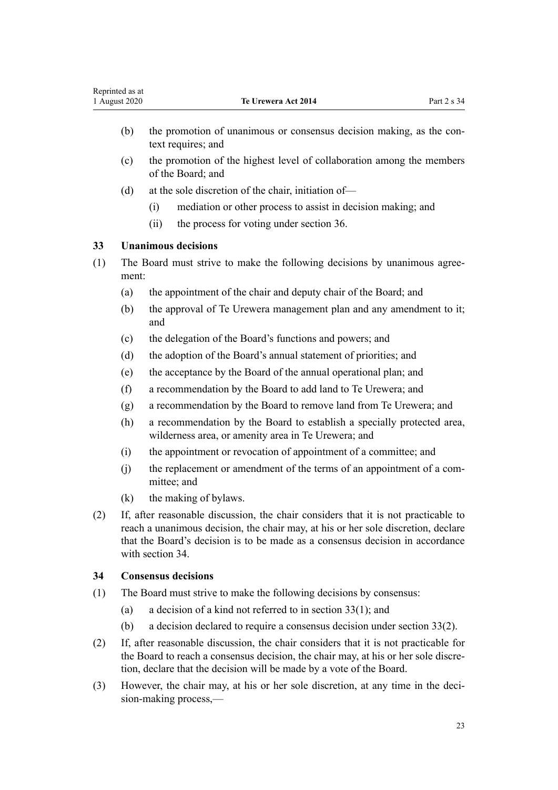- <span id="page-22-0"></span>(b) the promotion of unanimous or consensus decision making, as the context requires; and
- (c) the promotion of the highest level of collaboration among the members of the Board; and
- (d) at the sole discretion of the chair, initiation of—
	- (i) mediation or other process to assist in decision making; and
	- (ii) the process for voting under [section 36](#page-23-0).

## **33 Unanimous decisions**

- (1) The Board must strive to make the following decisions by unanimous agreement:
	- (a) the appointment of the chair and deputy chair of the Board; and
	- (b) the approval of Te Urewera management plan and any amendment to it; and
	- (c) the delegation of the Board's functions and powers; and
	- (d) the adoption of the Board's annual statement of priorities; and
	- (e) the acceptance by the Board of the annual operational plan; and
	- (f) a recommendation by the Board to add land to Te Urewera; and
	- (g) a recommendation by the Board to remove land from Te Urewera; and
	- (h) a recommendation by the Board to establish a specially protected area, wilderness area, or amenity area in Te Urewera; and
	- (i) the appointment or revocation of appointment of a committee; and
	- (j) the replacement or amendment of the terms of an appointment of a committee; and
	- (k) the making of bylaws.
- (2) If, after reasonable discussion, the chair considers that it is not practicable to reach a unanimous decision, the chair may, at his or her sole discretion, declare that the Board's decision is to be made as a consensus decision in accordance with section 34.

## **34 Consensus decisions**

- (1) The Board must strive to make the following decisions by consensus:
	- (a) a decision of a kind not referred to in section  $33(1)$ ; and
	- (b) a decision declared to require a consensus decision under section 33(2).
- (2) If, after reasonable discussion, the chair considers that it is not practicable for the Board to reach a consensus decision, the chair may, at his or her sole discretion, declare that the decision will be made by a vote of the Board.
- (3) However, the chair may, at his or her sole discretion, at any time in the decision-making process,—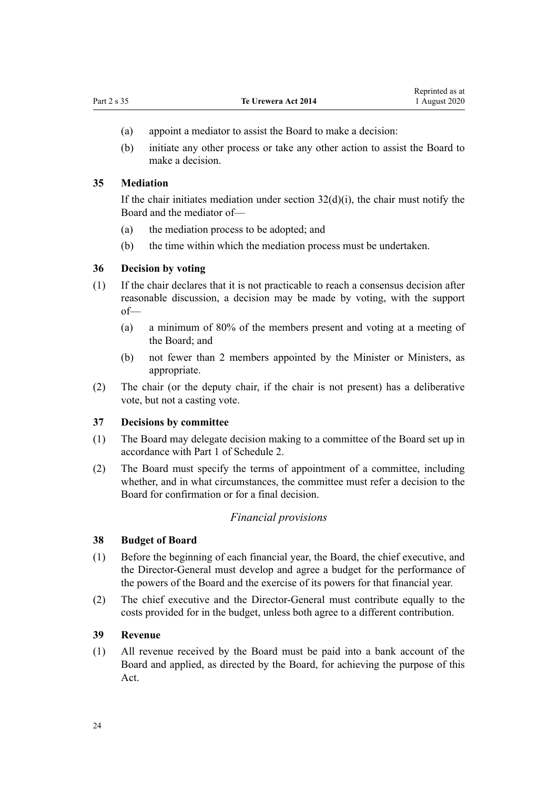- <span id="page-23-0"></span>(a) appoint a mediator to assist the Board to make a decision:
- (b) initiate any other process or take any other action to assist the Board to make a decision.

#### **35 Mediation**

If the chair initiates mediation under section  $32(d)(i)$ , the chair must notify the Board and the mediator of—

- (a) the mediation process to be adopted; and
- (b) the time within which the mediation process must be undertaken.

#### **36 Decision by voting**

- (1) If the chair declares that it is not practicable to reach a consensus decision after reasonable discussion, a decision may be made by voting, with the support of—
	- (a) a minimum of 80% of the members present and voting at a meeting of the Board; and
	- (b) not fewer than 2 members appointed by the Minister or Ministers, as appropriate.
- (2) The chair (or the deputy chair, if the chair is not present) has a deliberative vote, but not a casting vote.

## **37 Decisions by committee**

- (1) The Board may delegate decision making to a committee of the Board set up in accordance with [Part 1](#page-70-0) of Schedule 2.
- (2) The Board must specify the terms of appointment of a committee, including whether, and in what circumstances, the committee must refer a decision to the Board for confirmation or for a final decision.

#### *Financial provisions*

#### **38 Budget of Board**

- (1) Before the beginning of each financial year, the Board, the chief executive, and the Director-General must develop and agree a budget for the performance of the powers of the Board and the exercise of its powers for that financial year.
- (2) The chief executive and the Director-General must contribute equally to the costs provided for in the budget, unless both agree to a different contribution.

#### **39 Revenue**

(1) All revenue received by the Board must be paid into a bank account of the Board and applied, as directed by the Board, for achieving the purpose of this Act.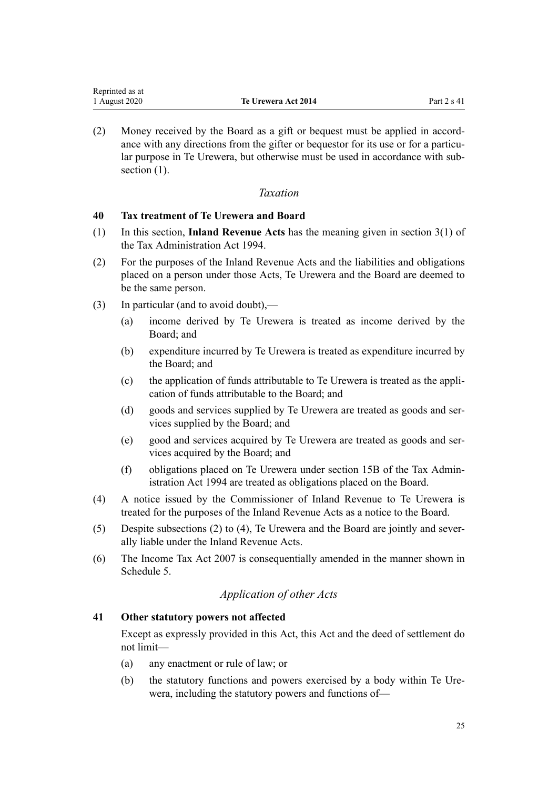<span id="page-24-0"></span>(2) Money received by the Board as a gift or bequest must be applied in accordance with any directions from the gifter or bequestor for its use or for a particular purpose in Te Urewera, but otherwise must be used in accordance with subsection  $(1)$ .

## *Taxation*

### **40 Tax treatment of Te Urewera and Board**

- (1) In this section, **Inland Revenue Acts** has the meaning given in [section 3\(1\)](http://legislation.govt.nz/pdflink.aspx?id=DLM348353) of the Tax Administration Act 1994.
- (2) For the purposes of the Inland Revenue Acts and the liabilities and obligations placed on a person under those Acts, Te Urewera and the Board are deemed to be the same person.
- (3) In particular (and to avoid doubt),—
	- (a) income derived by Te Urewera is treated as income derived by the Board; and
	- (b) expenditure incurred by Te Urewera is treated as expenditure incurred by the Board; and
	- (c) the application of funds attributable to Te Urewera is treated as the application of funds attributable to the Board; and
	- (d) goods and services supplied by Te Urewera are treated as goods and services supplied by the Board; and
	- (e) good and services acquired by Te Urewera are treated as goods and services acquired by the Board; and
	- (f) obligations placed on Te Urewera under [section 15B](http://legislation.govt.nz/pdflink.aspx?id=DLM350173) of the Tax Administration Act 1994 are treated as obligations placed on the Board.
- (4) A notice issued by the Commissioner of Inland Revenue to Te Urewera is treated for the purposes of the Inland Revenue Acts as a notice to the Board.
- (5) Despite subsections (2) to (4), Te Urewera and the Board are jointly and severally liable under the Inland Revenue Acts.
- (6) The [Income Tax Act 2007](http://legislation.govt.nz/pdflink.aspx?id=DLM1512300) is consequentially amended in the manner shown in [Schedule 5.](#page-112-0)

## *Application of other Acts*

#### **41 Other statutory powers not affected**

Except as expressly provided in this Act, this Act and the deed of settlement do not limit—

- (a) any enactment or rule of law; or
- (b) the statutory functions and powers exercised by a body within Te Urewera, including the statutory powers and functions of—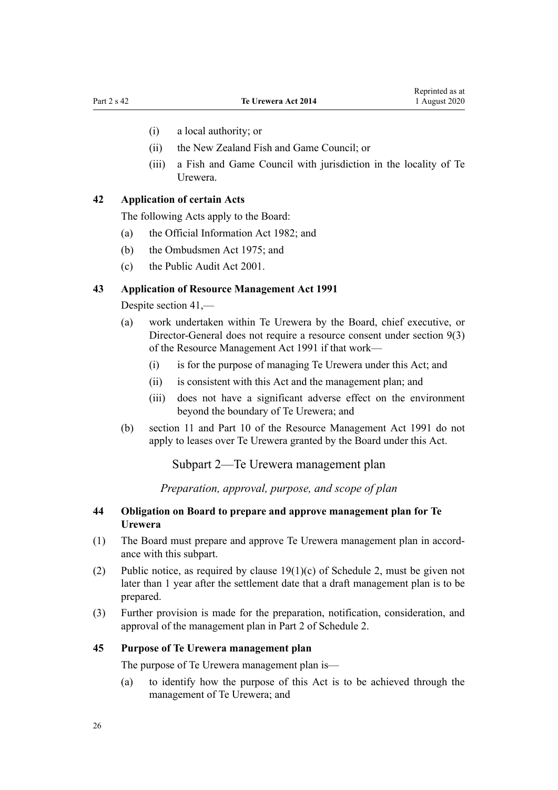- <span id="page-25-0"></span>(i) a local authority; or
- (ii) the New Zealand Fish and Game Council; or
- (iii) a Fish and Game Council with jurisdiction in the locality of Te Urewera.

## **42 Application of certain Acts**

The following Acts apply to the Board:

- (a) the [Official Information Act 1982;](http://legislation.govt.nz/pdflink.aspx?id=DLM64784) and
- (b) the [Ombudsmen Act 1975](http://legislation.govt.nz/pdflink.aspx?id=DLM430983); and
- (c) the [Public Audit Act 2001.](http://legislation.govt.nz/pdflink.aspx?id=DLM88540)

#### **43 Application of Resource Management Act 1991**

Despite [section 41](#page-24-0),—

- (a) work undertaken within Te Urewera by the Board, chief executive, or Director-General does not require a resource consent under [section 9\(3\)](http://legislation.govt.nz/pdflink.aspx?id=DLM231918) of the Resource Management Act 1991 if that work—
	- (i) is for the purpose of managing Te Urewera under this Act; and
	- (ii) is consistent with this Act and the management plan; and
	- (iii) does not have a significant adverse effect on the environment beyond the boundary of Te Urewera; and
- (b) [section 11](http://legislation.govt.nz/pdflink.aspx?id=DLM231942) and [Part 10](http://legislation.govt.nz/pdflink.aspx?id=DLM236786) of the Resource Management Act 1991 do not apply to leases over Te Urewera granted by the Board under this Act.

Subpart 2—Te Urewera management plan

*Preparation, approval, purpose, and scope of plan*

#### **44 Obligation on Board to prepare and approve management plan for Te Urewera**

- (1) The Board must prepare and approve Te Urewera management plan in accordance with this subpart.
- (2) Public notice, as required by clause  $19(1)(c)$  of Schedule 2, must be given not later than 1 year after the settlement date that a draft management plan is to be prepared.
- (3) Further provision is made for the preparation, notification, consideration, and approval of the management plan in [Part 2](#page-76-0) of Schedule 2.

#### **45 Purpose of Te Urewera management plan**

The purpose of Te Urewera management plan is—

(a) to identify how the purpose of this Act is to be achieved through the management of Te Urewera; and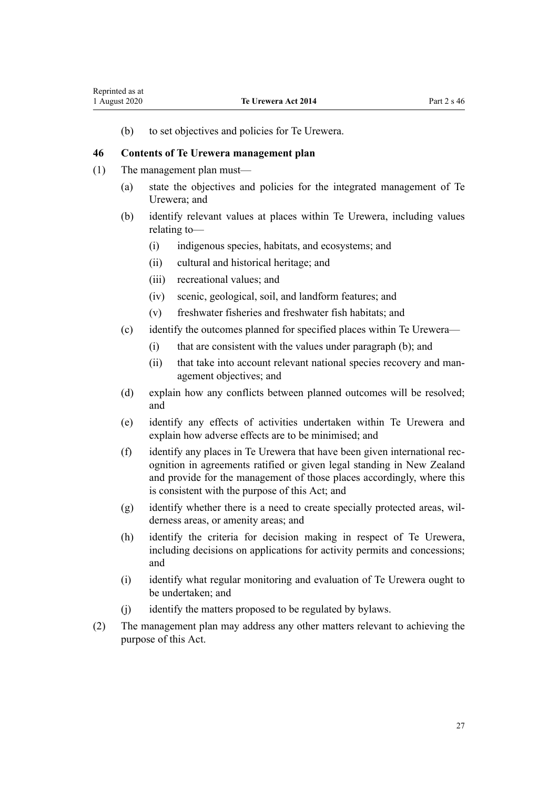<span id="page-26-0"></span>(b) to set objectives and policies for Te Urewera.

#### **46 Contents of Te Urewera management plan**

- (1) The management plan must—
	- (a) state the objectives and policies for the integrated management of Te Urewera; and
	- (b) identify relevant values at places within Te Urewera, including values relating to—
		- (i) indigenous species, habitats, and ecosystems; and
		- (ii) cultural and historical heritage; and
		- (iii) recreational values; and
		- (iv) scenic, geological, soil, and landform features; and
		- (v) freshwater fisheries and freshwater fish habitats; and
	- (c) identify the outcomes planned for specified places within Te Urewera—
		- (i) that are consistent with the values under paragraph (b); and
		- (ii) that take into account relevant national species recovery and management objectives; and
	- (d) explain how any conflicts between planned outcomes will be resolved; and
	- (e) identify any effects of activities undertaken within Te Urewera and explain how adverse effects are to be minimised; and
	- (f) identify any places in Te Urewera that have been given international recognition in agreements ratified or given legal standing in New Zealand and provide for the management of those places accordingly, where this is consistent with the purpose of this Act; and
	- (g) identify whether there is a need to create specially protected areas, wilderness areas, or amenity areas; and
	- (h) identify the criteria for decision making in respect of Te Urewera, including decisions on applications for activity permits and concessions; and
	- (i) identify what regular monitoring and evaluation of Te Urewera ought to be undertaken; and
	- (j) identify the matters proposed to be regulated by bylaws.
- (2) The management plan may address any other matters relevant to achieving the purpose of this Act.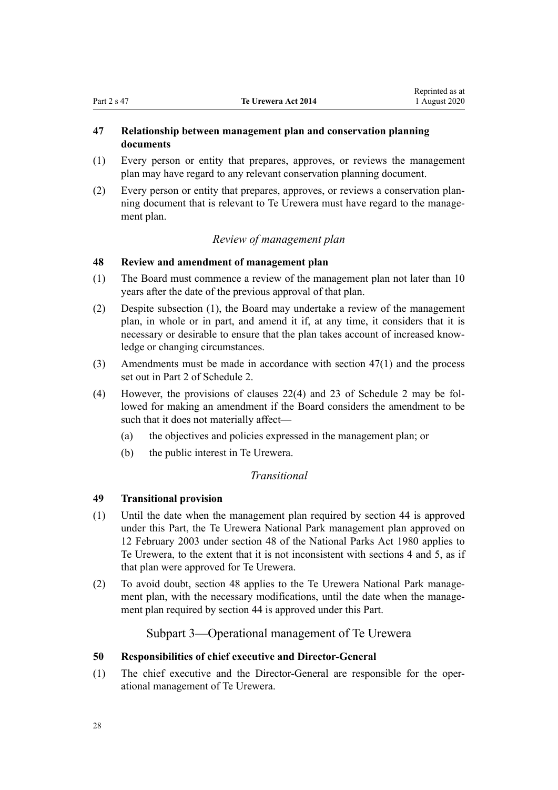## <span id="page-27-0"></span>**47 Relationship between management plan and conservation planning documents**

- (1) Every person or entity that prepares, approves, or reviews the management plan may have regard to any relevant conservation planning document.
- (2) Every person or entity that prepares, approves, or reviews a conservation planning document that is relevant to Te Urewera must have regard to the management plan.

## *Review of management plan*

## **48 Review and amendment of management plan**

- (1) The Board must commence a review of the management plan not later than 10 years after the date of the previous approval of that plan.
- (2) Despite subsection (1), the Board may undertake a review of the management plan, in whole or in part, and amend it if, at any time, it considers that it is necessary or desirable to ensure that the plan takes account of increased knowledge or changing circumstances.
- (3) Amendments must be made in accordance with section 47(1) and the process set out in [Part 2](#page-76-0) of Schedule 2.
- (4) However, the provisions of [clauses 22\(4\)](#page-77-0) and [23](#page-78-0) of Schedule 2 may be followed for making an amendment if the Board considers the amendment to be such that it does not materially affect—
	- (a) the objectives and policies expressed in the management plan; or
	- (b) the public interest in Te Urewera.

## *Transitional*

## **49 Transitional provision**

- (1) Until the date when the management plan required by [section 44](#page-25-0) is approved under this Part, the Te Urewera National Park management plan approved on 12 February 2003 under [section 48](http://legislation.govt.nz/pdflink.aspx?id=DLM38214) of the National Parks Act 1980 applies to Te Urewera, to the extent that it is not inconsistent with [sections 4](#page-8-0) and [5,](#page-8-0) as if that plan were approved for Te Urewera.
- (2) To avoid doubt, section 48 applies to the Te Urewera National Park management plan, with the necessary modifications, until the date when the management plan required by [section 44](#page-25-0) is approved under this Part.

## Subpart 3—Operational management of Te Urewera

## **50 Responsibilities of chief executive and Director-General**

(1) The chief executive and the Director-General are responsible for the operational management of Te Urewera.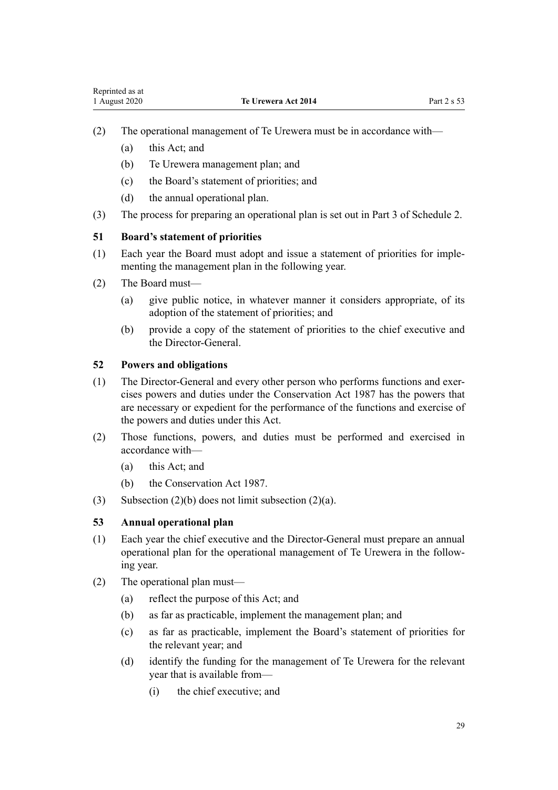- <span id="page-28-0"></span>(2) The operational management of Te Urewera must be in accordance with—
	- (a) this Act; and
	- (b) Te Urewera management plan; and
	- (c) the Board's statement of priorities; and
	- (d) the annual operational plan.
- (3) The process for preparing an operational plan is set out in [Part 3](#page-79-0) of Schedule 2.

## **51 Board's statement of priorities**

- (1) Each year the Board must adopt and issue a statement of priorities for implementing the management plan in the following year.
- (2) The Board must—
	- (a) give public notice, in whatever manner it considers appropriate, of its adoption of the statement of priorities; and
	- (b) provide a copy of the statement of priorities to the chief executive and the Director-General.

## **52 Powers and obligations**

- (1) The Director-General and every other person who performs functions and exercises powers and duties under the [Conservation Act 1987](http://legislation.govt.nz/pdflink.aspx?id=DLM103609) has the powers that are necessary or expedient for the performance of the functions and exercise of the powers and duties under this Act.
- (2) Those functions, powers, and duties must be performed and exercised in accordance with—
	- (a) this Act; and
	- (b) the [Conservation Act 1987.](http://legislation.govt.nz/pdflink.aspx?id=DLM103609)
- (3) Subsection  $(2)(b)$  does not limit subsection  $(2)(a)$ .

## **53 Annual operational plan**

- (1) Each year the chief executive and the Director-General must prepare an annual operational plan for the operational management of Te Urewera in the following year.
- (2) The operational plan must—
	- (a) reflect the purpose of this Act; and
	- (b) as far as practicable, implement the management plan; and
	- (c) as far as practicable, implement the Board's statement of priorities for the relevant year; and
	- (d) identify the funding for the management of Te Urewera for the relevant year that is available from—
		- (i) the chief executive; and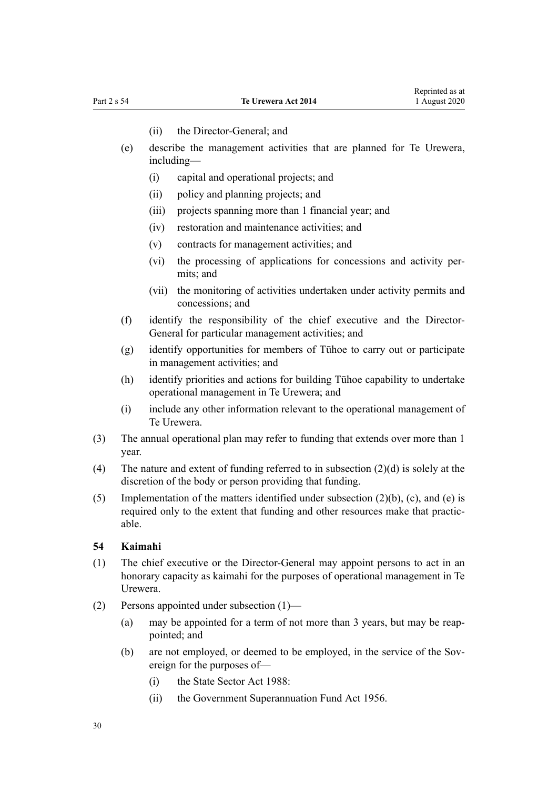- (ii) the Director-General; and
- <span id="page-29-0"></span>(e) describe the management activities that are planned for Te Urewera, including—
	- (i) capital and operational projects; and
	- (ii) policy and planning projects; and
	- (iii) projects spanning more than 1 financial year; and
	- (iv) restoration and maintenance activities; and
	- (v) contracts for management activities; and
	- (vi) the processing of applications for concessions and activity permits; and
	- (vii) the monitoring of activities undertaken under activity permits and concessions; and
- (f) identify the responsibility of the chief executive and the Director-General for particular management activities; and
- (g) identify opportunities for members of Tūhoe to carry out or participate in management activities; and
- (h) identify priorities and actions for building Tūhoe capability to undertake operational management in Te Urewera; and
- (i) include any other information relevant to the operational management of Te Urewera.
- (3) The annual operational plan may refer to funding that extends over more than 1 year.
- (4) The nature and extent of funding referred to in subsection (2)(d) is solely at the discretion of the body or person providing that funding.
- (5) Implementation of the matters identified under subsection (2)(b), (c), and (e) is required only to the extent that funding and other resources make that practicable.

#### **54 Kaimahi**

- (1) The chief executive or the Director-General may appoint persons to act in an honorary capacity as kaimahi for the purposes of operational management in Te Urewera.
- (2) Persons appointed under subsection (1)—
	- (a) may be appointed for a term of not more than 3 years, but may be reappointed; and
	- (b) are not employed, or deemed to be employed, in the service of the Sovereign for the purposes of—
		- (i) the [State Sector Act 1988:](http://legislation.govt.nz/pdflink.aspx?id=DLM129109)
		- (ii) the [Government Superannuation Fund Act 1956.](http://legislation.govt.nz/pdflink.aspx?id=DLM446000)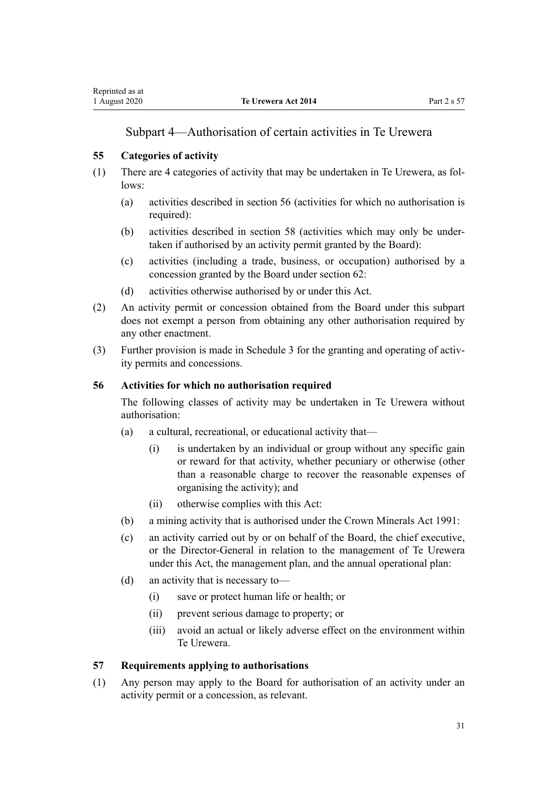## Subpart 4—Authorisation of certain activities in Te Urewera

## <span id="page-30-0"></span>**55 Categories of activity**

- (1) There are 4 categories of activity that may be undertaken in Te Urewera, as follows:
	- (a) activities described in section 56 (activities for which no authorisation is required):
	- (b) activities described in [section 58](#page-31-0) (activities which may only be undertaken if authorised by an activity permit granted by the Board):
	- (c) activities (including a trade, business, or occupation) authorised by a concession granted by the Board under [section 62](#page-32-0):
	- (d) activities otherwise authorised by or under this Act.
- (2) An activity permit or concession obtained from the Board under this subpart does not exempt a person from obtaining any other authorisation required by any other enactment.
- (3) Further provision is made in [Schedule 3](#page-80-0) for the granting and operating of activity permits and concessions.

### **56 Activities for which no authorisation required**

The following classes of activity may be undertaken in Te Urewera without authorisation:

- (a) a cultural, recreational, or educational activity that—
	- (i) is undertaken by an individual or group without any specific gain or reward for that activity, whether pecuniary or otherwise (other than a reasonable charge to recover the reasonable expenses of organising the activity); and
	- (ii) otherwise complies with this Act:
- (b) a mining activity that is authorised under the [Crown Minerals Act 1991:](http://legislation.govt.nz/pdflink.aspx?id=DLM242535)
- (c) an activity carried out by or on behalf of the Board, the chief executive, or the Director-General in relation to the management of Te Urewera under this Act, the management plan, and the annual operational plan:
- (d) an activity that is necessary to—
	- (i) save or protect human life or health; or
	- (ii) prevent serious damage to property; or
	- (iii) avoid an actual or likely adverse effect on the environment within Te Urewera.

#### **57 Requirements applying to authorisations**

(1) Any person may apply to the Board for authorisation of an activity under an activity permit or a concession, as relevant.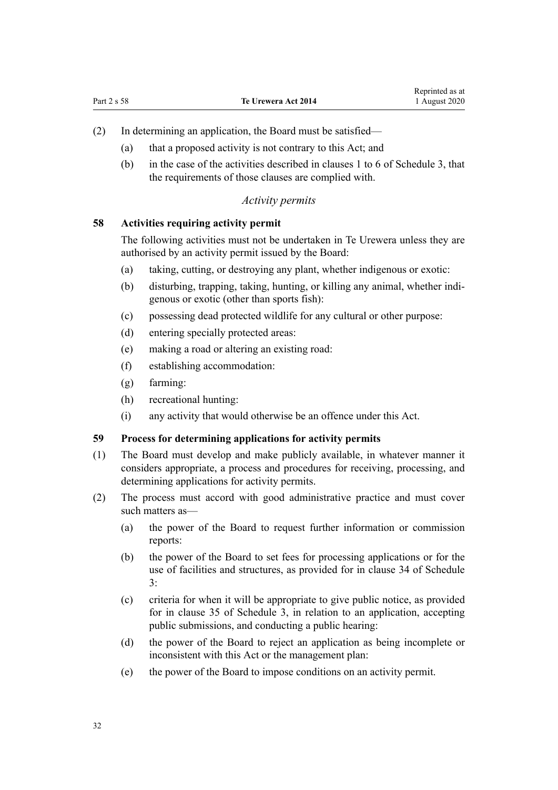- <span id="page-31-0"></span>(2) In determining an application, the Board must be satisfied—
	- (a) that a proposed activity is not contrary to this Act; and
	- (b) in the case of the activities described in [clauses 1 to 6](#page-81-0) of Schedule 3, that the requirements of those clauses are complied with.

#### *Activity permits*

#### **58 Activities requiring activity permit**

The following activities must not be undertaken in Te Urewera unless they are authorised by an activity permit issued by the Board:

- (a) taking, cutting, or destroying any plant, whether indigenous or exotic:
- (b) disturbing, trapping, taking, hunting, or killing any animal, whether indigenous or exotic (other than sports fish):
- (c) possessing dead protected wildlife for any cultural or other purpose:
- (d) entering specially protected areas:
- (e) making a road or altering an existing road:
- (f) establishing accommodation:
- (g) farming:
- (h) recreational hunting:
- (i) any activity that would otherwise be an offence under this Act.

#### **59 Process for determining applications for activity permits**

- (1) The Board must develop and make publicly available, in whatever manner it considers appropriate, a process and procedures for receiving, processing, and determining applications for activity permits.
- (2) The process must accord with good administrative practice and must cover such matters as—
	- (a) the power of the Board to request further information or commission reports:
	- (b) the power of the Board to set fees for processing applications or for the use of facilities and structures, as provided for in [clause 34](#page-97-0) of Schedule 3:
	- (c) criteria for when it will be appropriate to give public notice, as provided for in [clause 35](#page-98-0) of Schedule 3, in relation to an application, accepting public submissions, and conducting a public hearing:
	- (d) the power of the Board to reject an application as being incomplete or inconsistent with this Act or the management plan:
	- (e) the power of the Board to impose conditions on an activity permit.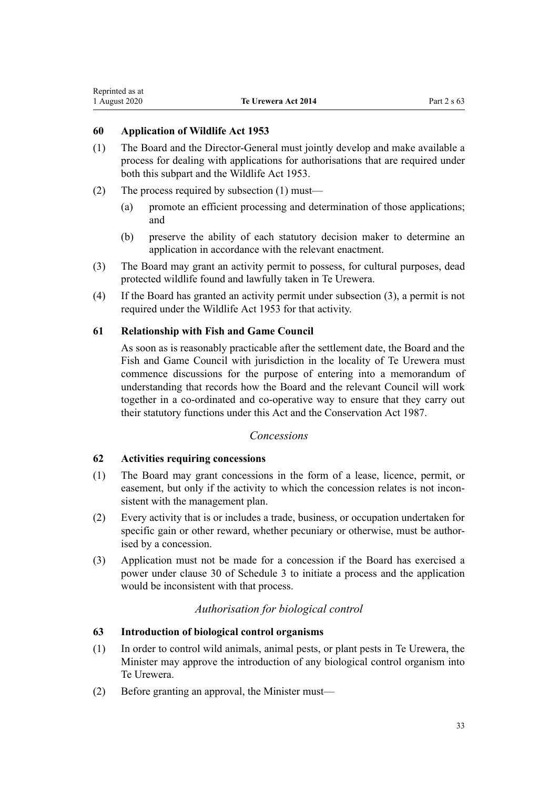## <span id="page-32-0"></span>**60 Application of Wildlife Act 1953**

- (1) The Board and the Director-General must jointly develop and make available a process for dealing with applications for authorisations that are required under both this subpart and the [Wildlife Act 1953](http://legislation.govt.nz/pdflink.aspx?id=DLM276813).
- (2) The process required by subsection (1) must—
	- (a) promote an efficient processing and determination of those applications; and
	- (b) preserve the ability of each statutory decision maker to determine an application in accordance with the relevant enactment.
- (3) The Board may grant an activity permit to possess, for cultural purposes, dead protected wildlife found and lawfully taken in Te Urewera.
- (4) If the Board has granted an activity permit under subsection (3), a permit is not required under the [Wildlife Act 1953](http://legislation.govt.nz/pdflink.aspx?id=DLM276813) for that activity.

## **61 Relationship with Fish and Game Council**

As soon as is reasonably practicable after the settlement date, the Board and the Fish and Game Council with jurisdiction in the locality of Te Urewera must commence discussions for the purpose of entering into a memorandum of understanding that records how the Board and the relevant Council will work together in a co-ordinated and co-operative way to ensure that they carry out their statutory functions under this Act and the [Conservation Act 1987](http://legislation.govt.nz/pdflink.aspx?id=DLM103609).

## *Concessions*

## **62 Activities requiring concessions**

- (1) The Board may grant concessions in the form of a lease, licence, permit, or easement, but only if the activity to which the concession relates is not inconsistent with the management plan.
- (2) Every activity that is or includes a trade, business, or occupation undertaken for specific gain or other reward, whether pecuniary or otherwise, must be authorised by a concession.
- (3) Application must not be made for a concession if the Board has exercised a power under [clause 30](#page-95-0) of Schedule 3 to initiate a process and the application would be inconsistent with that process.

## *Authorisation for biological control*

## **63 Introduction of biological control organisms**

- (1) In order to control wild animals, animal pests, or plant pests in Te Urewera, the Minister may approve the introduction of any biological control organism into Te Urewera.
- (2) Before granting an approval, the Minister must—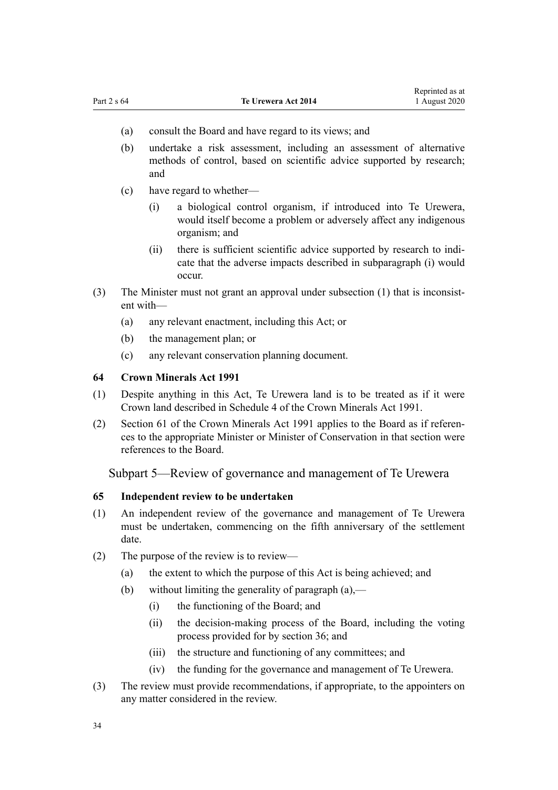- <span id="page-33-0"></span>(a) consult the Board and have regard to its views; and
- (b) undertake a risk assessment, including an assessment of alternative methods of control, based on scientific advice supported by research; and
- (c) have regard to whether—
	- (i) a biological control organism, if introduced into Te Urewera, would itself become a problem or adversely affect any indigenous organism; and
	- (ii) there is sufficient scientific advice supported by research to indicate that the adverse impacts described in subparagraph (i) would occur.
- (3) The Minister must not grant an approval under subsection (1) that is inconsistent with—
	- (a) any relevant enactment, including this Act; or
	- (b) the management plan; or
	- (c) any relevant conservation planning document.

#### **64 Crown Minerals Act 1991**

- (1) Despite anything in this Act, Te Urewera land is to be treated as if it were Crown land described in [Schedule 4](http://legislation.govt.nz/pdflink.aspx?id=DLM247378) of the Crown Minerals Act 1991.
- (2) [Section 61](http://legislation.govt.nz/pdflink.aspx?id=DLM246714) of the Crown Minerals Act 1991 applies to the Board as if references to the appropriate Minister or Minister of Conservation in that section were references to the Board.

Subpart 5—Review of governance and management of Te Urewera

#### **65 Independent review to be undertaken**

- (1) An independent review of the governance and management of Te Urewera must be undertaken, commencing on the fifth anniversary of the settlement date.
- (2) The purpose of the review is to review—
	- (a) the extent to which the purpose of this Act is being achieved; and
	- (b) without limiting the generality of paragraph  $(a)$ ,—
		- (i) the functioning of the Board; and
		- (ii) the decision-making process of the Board, including the voting process provided for by [section 36;](#page-23-0) and
		- (iii) the structure and functioning of any committees; and
		- (iv) the funding for the governance and management of Te Urewera.
- (3) The review must provide recommendations, if appropriate, to the appointers on any matter considered in the review.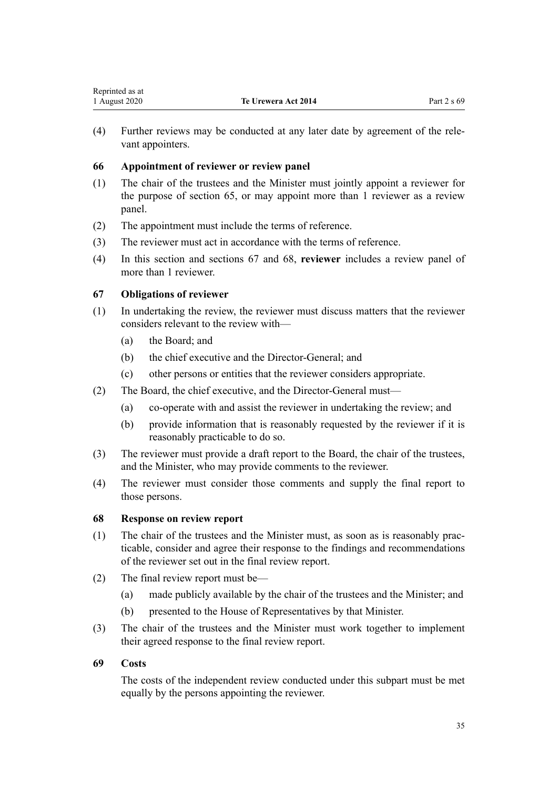<span id="page-34-0"></span>(4) Further reviews may be conducted at any later date by agreement of the relevant appointers.

## **66 Appointment of reviewer or review panel**

- (1) The chair of the trustees and the Minister must jointly appoint a reviewer for the purpose of [section 65,](#page-33-0) or may appoint more than 1 reviewer as a review panel.
- (2) The appointment must include the terms of reference.
- (3) The reviewer must act in accordance with the terms of reference.
- (4) In this section and sections 67 and 68, **reviewer** includes a review panel of more than 1 reviewer.

## **67 Obligations of reviewer**

- (1) In undertaking the review, the reviewer must discuss matters that the reviewer considers relevant to the review with—
	- (a) the Board; and
	- (b) the chief executive and the Director-General; and
	- (c) other persons or entities that the reviewer considers appropriate.
- (2) The Board, the chief executive, and the Director-General must—
	- (a) co-operate with and assist the reviewer in undertaking the review; and
	- (b) provide information that is reasonably requested by the reviewer if it is reasonably practicable to do so.
- (3) The reviewer must provide a draft report to the Board, the chair of the trustees, and the Minister, who may provide comments to the reviewer.
- (4) The reviewer must consider those comments and supply the final report to those persons.

## **68 Response on review report**

- (1) The chair of the trustees and the Minister must, as soon as is reasonably practicable, consider and agree their response to the findings and recommendations of the reviewer set out in the final review report.
- (2) The final review report must be—
	- (a) made publicly available by the chair of the trustees and the Minister; and
	- (b) presented to the House of Representatives by that Minister.
- (3) The chair of the trustees and the Minister must work together to implement their agreed response to the final review report.

## **69 Costs**

The costs of the independent review conducted under this subpart must be met equally by the persons appointing the reviewer.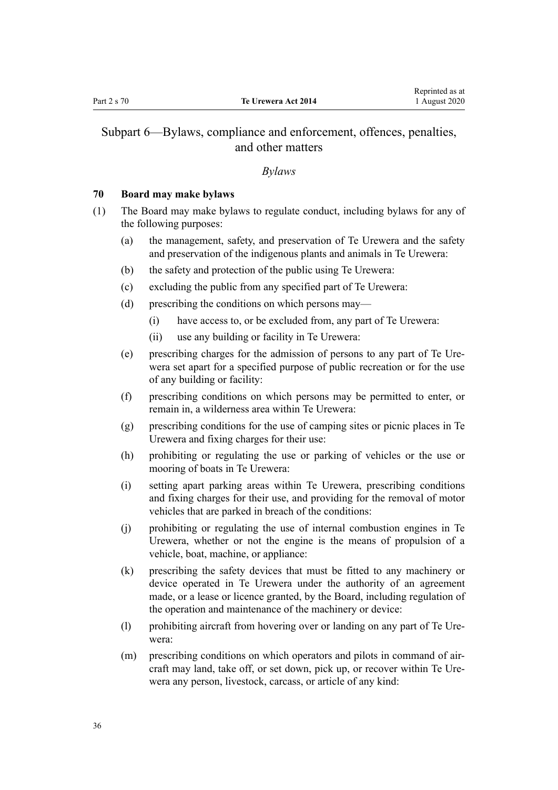# <span id="page-35-0"></span>Subpart 6—Bylaws, compliance and enforcement, offences, penalties, and other matters

#### *Bylaws*

## **70 Board may make bylaws**

- (1) The Board may make bylaws to regulate conduct, including bylaws for any of the following purposes:
	- (a) the management, safety, and preservation of Te Urewera and the safety and preservation of the indigenous plants and animals in Te Urewera:
	- (b) the safety and protection of the public using Te Urewera:
	- (c) excluding the public from any specified part of Te Urewera:
	- (d) prescribing the conditions on which persons may—
		- (i) have access to, or be excluded from, any part of Te Urewera:
		- (ii) use any building or facility in Te Urewera:
	- (e) prescribing charges for the admission of persons to any part of Te Urewera set apart for a specified purpose of public recreation or for the use of any building or facility:
	- (f) prescribing conditions on which persons may be permitted to enter, or remain in, a wilderness area within Te Urewera:
	- (g) prescribing conditions for the use of camping sites or picnic places in Te Urewera and fixing charges for their use:
	- (h) prohibiting or regulating the use or parking of vehicles or the use or mooring of boats in Te Urewera:
	- (i) setting apart parking areas within Te Urewera, prescribing conditions and fixing charges for their use, and providing for the removal of motor vehicles that are parked in breach of the conditions:
	- (j) prohibiting or regulating the use of internal combustion engines in Te Urewera, whether or not the engine is the means of propulsion of a vehicle, boat, machine, or appliance:
	- (k) prescribing the safety devices that must be fitted to any machinery or device operated in Te Urewera under the authority of an agreement made, or a lease or licence granted, by the Board, including regulation of the operation and maintenance of the machinery or device:
	- (l) prohibiting aircraft from hovering over or landing on any part of Te Urewera:
	- (m) prescribing conditions on which operators and pilots in command of aircraft may land, take off, or set down, pick up, or recover within Te Urewera any person, livestock, carcass, or article of any kind: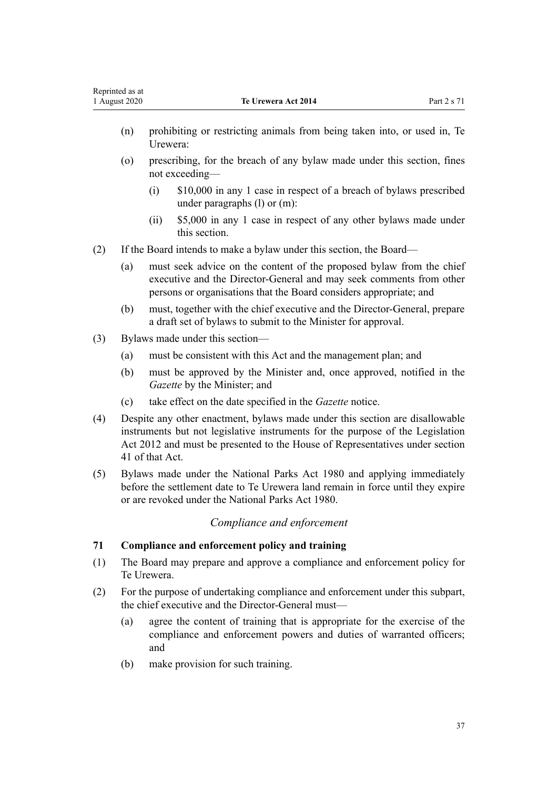- (o) prescribing, for the breach of any bylaw made under this section, fines not exceeding—
	- (i) \$10,000 in any 1 case in respect of a breach of bylaws prescribed under paragraphs (l) or (m):
	- (ii) \$5,000 in any 1 case in respect of any other bylaws made under this section.
- (2) If the Board intends to make a bylaw under this section, the Board—
	- (a) must seek advice on the content of the proposed bylaw from the chief executive and the Director-General and may seek comments from other persons or organisations that the Board considers appropriate; and
	- (b) must, together with the chief executive and the Director-General, prepare a draft set of bylaws to submit to the Minister for approval.
- (3) Bylaws made under this section—
	- (a) must be consistent with this Act and the management plan; and
	- (b) must be approved by the Minister and, once approved, notified in the *Gazette* by the Minister; and
	- (c) take effect on the date specified in the *Gazette* notice.
- (4) Despite any other enactment, bylaws made under this section are disallowable instruments but not legislative instruments for the purpose of the [Legislation](http://legislation.govt.nz/pdflink.aspx?id=DLM2997643) [Act 2012](http://legislation.govt.nz/pdflink.aspx?id=DLM2997643) and must be presented to the House of Representatives under [section](http://legislation.govt.nz/pdflink.aspx?id=DLM2998573) [41](http://legislation.govt.nz/pdflink.aspx?id=DLM2998573) of that Act.
- (5) Bylaws made under the [National Parks Act 1980](http://legislation.govt.nz/pdflink.aspx?id=DLM36962) and applying immediately before the settlement date to Te Urewera land remain in force until they expire or are revoked under the National Parks Act 1980.

# *Compliance and enforcement*

## **71 Compliance and enforcement policy and training**

- (1) The Board may prepare and approve a compliance and enforcement policy for Te Urewera.
- (2) For the purpose of undertaking compliance and enforcement under this subpart, the chief executive and the Director-General must—
	- (a) agree the content of training that is appropriate for the exercise of the compliance and enforcement powers and duties of warranted officers; and
	- (b) make provision for such training.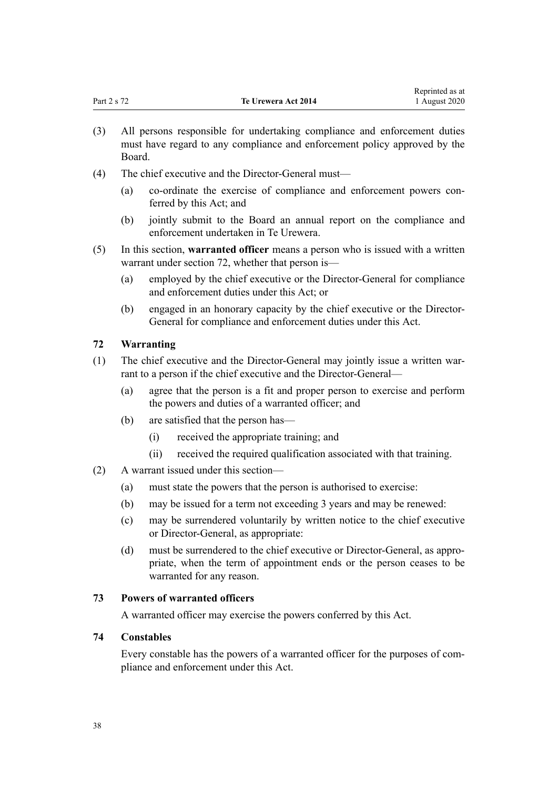|             |                     | reprinted as at |
|-------------|---------------------|-----------------|
| Part 2 s 72 | Te Urewera Act 2014 | 1 August 2020   |

Reprinted as at

- (3) All persons responsible for undertaking compliance and enforcement duties must have regard to any compliance and enforcement policy approved by the Board.
- (4) The chief executive and the Director-General must—
	- (a) co-ordinate the exercise of compliance and enforcement powers conferred by this Act; and
	- (b) jointly submit to the Board an annual report on the compliance and enforcement undertaken in Te Urewera.
- (5) In this section, **warranted officer** means a person who is issued with a written warrant under section 72, whether that person is—
	- (a) employed by the chief executive or the Director-General for compliance and enforcement duties under this Act; or
	- (b) engaged in an honorary capacity by the chief executive or the Director-General for compliance and enforcement duties under this Act.

# **72 Warranting**

- (1) The chief executive and the Director-General may jointly issue a written warrant to a person if the chief executive and the Director-General—
	- (a) agree that the person is a fit and proper person to exercise and perform the powers and duties of a warranted officer; and
	- (b) are satisfied that the person has—
		- (i) received the appropriate training; and
		- (ii) received the required qualification associated with that training.
- (2) A warrant issued under this section—
	- (a) must state the powers that the person is authorised to exercise:
	- (b) may be issued for a term not exceeding 3 years and may be renewed:
	- (c) may be surrendered voluntarily by written notice to the chief executive or Director-General, as appropriate:
	- (d) must be surrendered to the chief executive or Director-General, as appropriate, when the term of appointment ends or the person ceases to be warranted for any reason.

## **73 Powers of warranted officers**

A warranted officer may exercise the powers conferred by this Act.

## **74 Constables**

Every constable has the powers of a warranted officer for the purposes of compliance and enforcement under this Act.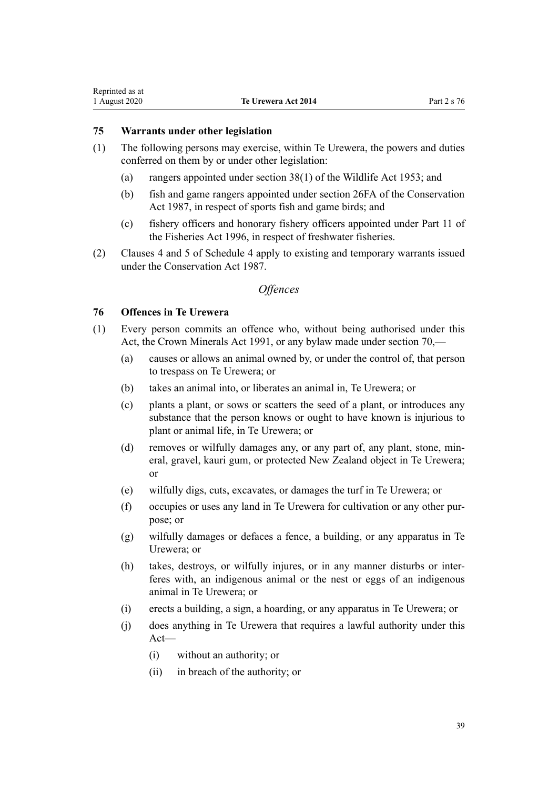## <span id="page-38-0"></span>**75 Warrants under other legislation**

- (1) The following persons may exercise, within Te Urewera, the powers and duties conferred on them by or under other legislation:
	- (a) rangers appointed under [section 38\(1\)](http://legislation.govt.nz/pdflink.aspx?id=DLM277803) of the Wildlife Act 1953; and
	- (b) fish and game rangers appointed under [section 26FA](http://legislation.govt.nz/pdflink.aspx?id=DLM104989) of the Conservation Act 1987, in respect of sports fish and game birds; and
	- (c) fishery officers and honorary fishery officers appointed under [Part 11](http://legislation.govt.nz/pdflink.aspx?id=DLM398399) of the Fisheries Act 1996, in respect of freshwater fisheries.
- (2) [Clauses 4](#page-101-0) and [5](#page-101-0) of Schedule 4 apply to existing and temporary warrants issued under the [Conservation Act 1987.](http://legislation.govt.nz/pdflink.aspx?id=DLM103609)

# *Offences*

# **76 Offences in Te Urewera**

- (1) Every person commits an offence who, without being authorised under this Act, the [Crown Minerals Act 1991,](http://legislation.govt.nz/pdflink.aspx?id=DLM242535) or any bylaw made under [section 70](#page-35-0),—
	- (a) causes or allows an animal owned by, or under the control of, that person to trespass on Te Urewera; or
	- (b) takes an animal into, or liberates an animal in, Te Urewera; or
	- (c) plants a plant, or sows or scatters the seed of a plant, or introduces any substance that the person knows or ought to have known is injurious to plant or animal life, in Te Urewera; or
	- (d) removes or wilfully damages any, or any part of, any plant, stone, mineral, gravel, kauri gum, or protected New Zealand object in Te Urewera; or
	- (e) wilfully digs, cuts, excavates, or damages the turf in Te Urewera; or
	- (f) occupies or uses any land in Te Urewera for cultivation or any other purpose; or
	- (g) wilfully damages or defaces a fence, a building, or any apparatus in Te Urewera; or
	- (h) takes, destroys, or wilfully injures, or in any manner disturbs or interferes with, an indigenous animal or the nest or eggs of an indigenous animal in Te Urewera; or
	- (i) erects a building, a sign, a hoarding, or any apparatus in Te Urewera; or
	- (j) does anything in Te Urewera that requires a lawful authority under this Act—
		- (i) without an authority; or
		- (ii) in breach of the authority; or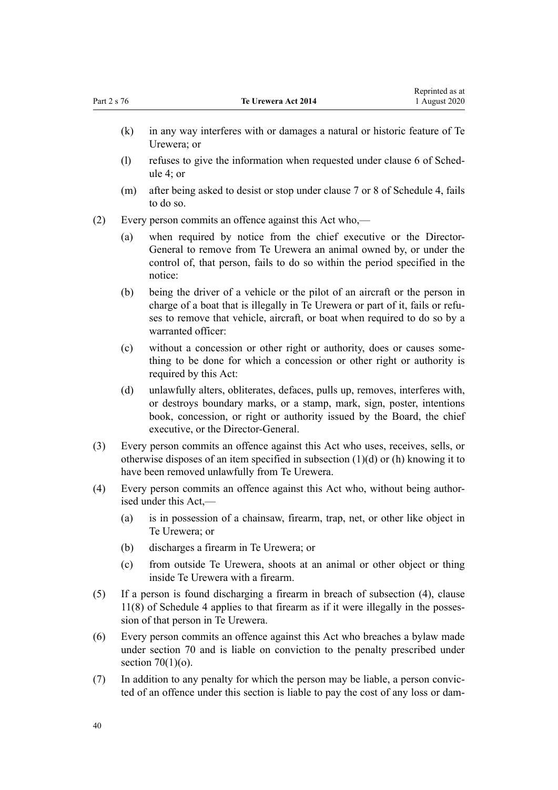- (k) in any way interferes with or damages a natural or historic feature of Te Urewera; or
- (l) refuses to give the information when requested under [clause 6](#page-101-0) of Schedule 4; or
- (m) after being asked to desist or stop under [clause 7](#page-101-0) or [8](#page-102-0) of Schedule 4, fails to do so.
- (2) Every person commits an offence against this Act who,—
	- (a) when required by notice from the chief executive or the Director-General to remove from Te Urewera an animal owned by, or under the control of, that person, fails to do so within the period specified in the notice:
	- (b) being the driver of a vehicle or the pilot of an aircraft or the person in charge of a boat that is illegally in Te Urewera or part of it, fails or refuses to remove that vehicle, aircraft, or boat when required to do so by a warranted officer:
	- (c) without a concession or other right or authority, does or causes something to be done for which a concession or other right or authority is required by this Act:
	- (d) unlawfully alters, obliterates, defaces, pulls up, removes, interferes with, or destroys boundary marks, or a stamp, mark, sign, poster, intentions book, concession, or right or authority issued by the Board, the chief executive, or the Director-General.
- (3) Every person commits an offence against this Act who uses, receives, sells, or otherwise disposes of an item specified in subsection (1)(d) or (h) knowing it to have been removed unlawfully from Te Urewera.
- (4) Every person commits an offence against this Act who, without being authorised under this Act,—
	- (a) is in possession of a chainsaw, firearm, trap, net, or other like object in Te Urewera; or
	- (b) discharges a firearm in Te Urewera; or
	- (c) from outside Te Urewera, shoots at an animal or other object or thing inside Te Urewera with a firearm.
- (5) If a person is found discharging a firearm in breach of subsection (4), [clause](#page-102-0) [11\(8\)](#page-102-0) of Schedule 4 applies to that firearm as if it were illegally in the possession of that person in Te Urewera.
- (6) Every person commits an offence against this Act who breaches a bylaw made under [section 70](#page-35-0) and is liable on conviction to the penalty prescribed under section  $70(1)(o)$ .
- (7) In addition to any penalty for which the person may be liable, a person convicted of an offence under this section is liable to pay the cost of any loss or dam-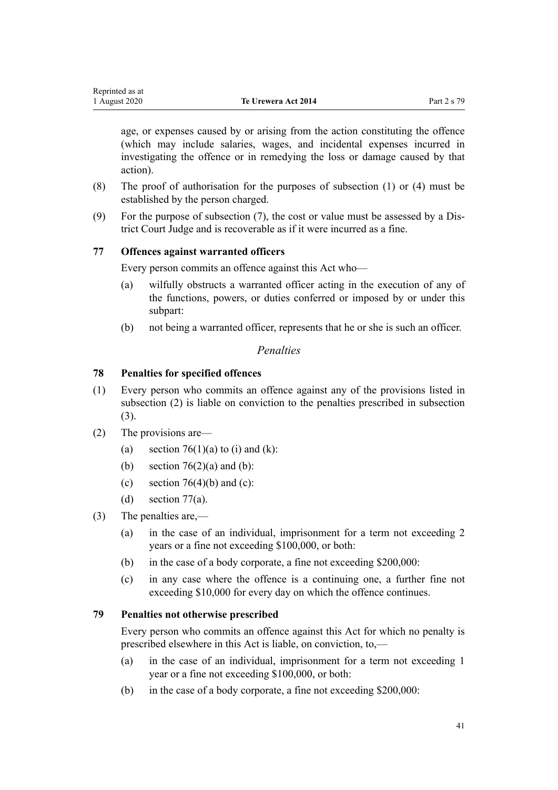<span id="page-40-0"></span>

| Reprinted as at |                     |             |
|-----------------|---------------------|-------------|
| 1 August 2020   | Te Urewera Act 2014 | Part 2 s 79 |

age, or expenses caused by or arising from the action constituting the offence (which may include salaries, wages, and incidental expenses incurred in investigating the offence or in remedying the loss or damage caused by that action).

- (8) The proof of authorisation for the purposes of subsection (1) or (4) must be established by the person charged.
- (9) For the purpose of subsection (7), the cost or value must be assessed by a District Court Judge and is recoverable as if it were incurred as a fine.

# **77 Offences against warranted officers**

Every person commits an offence against this Act who—

- (a) wilfully obstructs a warranted officer acting in the execution of any of the functions, powers, or duties conferred or imposed by or under this subpart:
- (b) not being a warranted officer, represents that he or she is such an officer.

# *Penalties*

## **78 Penalties for specified offences**

- (1) Every person who commits an offence against any of the provisions listed in subsection (2) is liable on conviction to the penalties prescribed in subsection (3).
- (2) The provisions are—
	- (a) section  $76(1)(a)$  to (i) and (k):
	- (b) section  $76(2)(a)$  and (b):
	- (c) section  $76(4)(b)$  and (c):
	- (d) section  $77(a)$ .
- (3) The penalties are,—
	- (a) in the case of an individual, imprisonment for a term not exceeding 2 years or a fine not exceeding \$100,000, or both:
	- (b) in the case of a body corporate, a fine not exceeding \$200,000:
	- (c) in any case where the offence is a continuing one, a further fine not exceeding \$10,000 for every day on which the offence continues.

## **79 Penalties not otherwise prescribed**

Every person who commits an offence against this Act for which no penalty is prescribed elsewhere in this Act is liable, on conviction, to,—

- (a) in the case of an individual, imprisonment for a term not exceeding 1 year or a fine not exceeding \$100,000, or both:
- (b) in the case of a body corporate, a fine not exceeding \$200,000: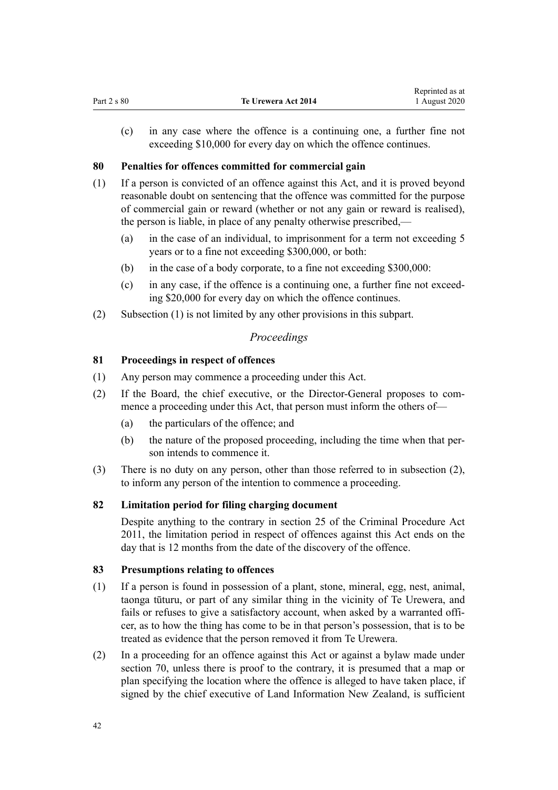(c) in any case where the offence is a continuing one, a further fine not exceeding \$10,000 for every day on which the offence continues.

# **80 Penalties for offences committed for commercial gain**

- (1) If a person is convicted of an offence against this Act, and it is proved beyond reasonable doubt on sentencing that the offence was committed for the purpose of commercial gain or reward (whether or not any gain or reward is realised), the person is liable, in place of any penalty otherwise prescribed,—
	- (a) in the case of an individual, to imprisonment for a term not exceeding 5 years or to a fine not exceeding \$300,000, or both:
	- (b) in the case of a body corporate, to a fine not exceeding \$300,000:
	- (c) in any case, if the offence is a continuing one, a further fine not exceeding \$20,000 for every day on which the offence continues.
- (2) Subsection (1) is not limited by any other provisions in this subpart.

# *Proceedings*

# **81 Proceedings in respect of offences**

- (1) Any person may commence a proceeding under this Act.
- (2) If the Board, the chief executive, or the Director-General proposes to commence a proceeding under this Act, that person must inform the others of—
	- (a) the particulars of the offence; and
	- (b) the nature of the proposed proceeding, including the time when that person intends to commence it.
- (3) There is no duty on any person, other than those referred to in subsection (2), to inform any person of the intention to commence a proceeding.

# **82 Limitation period for filing charging document**

Despite anything to the contrary in section 25 of the Criminal Procedure Act 2011, the limitation period in respect of offences against this Act ends on the day that is 12 months from the date of the discovery of the offence.

# **83 Presumptions relating to offences**

- (1) If a person is found in possession of a plant, stone, mineral, egg, nest, animal, taonga tūturu, or part of any similar thing in the vicinity of Te Urewera, and fails or refuses to give a satisfactory account, when asked by a warranted officer, as to how the thing has come to be in that person's possession, that is to be treated as evidence that the person removed it from Te Urewera.
- (2) In a proceeding for an offence against this Act or against a bylaw made under [section 70](#page-35-0), unless there is proof to the contrary, it is presumed that a map or plan specifying the location where the offence is alleged to have taken place, if signed by the chief executive of Land Information New Zealand, is sufficient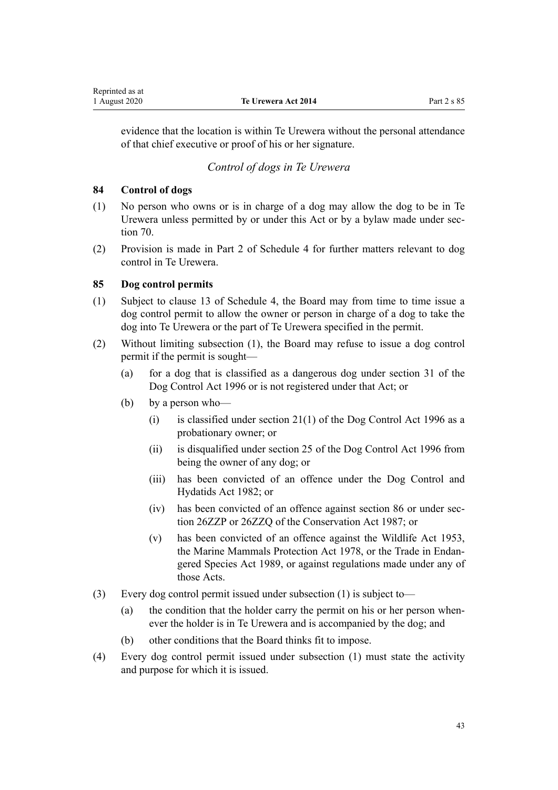<span id="page-42-0"></span>evidence that the location is within Te Urewera without the personal attendance of that chief executive or proof of his or her signature.

# *Control of dogs in Te Urewera*

## **84 Control of dogs**

- (1) No person who owns or is in charge of a dog may allow the dog to be in Te Urewera unless permitted by or under this Act or by a bylaw made under [sec](#page-35-0)[tion 70](#page-35-0).
- (2) Provision is made in [Part 2](#page-107-0) of Schedule 4 for further matters relevant to dog control in Te Urewera.

## **85 Dog control permits**

- (1) Subject to [clause 13](#page-104-0) of Schedule 4, the Board may from time to time issue a dog control permit to allow the owner or person in charge of a dog to take the dog into Te Urewera or the part of Te Urewera specified in the permit.
- (2) Without limiting subsection (1), the Board may refuse to issue a dog control permit if the permit is sought—
	- (a) for a dog that is classified as a dangerous dog under [section 31](http://legislation.govt.nz/pdflink.aspx?id=DLM374887) of the Dog Control Act 1996 or is not registered under that Act; or
	- (b) by a person who—
		- (i) is classified under section  $21(1)$  of the Dog Control Act 1996 as a probationary owner; or
		- (ii) is disqualified under [section 25](http://legislation.govt.nz/pdflink.aspx?id=DLM374853) of the Dog Control Act 1996 from being the owner of any dog; or
		- (iii) has been convicted of an offence under the Dog Control and Hydatids Act 1982; or
		- (iv) has been convicted of an offence against [section 86](#page-43-0) or under [sec](http://legislation.govt.nz/pdflink.aspx?id=DLM106092)[tion 26ZZP](http://legislation.govt.nz/pdflink.aspx?id=DLM106092) or [26ZZQ](http://legislation.govt.nz/pdflink.aspx?id=DLM106094) of the Conservation Act 1987; or
		- (v) has been convicted of an offence against the [Wildlife Act 1953](http://legislation.govt.nz/pdflink.aspx?id=DLM276813), the [Marine Mammals Protection Act 1978](http://legislation.govt.nz/pdflink.aspx?id=DLM25110), or the [Trade in Endan](http://legislation.govt.nz/pdflink.aspx?id=DLM145965)[gered Species Act 1989](http://legislation.govt.nz/pdflink.aspx?id=DLM145965), or against regulations made under any of those Acts.
- (3) Every dog control permit issued under subsection (1) is subject to—
	- (a) the condition that the holder carry the permit on his or her person whenever the holder is in Te Urewera and is accompanied by the dog; and
	- (b) other conditions that the Board thinks fit to impose.
- (4) Every dog control permit issued under subsection (1) must state the activity and purpose for which it is issued.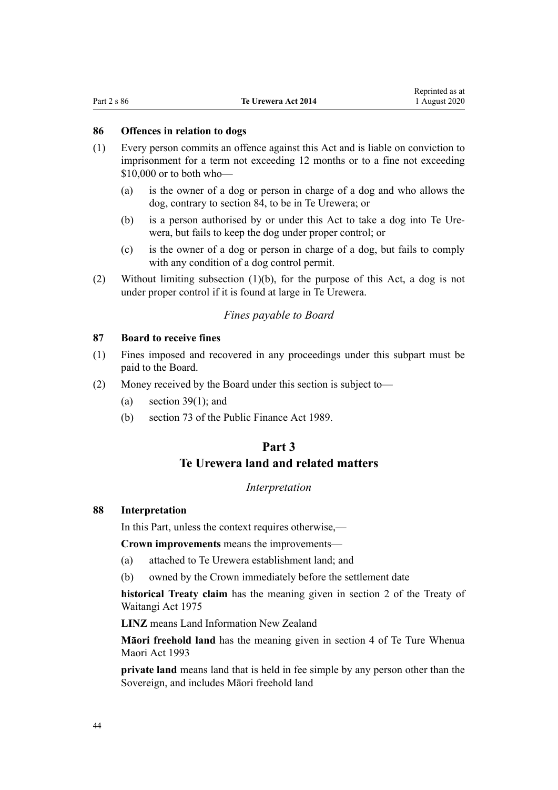## <span id="page-43-0"></span>**86 Offences in relation to dogs**

- (1) Every person commits an offence against this Act and is liable on conviction to imprisonment for a term not exceeding 12 months or to a fine not exceeding \$10,000 or to both who—
	- (a) is the owner of a dog or person in charge of a dog and who allows the dog, contrary to [section 84](#page-42-0), to be in Te Urewera; or
	- (b) is a person authorised by or under this Act to take a dog into Te Urewera, but fails to keep the dog under proper control; or
	- (c) is the owner of a dog or person in charge of a dog, but fails to comply with any condition of a dog control permit.
- (2) Without limiting subsection (1)(b), for the purpose of this Act, a dog is not under proper control if it is found at large in Te Urewera.

# *Fines payable to Board*

## **87 Board to receive fines**

- (1) Fines imposed and recovered in any proceedings under this subpart must be paid to the Board.
- (2) Money received by the Board under this section is subject to—
	- (a) section  $39(1)$ ; and
	- (b) [section 73](http://legislation.govt.nz/pdflink.aspx?id=DLM163137) of the Public Finance Act 1989.

# **Part 3 Te Urewera land and related matters**

## *Interpretation*

## **88 Interpretation**

In this Part, unless the context requires otherwise,—

**Crown improvements** means the improvements—

- (a) attached to Te Urewera establishment land; and
- (b) owned by the Crown immediately before the settlement date

**historical Treaty claim** has the meaning given in [section 2](http://legislation.govt.nz/pdflink.aspx?id=DLM435375) of the Treaty of Waitangi Act 1975

**LINZ** means Land Information New Zealand

**Māori freehold land** has the meaning given in [section 4](http://legislation.govt.nz/pdflink.aspx?id=DLM289897) of Te Ture Whenua Maori Act 1993

**private land** means land that is held in fee simple by any person other than the Sovereign, and includes Māori freehold land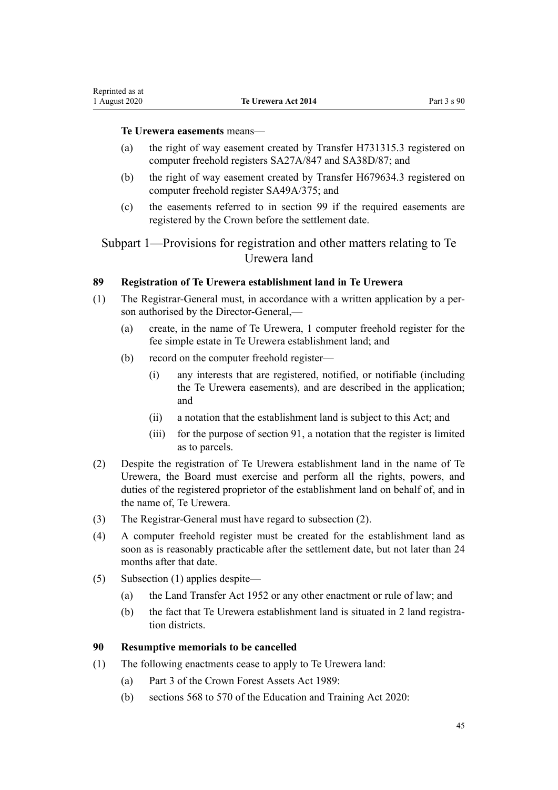### **Te Urewera easements** means—

- (a) the right of way easement created by Transfer H731315.3 registered on computer freehold registers SA27A/847 and SA38D/87; and
- (b) the right of way easement created by Transfer H679634.3 registered on computer freehold register SA49A/375; and
- (c) the easements referred to in [section 99](#page-48-0) if the required easements are registered by the Crown before the settlement date.

Subpart 1—Provisions for registration and other matters relating to Te Urewera land

## **89 Registration of Te Urewera establishment land in Te Urewera**

- (1) The Registrar-General must, in accordance with a written application by a person authorised by the Director-General,—
	- (a) create, in the name of Te Urewera, 1 computer freehold register for the fee simple estate in Te Urewera establishment land; and
	- (b) record on the computer freehold register—
		- (i) any interests that are registered, notified, or notifiable (including the Te Urewera easements), and are described in the application; and
		- (ii) a notation that the establishment land is subject to this Act; and
		- (iii) for the purpose of [section 91](#page-45-0), a notation that the register is limited as to parcels.
- (2) Despite the registration of Te Urewera establishment land in the name of Te Urewera, the Board must exercise and perform all the rights, powers, and duties of the registered proprietor of the establishment land on behalf of, and in the name of, Te Urewera.
- (3) The Registrar-General must have regard to subsection (2).
- (4) A computer freehold register must be created for the establishment land as soon as is reasonably practicable after the settlement date, but not later than 24 months after that date.
- (5) Subsection (1) applies despite—
	- (a) the [Land Transfer Act 1952](http://legislation.govt.nz/pdflink.aspx?id=DLM269031) or any other enactment or rule of law; and
	- (b) the fact that Te Urewera establishment land is situated in 2 land registration districts.

## **90 Resumptive memorials to be cancelled**

- (1) The following enactments cease to apply to Te Urewera land:
	- (a) [Part 3](http://legislation.govt.nz/pdflink.aspx?id=DLM192356) of the Crown Forest Assets Act 1989:
	- (b) [sections 568 to 570](http://legislation.govt.nz/pdflink.aspx?id=LMS172546) of the Education and Training Act 2020: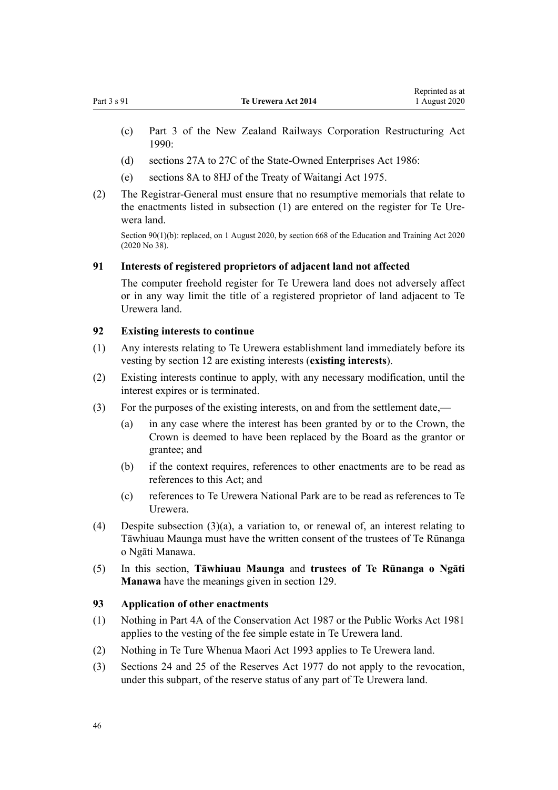- <span id="page-45-0"></span>(c) [Part 3](http://legislation.govt.nz/pdflink.aspx?id=DLM223144) of the New Zealand Railways Corporation Restructuring Act  $1990$
- (d) [sections 27A to 27C](http://legislation.govt.nz/pdflink.aspx?id=DLM98097) of the State-Owned Enterprises Act 1986:
- (e) [sections 8A to 8HJ](http://legislation.govt.nz/pdflink.aspx?id=DLM435544) of the Treaty of Waitangi Act 1975.
- (2) The Registrar-General must ensure that no resumptive memorials that relate to the enactments listed in subsection (1) are entered on the register for Te Urewera land.

Section 90(1)(b): replaced, on 1 August 2020, by [section 668](http://legislation.govt.nz/pdflink.aspx?id=LMS367713) of the Education and Training Act 2020 (2020 No 38).

## **91 Interests of registered proprietors of adjacent land not affected**

The computer freehold register for Te Urewera land does not adversely affect or in any way limit the title of a registered proprietor of land adjacent to Te Urewera land.

## **92 Existing interests to continue**

- (1) Any interests relating to Te Urewera establishment land immediately before its vesting by [section 12](#page-14-0) are existing interests (**existing interests**).
- (2) Existing interests continue to apply, with any necessary modification, until the interest expires or is terminated.
- (3) For the purposes of the existing interests, on and from the settlement date,—
	- (a) in any case where the interest has been granted by or to the Crown, the Crown is deemed to have been replaced by the Board as the grantor or grantee; and
	- (b) if the context requires, references to other enactments are to be read as references to this Act; and
	- (c) references to Te Urewera National Park are to be read as references to Te Urewera.
- (4) Despite subsection (3)(a), a variation to, or renewal of, an interest relating to Tāwhiuau Maunga must have the written consent of the trustees of Te Rūnanga o Ngāti Manawa.
- (5) In this section, **Tāwhiuau Maunga** and **trustees of Te Rūnanga o Ngāti Manawa** have the meanings given in [section 129](#page-63-0).

### **93 Application of other enactments**

- (1) Nothing in [Part 4A](http://legislation.govt.nz/pdflink.aspx?id=DLM104697) of the Conservation Act 1987 or the [Public Works Act 1981](http://legislation.govt.nz/pdflink.aspx?id=DLM45426) applies to the vesting of the fee simple estate in Te Urewera land.
- (2) Nothing in [Te Ture Whenua Maori Act 1993](http://legislation.govt.nz/pdflink.aspx?id=DLM289881) applies to Te Urewera land.
- (3) [Sections 24](http://legislation.govt.nz/pdflink.aspx?id=DLM444632) and [25](http://legislation.govt.nz/pdflink.aspx?id=DLM444648) of the Reserves Act 1977 do not apply to the revocation, under this subpart, of the reserve status of any part of Te Urewera land.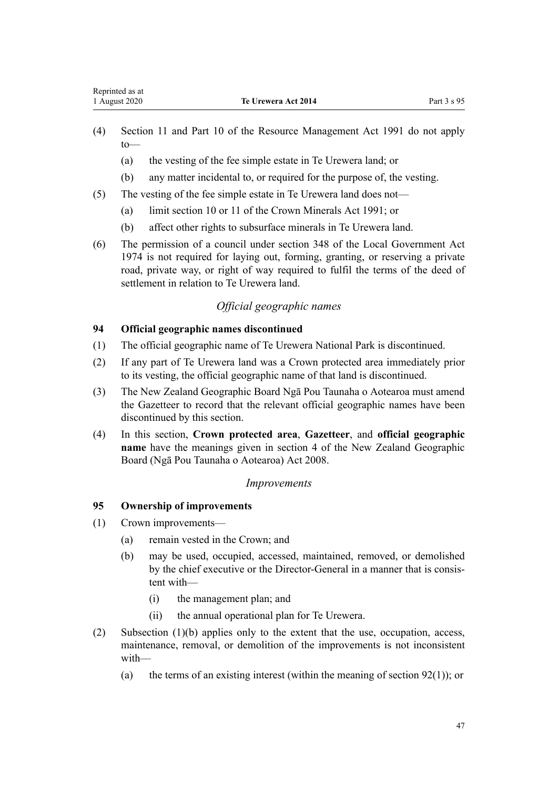- <span id="page-46-0"></span>(4) [Section 11](http://legislation.govt.nz/pdflink.aspx?id=DLM231942) and [Part 10](http://legislation.govt.nz/pdflink.aspx?id=DLM236786) of the Resource Management Act 1991 do not apply to—
	- (a) the vesting of the fee simple estate in Te Urewera land; or
	- (b) any matter incidental to, or required for the purpose of, the vesting.
- (5) The vesting of the fee simple estate in Te Urewera land does not—
	- (a) limit [section 10](http://legislation.govt.nz/pdflink.aspx?id=DLM246310) or [11](http://legislation.govt.nz/pdflink.aspx?id=DLM246311) of the Crown Minerals Act 1991; or
	- (b) affect other rights to subsurface minerals in Te Urewera land.
- (6) The permission of a council under [section 348](http://legislation.govt.nz/pdflink.aspx?id=DLM420676) of the Local Government Act 1974 is not required for laying out, forming, granting, or reserving a private road, private way, or right of way required to fulfil the terms of the deed of settlement in relation to Te Urewera land.

# *Official geographic names*

# **94 Official geographic names discontinued**

- (1) The official geographic name of Te Urewera National Park is discontinued.
- (2) If any part of Te Urewera land was a Crown protected area immediately prior to its vesting, the official geographic name of that land is discontinued.
- (3) The New Zealand Geographic Board Ngā Pou Taunaha o Aotearoa must amend the Gazetteer to record that the relevant official geographic names have been discontinued by this section.
- (4) In this section, **Crown protected area**, **Gazetteer**, and **official geographic name** have the meanings given in [section 4](http://legislation.govt.nz/pdflink.aspx?id=DLM1065420) of the New Zealand Geographic Board (Ngā Pou Taunaha o Aotearoa) Act 2008.

## *Improvements*

## **95 Ownership of improvements**

- (1) Crown improvements—
	- (a) remain vested in the Crown; and
	- (b) may be used, occupied, accessed, maintained, removed, or demolished by the chief executive or the Director-General in a manner that is consistent with—
		- (i) the management plan; and
		- (ii) the annual operational plan for Te Urewera.
- (2) Subsection (1)(b) applies only to the extent that the use, occupation, access, maintenance, removal, or demolition of the improvements is not inconsistent with—
	- (a) the terms of an existing interest (within the meaning of section  $92(1)$ ); or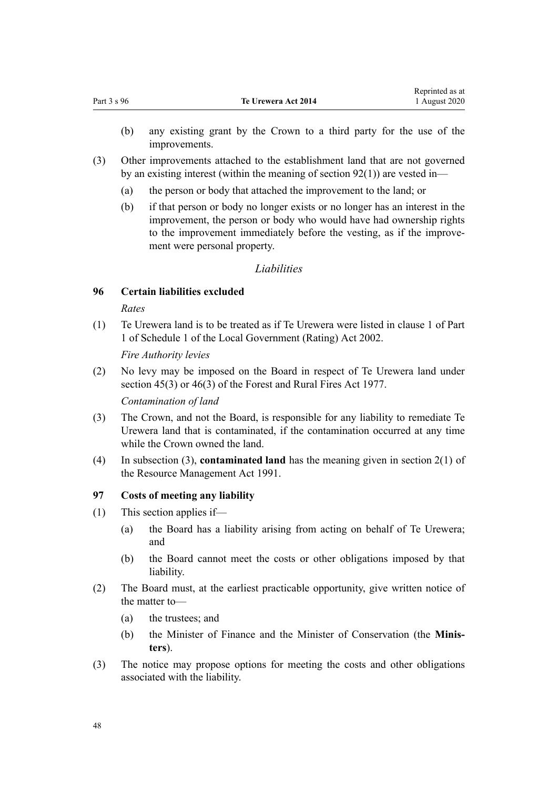- <span id="page-47-0"></span>(b) any existing grant by the Crown to a third party for the use of the improvements.
- (3) Other improvements attached to the establishment land that are not governed by an existing interest (within the meaning of section  $92(1)$ ) are vested in—
	- (a) the person or body that attached the improvement to the land; or
	- (b) if that person or body no longer exists or no longer has an interest in the improvement, the person or body who would have had ownership rights to the improvement immediately before the vesting, as if the improvement were personal property.

### *Liabilities*

## **96 Certain liabilities excluded**

#### *Rates*

(1) Te Urewera land is to be treated as if Te Urewera were listed in [clause 1](http://legislation.govt.nz/pdflink.aspx?id=DLM1733703) of Part 1 of Schedule 1 of the Local Government (Rating) Act 2002.

*Fire Authority levies*

(2) No levy may be imposed on the Board in respect of Te Urewera land under [section 45\(3\)](http://legislation.govt.nz/pdflink.aspx?id=DLM443520) or [46\(3\)](http://legislation.govt.nz/pdflink.aspx?id=DLM443524) of the Forest and Rural Fires Act 1977.

*Contamination of land*

- (3) The Crown, and not the Board, is responsible for any liability to remediate Te Urewera land that is contaminated, if the contamination occurred at any time while the Crown owned the land.
- (4) In subsection (3), **contaminated land** has the meaning given in [section 2\(1\)](http://legislation.govt.nz/pdflink.aspx?id=DLM230272) of the Resource Management Act 1991.

### **97 Costs of meeting any liability**

- (1) This section applies if—
	- (a) the Board has a liability arising from acting on behalf of Te Urewera; and
	- (b) the Board cannot meet the costs or other obligations imposed by that liability.
- (2) The Board must, at the earliest practicable opportunity, give written notice of the matter to—
	- (a) the trustees; and
	- (b) the Minister of Finance and the Minister of Conservation (the **Ministers**).
- (3) The notice may propose options for meeting the costs and other obligations associated with the liability.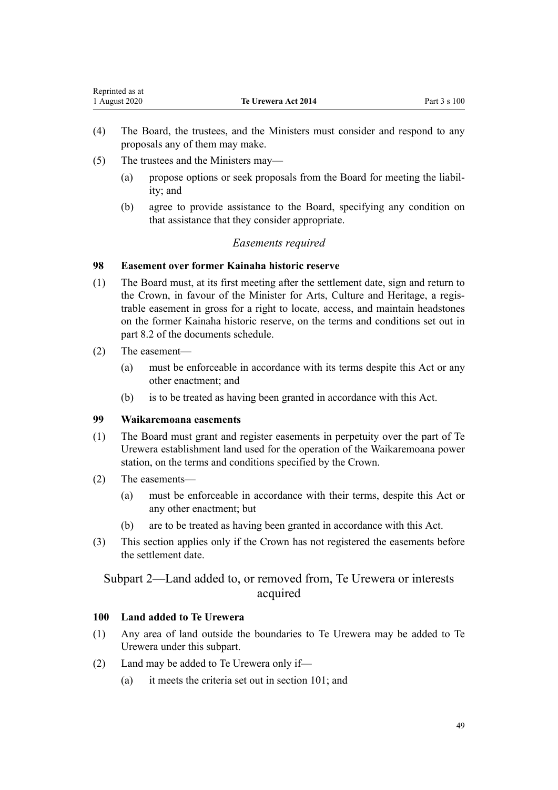| Reprinted as at |                     |              |
|-----------------|---------------------|--------------|
| 1 August 2020   | Te Urewera Act 2014 | Part 3 s 100 |

- (4) The Board, the trustees, and the Ministers must consider and respond to any proposals any of them may make.
- (5) The trustees and the Ministers may—
	- (a) propose options or seek proposals from the Board for meeting the liability; and
	- (b) agree to provide assistance to the Board, specifying any condition on that assistance that they consider appropriate.

# *Easements required*

## **98 Easement over former Kainaha historic reserve**

- (1) The Board must, at its first meeting after the settlement date, sign and return to the Crown, in favour of the Minister for Arts, Culture and Heritage, a registrable easement in gross for a right to locate, access, and maintain headstones on the former Kainaha historic reserve, on the terms and conditions set out in part 8.2 of the documents schedule.
- (2) The easement—

<span id="page-48-0"></span>Representative as a set of the set of the set of the set of the set of the set of the set of the set of the set of the set of the set of the set of the set of the set of the set of the set of the set of the set of the set

- (a) must be enforceable in accordance with its terms despite this Act or any other enactment; and
- (b) is to be treated as having been granted in accordance with this Act.

# **99 Waikaremoana easements**

- (1) The Board must grant and register easements in perpetuity over the part of Te Urewera establishment land used for the operation of the Waikaremoana power station, on the terms and conditions specified by the Crown.
- (2) The easements—
	- (a) must be enforceable in accordance with their terms, despite this Act or any other enactment; but
	- (b) are to be treated as having been granted in accordance with this Act.
- (3) This section applies only if the Crown has not registered the easements before the settlement date.

# Subpart 2—Land added to, or removed from, Te Urewera or interests acquired

## **100 Land added to Te Urewera**

- (1) Any area of land outside the boundaries to Te Urewera may be added to Te Urewera under this subpart.
- (2) Land may be added to Te Urewera only if—
	- (a) it meets the criteria set out in [section 101](#page-49-0); and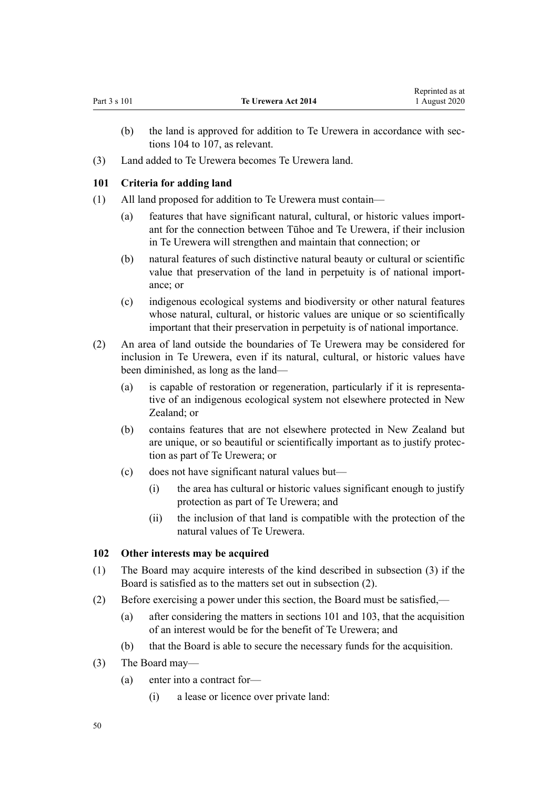- <span id="page-49-0"></span>(b) the land is approved for addition to Te Urewera in accordance with [sec](#page-50-0)[tions 104 to 107,](#page-50-0) as relevant.
- (3) Land added to Te Urewera becomes Te Urewera land.

# **101 Criteria for adding land**

- (1) All land proposed for addition to Te Urewera must contain—
	- (a) features that have significant natural, cultural, or historic values important for the connection between Tūhoe and Te Urewera, if their inclusion in Te Urewera will strengthen and maintain that connection; or
	- (b) natural features of such distinctive natural beauty or cultural or scientific value that preservation of the land in perpetuity is of national importance; or
	- (c) indigenous ecological systems and biodiversity or other natural features whose natural, cultural, or historic values are unique or so scientifically important that their preservation in perpetuity is of national importance.
- (2) An area of land outside the boundaries of Te Urewera may be considered for inclusion in Te Urewera, even if its natural, cultural, or historic values have been diminished, as long as the land—
	- (a) is capable of restoration or regeneration, particularly if it is representative of an indigenous ecological system not elsewhere protected in New Zealand; or
	- (b) contains features that are not elsewhere protected in New Zealand but are unique, or so beautiful or scientifically important as to justify protection as part of Te Urewera; or
	- (c) does not have significant natural values but—
		- (i) the area has cultural or historic values significant enough to justify protection as part of Te Urewera; and
		- (ii) the inclusion of that land is compatible with the protection of the natural values of Te Urewera.

# **102 Other interests may be acquired**

- (1) The Board may acquire interests of the kind described in subsection (3) if the Board is satisfied as to the matters set out in subsection (2).
- (2) Before exercising a power under this section, the Board must be satisfied,—
	- (a) after considering the matters in sections 101 and [103,](#page-50-0) that the acquisition of an interest would be for the benefit of Te Urewera; and
	- (b) that the Board is able to secure the necessary funds for the acquisition.
- (3) The Board may—
	- (a) enter into a contract for—
		- (i) a lease or licence over private land: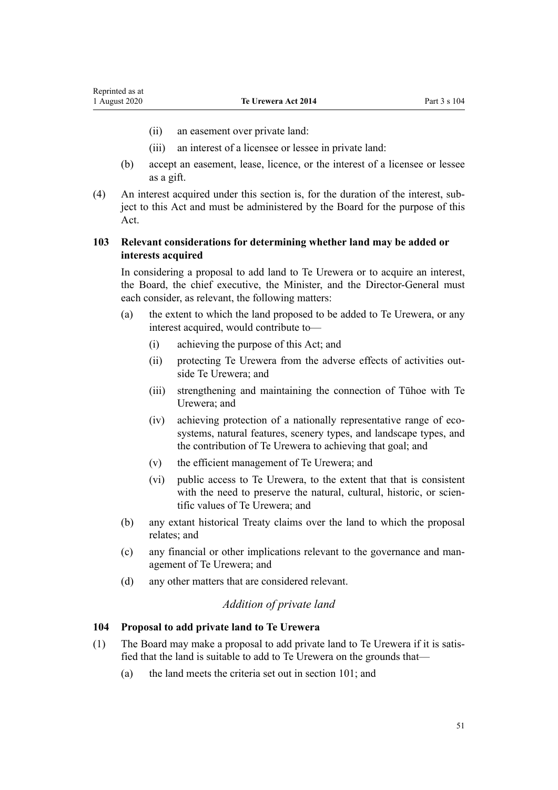- <span id="page-50-0"></span>(ii) an easement over private land:
- (iii) an interest of a licensee or lessee in private land:
- (b) accept an easement, lease, licence, or the interest of a licensee or lessee as a gift.
- (4) An interest acquired under this section is, for the duration of the interest, subject to this Act and must be administered by the Board for the purpose of this Act.

# **103 Relevant considerations for determining whether land may be added or interests acquired**

In considering a proposal to add land to Te Urewera or to acquire an interest, the Board, the chief executive, the Minister, and the Director-General must each consider, as relevant, the following matters:

- (a) the extent to which the land proposed to be added to Te Urewera, or any interest acquired, would contribute to—
	- (i) achieving the purpose of this Act; and
	- (ii) protecting Te Urewera from the adverse effects of activities outside Te Urewera; and
	- (iii) strengthening and maintaining the connection of Tūhoe with Te Urewera; and
	- (iv) achieving protection of a nationally representative range of ecosystems, natural features, scenery types, and landscape types, and the contribution of Te Urewera to achieving that goal; and
	- (v) the efficient management of Te Urewera; and
	- (vi) public access to Te Urewera, to the extent that that is consistent with the need to preserve the natural, cultural, historic, or scientific values of Te Urewera; and
- (b) any extant historical Treaty claims over the land to which the proposal relates; and
- (c) any financial or other implications relevant to the governance and management of Te Urewera; and
- (d) any other matters that are considered relevant.

# *Addition of private land*

# **104 Proposal to add private land to Te Urewera**

- (1) The Board may make a proposal to add private land to Te Urewera if it is satisfied that the land is suitable to add to Te Urewera on the grounds that—
	- (a) the land meets the criteria set out in [section 101;](#page-49-0) and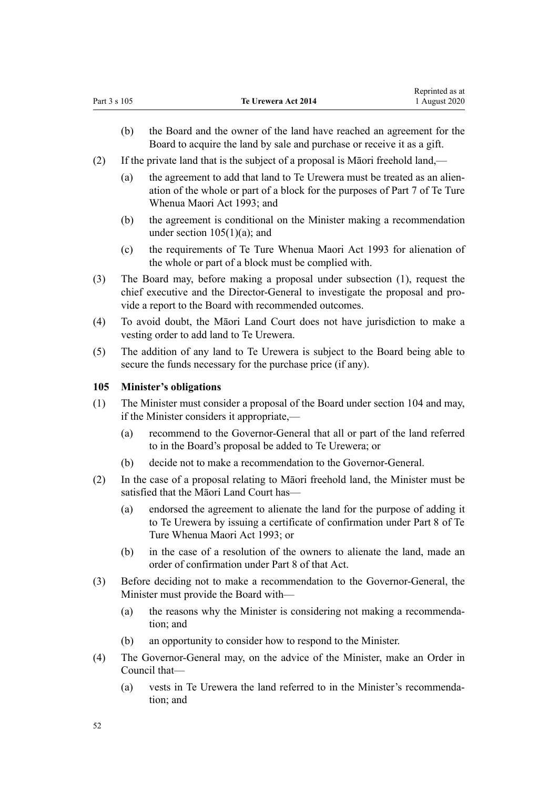- <span id="page-51-0"></span>(b) the Board and the owner of the land have reached an agreement for the Board to acquire the land by sale and purchase or receive it as a gift.
- (2) If the private land that is the subject of a proposal is Māori freehold land,—
	- (a) the agreement to add that land to Te Urewera must be treated as an alienation of the whole or part of a block for the purposes of [Part 7](http://legislation.govt.nz/pdflink.aspx?id=DLM291510) of Te Ture Whenua Maori Act 1993; and
	- (b) the agreement is conditional on the Minister making a recommendation under section  $105(1)(a)$ ; and
	- (c) the requirements of [Te Ture Whenua Maori Act 1993](http://legislation.govt.nz/pdflink.aspx?id=DLM289881) for alienation of the whole or part of a block must be complied with.
- (3) The Board may, before making a proposal under subsection (1), request the chief executive and the Director-General to investigate the proposal and provide a report to the Board with recommended outcomes.
- (4) To avoid doubt, the Māori Land Court does not have jurisdiction to make a vesting order to add land to Te Urewera.
- (5) The addition of any land to Te Urewera is subject to the Board being able to secure the funds necessary for the purchase price (if any).

### **105 Minister's obligations**

- (1) The Minister must consider a proposal of the Board under [section 104](#page-50-0) and may, if the Minister considers it appropriate,—
	- (a) recommend to the Governor-General that all or part of the land referred to in the Board's proposal be added to Te Urewera; or
	- (b) decide not to make a recommendation to the Governor-General.
- (2) In the case of a proposal relating to Māori freehold land, the Minister must be satisfied that the Māori Land Court has—
	- (a) endorsed the agreement to alienate the land for the purpose of adding it to Te Urewera by issuing a certificate of confirmation under [Part 8](http://legislation.govt.nz/pdflink.aspx?id=DLM291539) of Te Ture Whenua Maori Act 1993; or
	- (b) in the case of a resolution of the owners to alienate the land, made an order of confirmation under [Part 8](http://legislation.govt.nz/pdflink.aspx?id=DLM291539) of that Act.
- (3) Before deciding not to make a recommendation to the Governor-General, the Minister must provide the Board with—
	- (a) the reasons why the Minister is considering not making a recommendation; and
	- (b) an opportunity to consider how to respond to the Minister.
- (4) The Governor-General may, on the advice of the Minister, make an Order in Council that—
	- (a) vests in Te Urewera the land referred to in the Minister's recommendation; and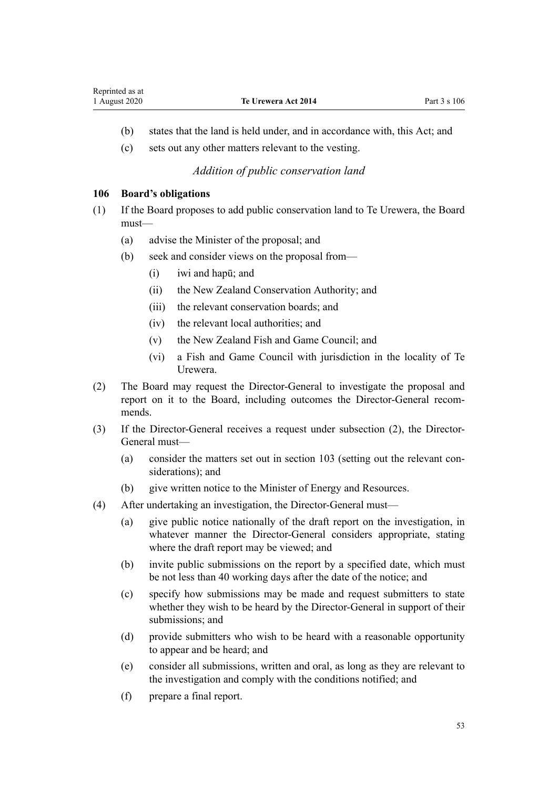- <span id="page-52-0"></span>(b) states that the land is held under, and in accordance with, this Act; and
- (c) sets out any other matters relevant to the vesting.

# *Addition of public conservation land*

## **106 Board's obligations**

- (1) If the Board proposes to add public conservation land to Te Urewera, the Board must—
	- (a) advise the Minister of the proposal; and
	- (b) seek and consider views on the proposal from—
		- (i) iwi and hapū; and
		- (ii) the New Zealand Conservation Authority; and
		- (iii) the relevant conservation boards; and
		- (iv) the relevant local authorities; and
		- (v) the New Zealand Fish and Game Council; and
		- (vi) a Fish and Game Council with jurisdiction in the locality of Te Urewera.
- (2) The Board may request the Director-General to investigate the proposal and report on it to the Board, including outcomes the Director-General recommends.
- (3) If the Director-General receives a request under subsection (2), the Director-General must—
	- (a) consider the matters set out in [section 103](#page-50-0) (setting out the relevant considerations); and
	- (b) give written notice to the Minister of Energy and Resources.
- (4) After undertaking an investigation, the Director-General must—
	- (a) give public notice nationally of the draft report on the investigation, in whatever manner the Director-General considers appropriate, stating where the draft report may be viewed; and
	- (b) invite public submissions on the report by a specified date, which must be not less than 40 working days after the date of the notice; and
	- (c) specify how submissions may be made and request submitters to state whether they wish to be heard by the Director-General in support of their submissions; and
	- (d) provide submitters who wish to be heard with a reasonable opportunity to appear and be heard; and
	- (e) consider all submissions, written and oral, as long as they are relevant to the investigation and comply with the conditions notified; and
	- (f) prepare a final report.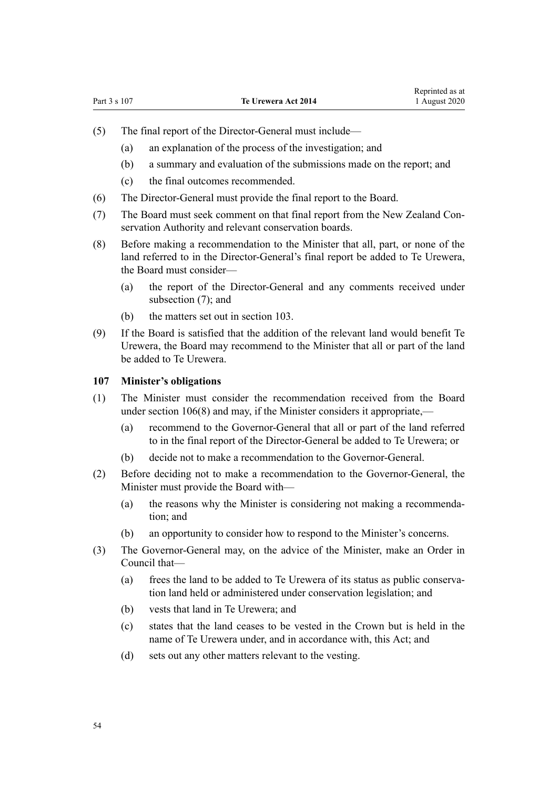- <span id="page-53-0"></span>(5) The final report of the Director-General must include—
	- (a) an explanation of the process of the investigation; and
	- (b) a summary and evaluation of the submissions made on the report; and
	- (c) the final outcomes recommended.
- (6) The Director-General must provide the final report to the Board.
- (7) The Board must seek comment on that final report from the New Zealand Conservation Authority and relevant conservation boards.
- (8) Before making a recommendation to the Minister that all, part, or none of the land referred to in the Director-General's final report be added to Te Urewera, the Board must consider—
	- (a) the report of the Director-General and any comments received under subsection (7); and
	- (b) the matters set out in [section 103.](#page-50-0)
- (9) If the Board is satisfied that the addition of the relevant land would benefit Te Urewera, the Board may recommend to the Minister that all or part of the land be added to Te Urewera.

#### **107 Minister's obligations**

- (1) The Minister must consider the recommendation received from the Board under [section 106\(8\)](#page-52-0) and may, if the Minister considers it appropriate.—
	- (a) recommend to the Governor-General that all or part of the land referred to in the final report of the Director-General be added to Te Urewera; or
	- (b) decide not to make a recommendation to the Governor-General.
- (2) Before deciding not to make a recommendation to the Governor-General, the Minister must provide the Board with—
	- (a) the reasons why the Minister is considering not making a recommendation; and
	- (b) an opportunity to consider how to respond to the Minister's concerns.
- (3) The Governor-General may, on the advice of the Minister, make an Order in Council that—
	- (a) frees the land to be added to Te Urewera of its status as public conservation land held or administered under conservation legislation; and
	- (b) vests that land in Te Urewera; and
	- (c) states that the land ceases to be vested in the Crown but is held in the name of Te Urewera under, and in accordance with, this Act; and
	- (d) sets out any other matters relevant to the vesting.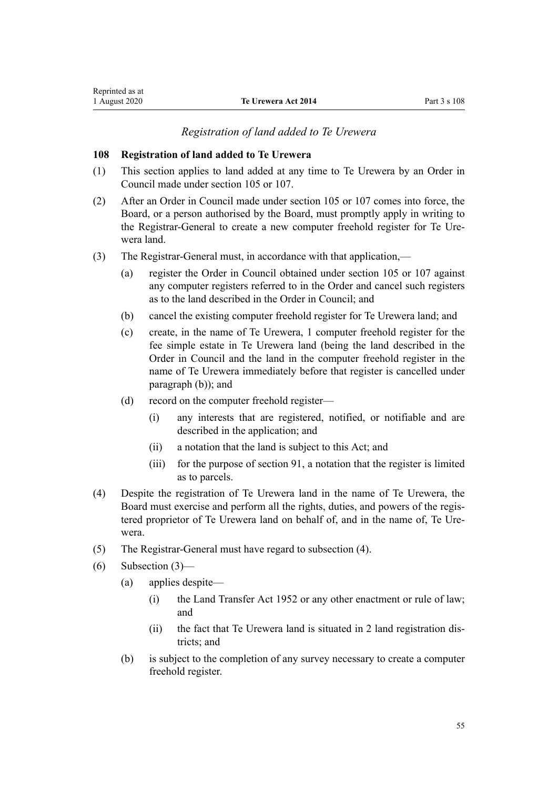## *Registration of land added to Te Urewera*

### **108 Registration of land added to Te Urewera**

- (1) This section applies to land added at any time to Te Urewera by an Order in Council made under [section 105](#page-51-0) or [107.](#page-53-0)
- (2) After an Order in Council made under [section 105](#page-51-0) or [107](#page-53-0) comes into force, the Board, or a person authorised by the Board, must promptly apply in writing to the Registrar-General to create a new computer freehold register for Te Urewera land.
- (3) The Registrar-General must, in accordance with that application,—
	- (a) register the Order in Council obtained under [section 105](#page-51-0) or [107](#page-53-0) against any computer registers referred to in the Order and cancel such registers as to the land described in the Order in Council; and
	- (b) cancel the existing computer freehold register for Te Urewera land; and
	- (c) create, in the name of Te Urewera, 1 computer freehold register for the fee simple estate in Te Urewera land (being the land described in the Order in Council and the land in the computer freehold register in the name of Te Urewera immediately before that register is cancelled under paragraph (b)); and
	- (d) record on the computer freehold register—
		- (i) any interests that are registered, notified, or notifiable and are described in the application; and
		- (ii) a notation that the land is subject to this Act; and
		- (iii) for the purpose of [section 91](#page-45-0), a notation that the register is limited as to parcels.
- (4) Despite the registration of Te Urewera land in the name of Te Urewera, the Board must exercise and perform all the rights, duties, and powers of the registered proprietor of Te Urewera land on behalf of, and in the name of, Te Urewera.
- (5) The Registrar-General must have regard to subsection (4).
- (6) Subsection (3)—
	- (a) applies despite—
		- (i) the [Land Transfer Act 1952](http://legislation.govt.nz/pdflink.aspx?id=DLM269031) or any other enactment or rule of law; and
		- (ii) the fact that Te Urewera land is situated in 2 land registration districts; and
	- (b) is subject to the completion of any survey necessary to create a computer freehold register.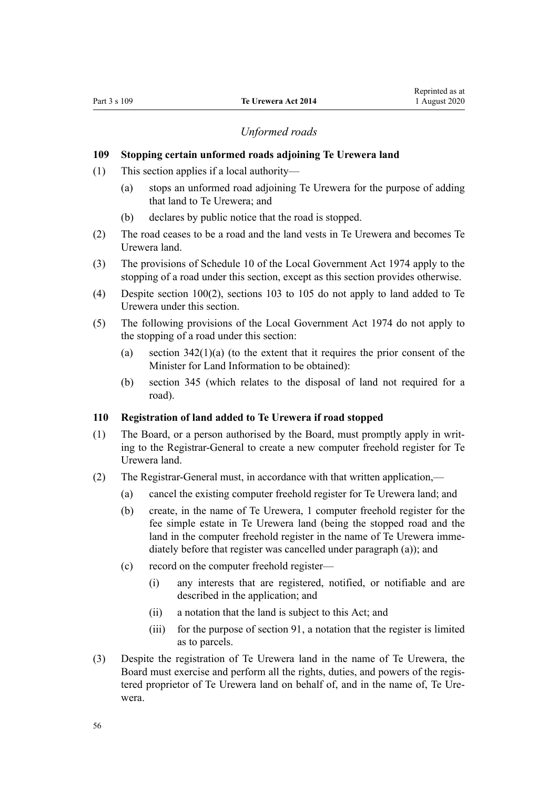## *Unformed roads*

## **109 Stopping certain unformed roads adjoining Te Urewera land**

- (1) This section applies if a local authority—
	- (a) stops an unformed road adjoining Te Urewera for the purpose of adding that land to Te Urewera; and
	- (b) declares by public notice that the road is stopped.
- (2) The road ceases to be a road and the land vests in Te Urewera and becomes Te Urewera land.
- (3) The provisions of [Schedule 10](http://legislation.govt.nz/pdflink.aspx?id=DLM425592) of the Local Government Act 1974 apply to the stopping of a road under this section, except as this section provides otherwise.
- (4) Despite [section 100\(2\),](#page-48-0) [sections 103 to 105](#page-50-0) do not apply to land added to Te Urewera under this section.
- (5) The following provisions of the [Local Government Act 1974](http://legislation.govt.nz/pdflink.aspx?id=DLM415531) do not apply to the stopping of a road under this section:
	- (a) section  $342(1)(a)$  (to the extent that it requires the prior consent of the Minister for Land Information to be obtained):
	- (b) [section 345](http://legislation.govt.nz/pdflink.aspx?id=DLM420626) (which relates to the disposal of land not required for a road).

# **110 Registration of land added to Te Urewera if road stopped**

- (1) The Board, or a person authorised by the Board, must promptly apply in writing to the Registrar-General to create a new computer freehold register for Te Urewera land.
- (2) The Registrar-General must, in accordance with that written application,—
	- (a) cancel the existing computer freehold register for Te Urewera land; and
	- (b) create, in the name of Te Urewera, 1 computer freehold register for the fee simple estate in Te Urewera land (being the stopped road and the land in the computer freehold register in the name of Te Urewera immediately before that register was cancelled under paragraph (a)); and
	- (c) record on the computer freehold register—
		- (i) any interests that are registered, notified, or notifiable and are described in the application; and
		- (ii) a notation that the land is subject to this Act; and
		- (iii) for the purpose of [section 91](#page-45-0), a notation that the register is limited as to parcels.
- (3) Despite the registration of Te Urewera land in the name of Te Urewera, the Board must exercise and perform all the rights, duties, and powers of the registered proprietor of Te Urewera land on behalf of, and in the name of, Te Urewera.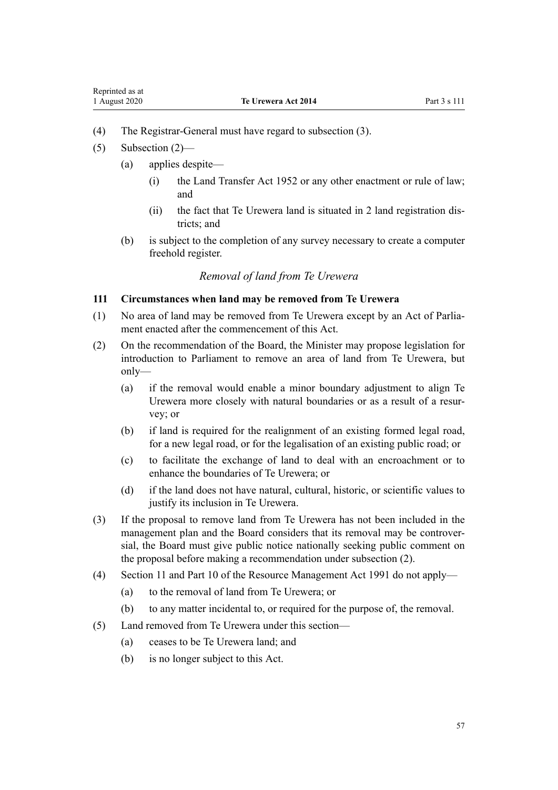- <span id="page-56-0"></span>(4) The Registrar-General must have regard to subsection (3).
- $(5)$  Subsection  $(2)$ 
	- (a) applies despite—
		- (i) the Land Transfer Act 1952 or any other enactment or rule of law; and
		- (ii) the fact that Te Urewera land is situated in 2 land registration districts; and
	- (b) is subject to the completion of any survey necessary to create a computer freehold register.

## *Removal of land from Te Urewera*

## **111 Circumstances when land may be removed from Te Urewera**

- (1) No area of land may be removed from Te Urewera except by an Act of Parliament enacted after the commencement of this Act.
- (2) On the recommendation of the Board, the Minister may propose legislation for introduction to Parliament to remove an area of land from Te Urewera, but only—
	- (a) if the removal would enable a minor boundary adjustment to align Te Urewera more closely with natural boundaries or as a result of a resurvey; or
	- (b) if land is required for the realignment of an existing formed legal road, for a new legal road, or for the legalisation of an existing public road; or
	- (c) to facilitate the exchange of land to deal with an encroachment or to enhance the boundaries of Te Urewera; or
	- (d) if the land does not have natural, cultural, historic, or scientific values to justify its inclusion in Te Urewera.
- (3) If the proposal to remove land from Te Urewera has not been included in the management plan and the Board considers that its removal may be controversial, the Board must give public notice nationally seeking public comment on the proposal before making a recommendation under subsection (2).
- (4) [Section 11](http://legislation.govt.nz/pdflink.aspx?id=DLM231942) and [Part 10](http://legislation.govt.nz/pdflink.aspx?id=DLM236786) of the Resource Management Act 1991 do not apply—
	- (a) to the removal of land from Te Urewera; or
	- (b) to any matter incidental to, or required for the purpose of, the removal.
- (5) Land removed from Te Urewera under this section—
	- (a) ceases to be Te Urewera land; and
	- (b) is no longer subject to this Act.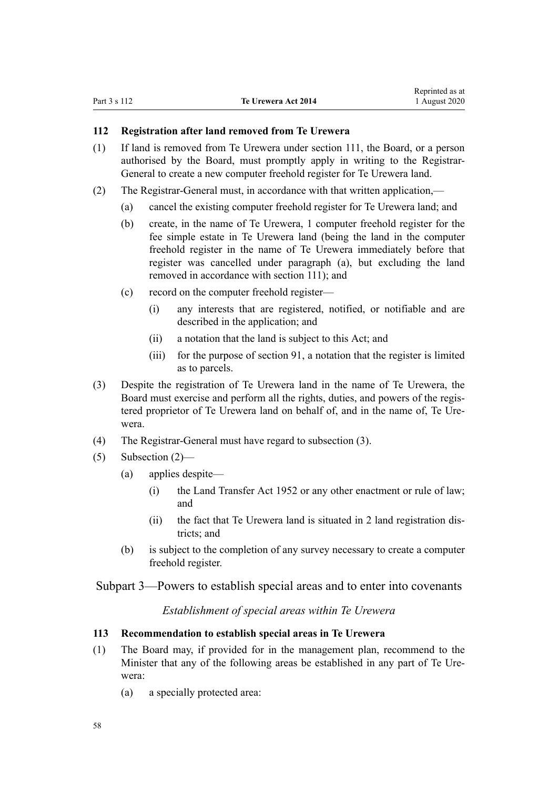# <span id="page-57-0"></span>**112 Registration after land removed from Te Urewera**

- (1) If land is removed from Te Urewera under [section 111,](#page-56-0) the Board, or a person authorised by the Board, must promptly apply in writing to the Registrar-General to create a new computer freehold register for Te Urewera land.
- (2) The Registrar-General must, in accordance with that written application,—
	- (a) cancel the existing computer freehold register for Te Urewera land; and
	- (b) create, in the name of Te Urewera, 1 computer freehold register for the fee simple estate in Te Urewera land (being the land in the computer freehold register in the name of Te Urewera immediately before that register was cancelled under paragraph (a), but excluding the land removed in accordance with [section 111\)](#page-56-0); and
	- (c) record on the computer freehold register—
		- (i) any interests that are registered, notified, or notifiable and are described in the application; and
		- (ii) a notation that the land is subject to this Act; and
		- (iii) for the purpose of [section 91](#page-45-0), a notation that the register is limited as to parcels.
- (3) Despite the registration of Te Urewera land in the name of Te Urewera, the Board must exercise and perform all the rights, duties, and powers of the registered proprietor of Te Urewera land on behalf of, and in the name of, Te Urewera.
- (4) The Registrar-General must have regard to subsection (3).
- (5) Subsection (2)—
	- (a) applies despite—
		- (i) the [Land Transfer Act 1952](http://legislation.govt.nz/pdflink.aspx?id=DLM269031) or any other enactment or rule of law; and
		- (ii) the fact that Te Urewera land is situated in 2 land registration districts; and
	- (b) is subject to the completion of any survey necessary to create a computer freehold register.

Subpart 3—Powers to establish special areas and to enter into covenants

*Establishment of special areas within Te Urewera*

## **113 Recommendation to establish special areas in Te Urewera**

- (1) The Board may, if provided for in the management plan, recommend to the Minister that any of the following areas be established in any part of Te Urewera:
	- (a) a specially protected area: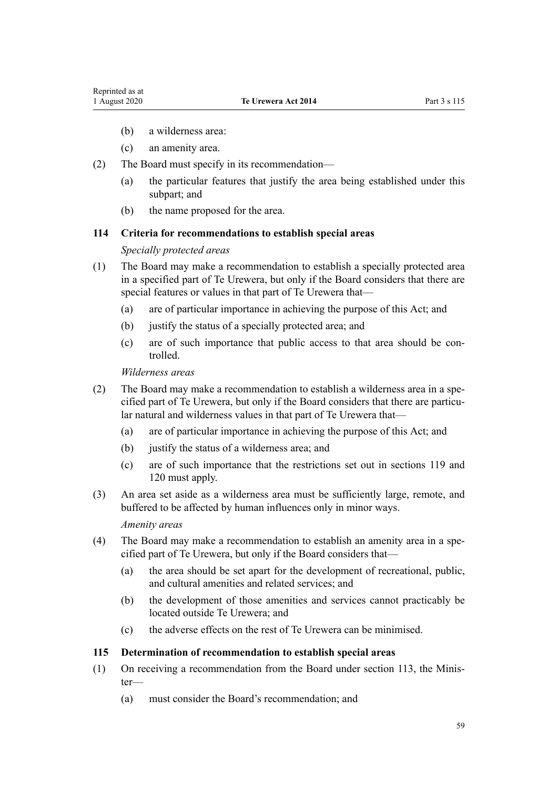- (b) a wilderness area:
- (c) an amenity area.
- (2) The Board must specify in its recommendation—
	- (a) the particular features that justify the area being established under this subpart; and
	- (b) the name proposed for the area.

## **114 Criteria for recommendations to establish special areas**

### *Specially protected areas*

- (1) The Board may make a recommendation to establish a specially protected area in a specified part of Te Urewera, but only if the Board considers that there are special features or values in that part of Te Urewera that—
	- (a) are of particular importance in achieving the purpose of this Act; and
	- (b) justify the status of a specially protected area; and
	- (c) are of such importance that public access to that area should be controlled.

#### *Wilderness areas*

- (2) The Board may make a recommendation to establish a wilderness area in a specified part of Te Urewera, but only if the Board considers that there are particular natural and wilderness values in that part of Te Urewera that—
	- (a) are of particular importance in achieving the purpose of this Act; and
	- (b) justify the status of a wilderness area; and
	- (c) are of such importance that the restrictions set out in [sections 119](#page-60-0) and [120](#page-60-0) must apply.
- (3) An area set aside as a wilderness area must be sufficiently large, remote, and buffered to be affected by human influences only in minor ways.

#### *Amenity areas*

- (4) The Board may make a recommendation to establish an amenity area in a specified part of Te Urewera, but only if the Board considers that—
	- (a) the area should be set apart for the development of recreational, public, and cultural amenities and related services; and
	- (b) the development of those amenities and services cannot practicably be located outside Te Urewera; and
	- (c) the adverse effects on the rest of Te Urewera can be minimised.

### **115 Determination of recommendation to establish special areas**

- (1) On receiving a recommendation from the Board under [section 113](#page-57-0), the Minister—
	- (a) must consider the Board's recommendation; and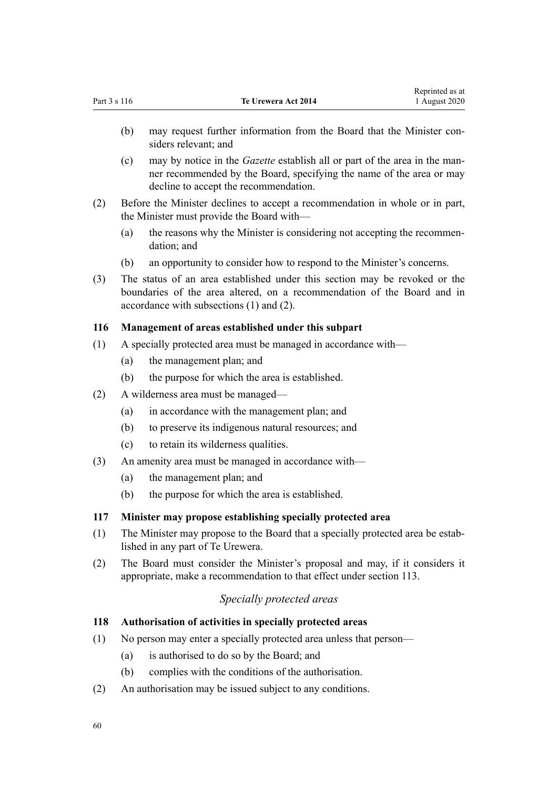- <span id="page-59-0"></span>(b) may request further information from the Board that the Minister considers relevant; and
- (c) may by notice in the *Gazette* establish all or part of the area in the manner recommended by the Board, specifying the name of the area or may decline to accept the recommendation.
- (2) Before the Minister declines to accept a recommendation in whole or in part, the Minister must provide the Board with—
	- (a) the reasons why the Minister is considering not accepting the recommendation; and
	- (b) an opportunity to consider how to respond to the Minister's concerns.
- (3) The status of an area established under this section may be revoked or the boundaries of the area altered, on a recommendation of the Board and in accordance with subsections (1) and (2).

# **116 Management of areas established under this subpart**

- (1) A specially protected area must be managed in accordance with—
	- (a) the management plan; and
	- (b) the purpose for which the area is established.
- (2) A wilderness area must be managed—
	- (a) in accordance with the management plan; and
	- (b) to preserve its indigenous natural resources; and
	- (c) to retain its wilderness qualities.
- (3) An amenity area must be managed in accordance with—
	- (a) the management plan; and
	- (b) the purpose for which the area is established.

## **117 Minister may propose establishing specially protected area**

- (1) The Minister may propose to the Board that a specially protected area be established in any part of Te Urewera.
- (2) The Board must consider the Minister's proposal and may, if it considers it appropriate, make a recommendation to that effect under [section 113](#page-57-0).

# *Specially protected areas*

## **118 Authorisation of activities in specially protected areas**

- (1) No person may enter a specially protected area unless that person—
	- (a) is authorised to do so by the Board; and
	- (b) complies with the conditions of the authorisation.
- (2) An authorisation may be issued subject to any conditions.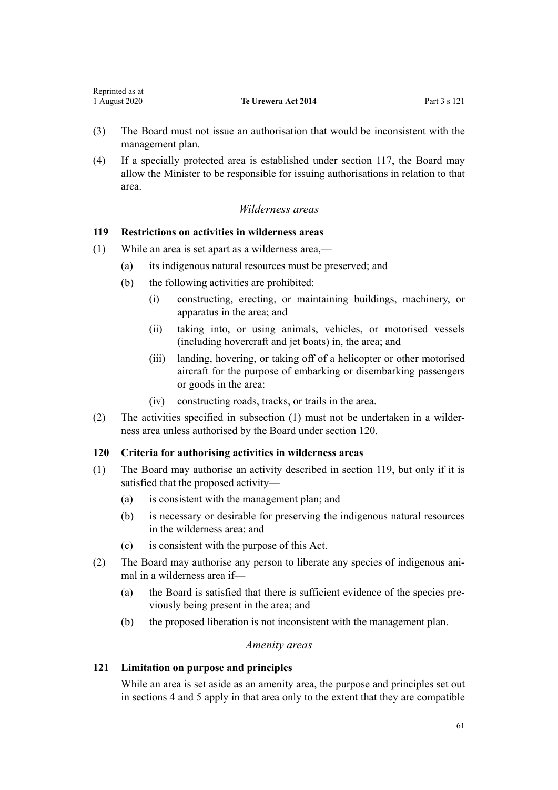- <span id="page-60-0"></span>(3) The Board must not issue an authorisation that would be inconsistent with the management plan.
- (4) If a specially protected area is established under [section 117](#page-59-0), the Board may allow the Minister to be responsible for issuing authorisations in relation to that area.

# *Wilderness areas*

# **119 Restrictions on activities in wilderness areas**

- (1) While an area is set apart as a wilderness area,—
	- (a) its indigenous natural resources must be preserved; and
	- (b) the following activities are prohibited:
		- (i) constructing, erecting, or maintaining buildings, machinery, or apparatus in the area; and
		- (ii) taking into, or using animals, vehicles, or motorised vessels (including hovercraft and jet boats) in, the area; and
		- (iii) landing, hovering, or taking off of a helicopter or other motorised aircraft for the purpose of embarking or disembarking passengers or goods in the area:
		- (iv) constructing roads, tracks, or trails in the area.
- (2) The activities specified in subsection (1) must not be undertaken in a wilderness area unless authorised by the Board under section 120.

# **120 Criteria for authorising activities in wilderness areas**

- (1) The Board may authorise an activity described in section 119, but only if it is satisfied that the proposed activity—
	- (a) is consistent with the management plan; and
	- (b) is necessary or desirable for preserving the indigenous natural resources in the wilderness area; and
	- (c) is consistent with the purpose of this Act.
- (2) The Board may authorise any person to liberate any species of indigenous animal in a wilderness area if—
	- (a) the Board is satisfied that there is sufficient evidence of the species previously being present in the area; and
	- (b) the proposed liberation is not inconsistent with the management plan.

# *Amenity areas*

# **121 Limitation on purpose and principles**

While an area is set aside as an amenity area, the purpose and principles set out in [sections 4](#page-8-0) and [5](#page-8-0) apply in that area only to the extent that they are compatible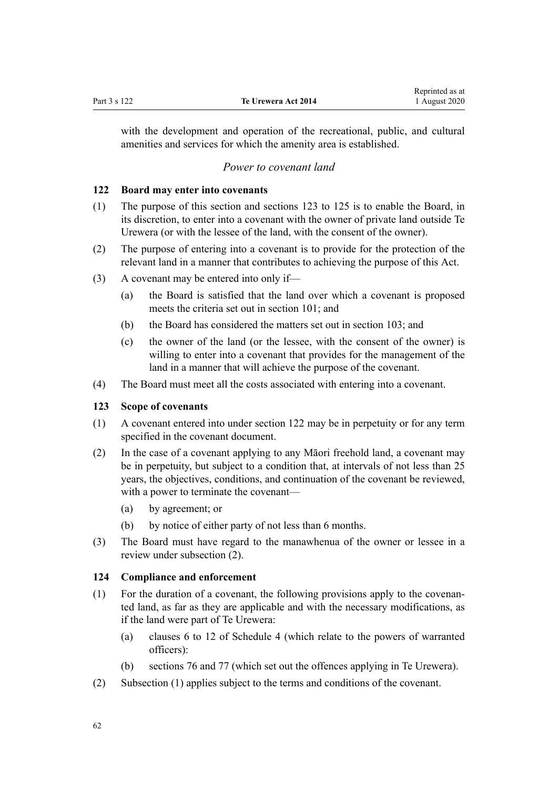<span id="page-61-0"></span>with the development and operation of the recreational, public, and cultural amenities and services for which the amenity area is established.

## *Power to covenant land*

## **122 Board may enter into covenants**

- (1) The purpose of this section and sections 123 to 125 is to enable the Board, in its discretion, to enter into a covenant with the owner of private land outside Te Urewera (or with the lessee of the land, with the consent of the owner).
- (2) The purpose of entering into a covenant is to provide for the protection of the relevant land in a manner that contributes to achieving the purpose of this Act.
- (3) A covenant may be entered into only if—
	- (a) the Board is satisfied that the land over which a covenant is proposed meets the criteria set out in [section 101](#page-49-0); and
	- (b) the Board has considered the matters set out in [section 103](#page-50-0); and
	- (c) the owner of the land (or the lessee, with the consent of the owner) is willing to enter into a covenant that provides for the management of the land in a manner that will achieve the purpose of the covenant.
- (4) The Board must meet all the costs associated with entering into a covenant.

## **123 Scope of covenants**

- (1) A covenant entered into under section 122 may be in perpetuity or for any term specified in the covenant document.
- (2) In the case of a covenant applying to any Māori freehold land, a covenant may be in perpetuity, but subject to a condition that, at intervals of not less than 25 years, the objectives, conditions, and continuation of the covenant be reviewed, with a power to terminate the covenant—
	- (a) by agreement; or
	- (b) by notice of either party of not less than 6 months.
- (3) The Board must have regard to the manawhenua of the owner or lessee in a review under subsection (2).

#### **124 Compliance and enforcement**

- (1) For the duration of a covenant, the following provisions apply to the covenanted land, as far as they are applicable and with the necessary modifications, as if the land were part of Te Urewera:
	- (a) [clauses 6 to 12](#page-101-0) of Schedule 4 (which relate to the powers of warranted officers):
	- (b) [sections 76](#page-38-0) and [77](#page-40-0) (which set out the offences applying in Te Urewera).
- (2) Subsection (1) applies subject to the terms and conditions of the covenant.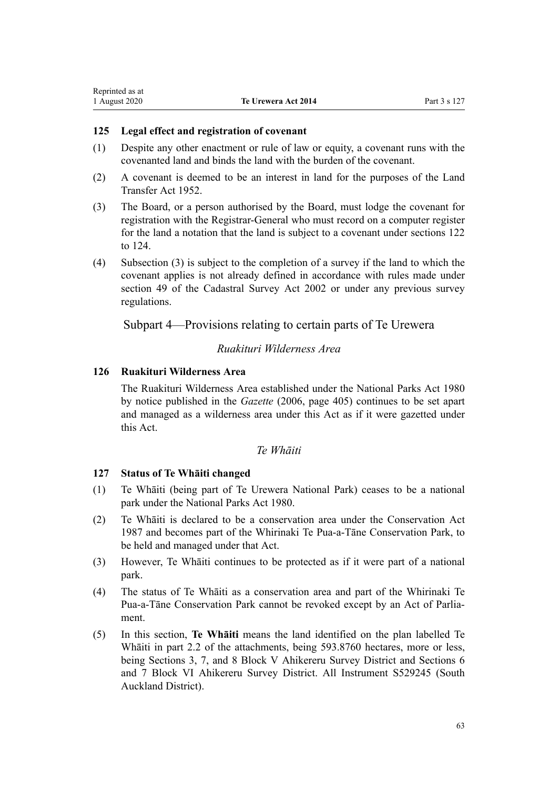## **125 Legal effect and registration of covenant**

- (1) Despite any other enactment or rule of law or equity, a covenant runs with the covenanted land and binds the land with the burden of the covenant.
- (2) A covenant is deemed to be an interest in land for the purposes of the [Land](http://legislation.govt.nz/pdflink.aspx?id=DLM269031) [Transfer Act 1952](http://legislation.govt.nz/pdflink.aspx?id=DLM269031).
- (3) The Board, or a person authorised by the Board, must lodge the covenant for registration with the Registrar-General who must record on a computer register for the land a notation that the land is subject to a covenant under [sections 122](#page-61-0) [to 124](#page-61-0).
- (4) Subsection (3) is subject to the completion of a survey if the land to which the covenant applies is not already defined in accordance with rules made under [section 49](http://legislation.govt.nz/pdflink.aspx?id=DLM142600) of the Cadastral Survey Act 2002 or under any previous survey regulations.

# Subpart 4—Provisions relating to certain parts of Te Urewera

# *Ruakituri Wilderness Area*

## **126 Ruakituri Wilderness Area**

The Ruakituri Wilderness Area established under the [National Parks Act 1980](http://legislation.govt.nz/pdflink.aspx?id=DLM36962) by notice published in the *Gazette* (2006, page 405) continues to be set apart and managed as a wilderness area under this Act as if it were gazetted under this Act.

# *Te Whāiti*

## **127 Status of Te Whāiti changed**

- (1) Te Whāiti (being part of Te Urewera National Park) ceases to be a national park under the [National Parks Act 1980.](http://legislation.govt.nz/pdflink.aspx?id=DLM36962)
- (2) Te Whāiti is declared to be a conservation area under the [Conservation Act](http://legislation.govt.nz/pdflink.aspx?id=DLM103609) [1987](http://legislation.govt.nz/pdflink.aspx?id=DLM103609) and becomes part of the Whirinaki Te Pua-a-Tāne Conservation Park, to be held and managed under that Act.
- (3) However, Te Whāiti continues to be protected as if it were part of a national park.
- (4) The status of Te Whāiti as a conservation area and part of the Whirinaki Te Pua-a-Tāne Conservation Park cannot be revoked except by an Act of Parliament.
- (5) In this section, **Te Whāiti** means the land identified on the plan labelled Te Whāiti in part 2.2 of the attachments, being 593.8760 hectares, more or less, being Sections 3, 7, and 8 Block V Ahikereru Survey District and Sections 6 and 7 Block VI Ahikereru Survey District. All Instrument S529245 (South Auckland District).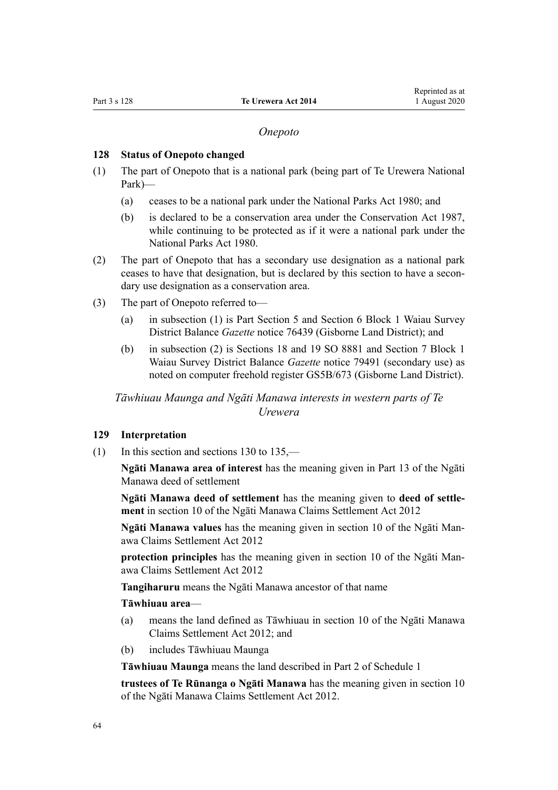### *Onepoto*

### <span id="page-63-0"></span>**128 Status of Onepoto changed**

- (1) The part of Onepoto that is a national park (being part of Te Urewera National Park)—
	- (a) ceases to be a national park under the [National Parks Act 1980;](http://legislation.govt.nz/pdflink.aspx?id=DLM36962) and
	- (b) is declared to be a conservation area under the [Conservation Act 1987](http://legislation.govt.nz/pdflink.aspx?id=DLM103609), while continuing to be protected as if it were a national park under the [National Parks Act 1980.](http://legislation.govt.nz/pdflink.aspx?id=DLM36962)
- (2) The part of Onepoto that has a secondary use designation as a national park ceases to have that designation, but is declared by this section to have a secondary use designation as a conservation area.
- (3) The part of Onepoto referred to—
	- (a) in subsection (1) is Part Section 5 and Section 6 Block 1 Waiau Survey District Balance *Gazette* notice 76439 (Gisborne Land District); and
	- (b) in subsection (2) is Sections 18 and 19 SO 8881 and Section 7 Block 1 Waiau Survey District Balance *Gazette* notice 79491 (secondary use) as noted on computer freehold register GS5B/673 (Gisborne Land District).

*Tāwhiuau Maunga and Ngāti Manawa interests in western parts of Te Urewera*

#### **129 Interpretation**

(1) In this section and [sections 130 to 135](#page-64-0),—

**Ngāti Manawa area of interest** has the meaning given in Part 13 of the Ngāti Manawa deed of settlement

**Ngāti Manawa deed of settlement** has the meaning given to **deed of settlement** in [section 10](http://legislation.govt.nz/pdflink.aspx?id=DLM3276821) of the Ngāti Manawa Claims Settlement Act 2012

**Ngāti Manawa values** has the meaning given in [section 10](http://legislation.govt.nz/pdflink.aspx?id=DLM3276821) of the Ngāti Manawa Claims Settlement Act 2012

**protection principles** has the meaning given in [section 10](http://legislation.govt.nz/pdflink.aspx?id=DLM3276821) of the Ngāti Manawa Claims Settlement Act 2012

**Tangiharuru** means the Ngāti Manawa ancestor of that name

#### **Tāwhiuau area**—

- (a) means the land defined as Tāwhiuau in [section 10](http://legislation.govt.nz/pdflink.aspx?id=DLM3276821) of the Ngāti Manawa Claims Settlement Act 2012; and
- (b) includes Tāwhiuau Maunga

**Tāwhiuau Maunga** means the land described in [Part 2](#page-68-0) of Schedule 1

**trustees of Te Rūnanga o Ngāti Manawa** has the meaning given in [section 10](http://legislation.govt.nz/pdflink.aspx?id=DLM3276821) of the Ngāti Manawa Claims Settlement Act 2012.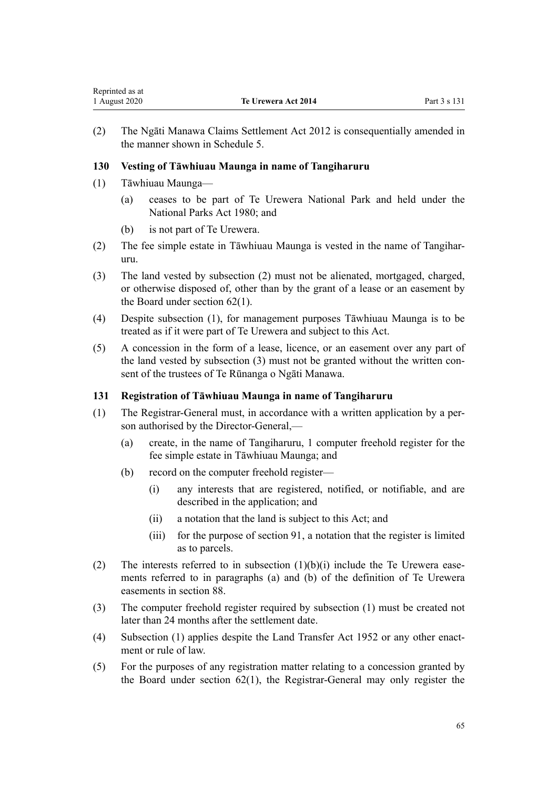<span id="page-64-0"></span>(2) The [Ngāti Manawa Claims Settlement Act 2012](http://legislation.govt.nz/pdflink.aspx?id=DLM3276800) is consequentially amended in the manner shown in [Schedule 5](#page-112-0).

# **130 Vesting of Tāwhiuau Maunga in name of Tangiharuru**

- (1) Tāwhiuau Maunga—
	- (a) ceases to be part of Te Urewera National Park and held under the [National Parks Act 1980;](http://legislation.govt.nz/pdflink.aspx?id=DLM36962) and
	- (b) is not part of Te Urewera.
- (2) The fee simple estate in Tāwhiuau Maunga is vested in the name of Tangiharuru.
- (3) The land vested by subsection (2) must not be alienated, mortgaged, charged, or otherwise disposed of, other than by the grant of a lease or an easement by the Board under [section 62\(1\).](#page-32-0)
- (4) Despite subsection (1), for management purposes Tāwhiuau Maunga is to be treated as if it were part of Te Urewera and subject to this Act.
- (5) A concession in the form of a lease, licence, or an easement over any part of the land vested by subsection (3) must not be granted without the written consent of the trustees of Te Rūnanga o Ngāti Manawa.

# **131 Registration of Tāwhiuau Maunga in name of Tangiharuru**

- (1) The Registrar-General must, in accordance with a written application by a person authorised by the Director-General,—
	- (a) create, in the name of Tangiharuru, 1 computer freehold register for the fee simple estate in Tāwhiuau Maunga; and
	- (b) record on the computer freehold register—
		- (i) any interests that are registered, notified, or notifiable, and are described in the application; and
		- (ii) a notation that the land is subject to this Act; and
		- (iii) for the purpose of [section 91](#page-45-0), a notation that the register is limited as to parcels.
- (2) The interests referred to in subsection  $(1)(b)(i)$  include the Te Urewera easements referred to in paragraphs (a) and (b) of the definition of Te Urewera easements in [section 88](#page-43-0).
- (3) The computer freehold register required by subsection (1) must be created not later than 24 months after the settlement date.
- (4) Subsection (1) applies despite the Land Transfer Act 1952 or any other enactment or rule of law.
- (5) For the purposes of any registration matter relating to a concession granted by the Board under [section 62\(1\)](#page-32-0), the Registrar-General may only register the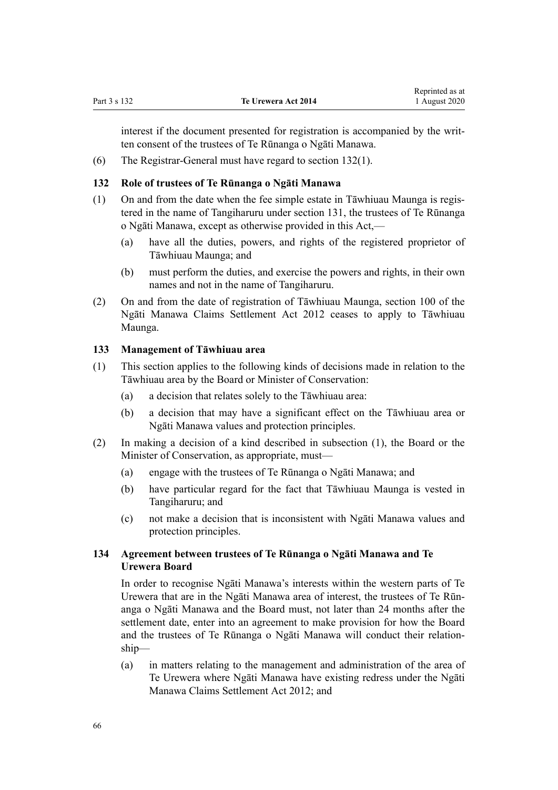interest if the document presented for registration is accompanied by the written consent of the trustees of Te Rūnanga o Ngāti Manawa.

(6) The Registrar-General must have regard to section 132(1).

## **132 Role of trustees of Te Rūnanga o Ngāti Manawa**

- (1) On and from the date when the fee simple estate in Tāwhiuau Maunga is registered in the name of Tangiharuru under [section 131,](#page-64-0) the trustees of Te Rūnanga o Ngāti Manawa, except as otherwise provided in this Act,—
	- (a) have all the duties, powers, and rights of the registered proprietor of Tāwhiuau Maunga; and
	- (b) must perform the duties, and exercise the powers and rights, in their own names and not in the name of Tangiharuru.
- (2) On and from the date of registration of Tāwhiuau Maunga, [section 100](http://legislation.govt.nz/pdflink.aspx?id=DLM3277079) of the Ngāti Manawa Claims Settlement Act 2012 ceases to apply to Tāwhiuau Maunga.

### **133 Management of Tāwhiuau area**

- (1) This section applies to the following kinds of decisions made in relation to the Tāwhiuau area by the Board or Minister of Conservation:
	- (a) a decision that relates solely to the Tāwhiuau area:
	- (b) a decision that may have a significant effect on the Tāwhiuau area or Ngāti Manawa values and protection principles.
- (2) In making a decision of a kind described in subsection (1), the Board or the Minister of Conservation, as appropriate, must—
	- (a) engage with the trustees of Te Rūnanga o Ngāti Manawa; and
	- (b) have particular regard for the fact that Tāwhiuau Maunga is vested in Tangiharuru; and
	- (c) not make a decision that is inconsistent with Ngāti Manawa values and protection principles.

# **134 Agreement between trustees of Te Rūnanga o Ngāti Manawa and Te Urewera Board**

In order to recognise Ngāti Manawa's interests within the western parts of Te Urewera that are in the Ngāti Manawa area of interest, the trustees of Te Rūnanga o Ngāti Manawa and the Board must, not later than 24 months after the settlement date, enter into an agreement to make provision for how the Board and the trustees of Te Rūnanga o Ngāti Manawa will conduct their relationship—

(a) in matters relating to the management and administration of the area of Te Urewera where Ngāti Manawa have existing redress under the [Ngāti](http://legislation.govt.nz/pdflink.aspx?id=DLM3276800) [Manawa Claims Settlement Act 2012;](http://legislation.govt.nz/pdflink.aspx?id=DLM3276800) and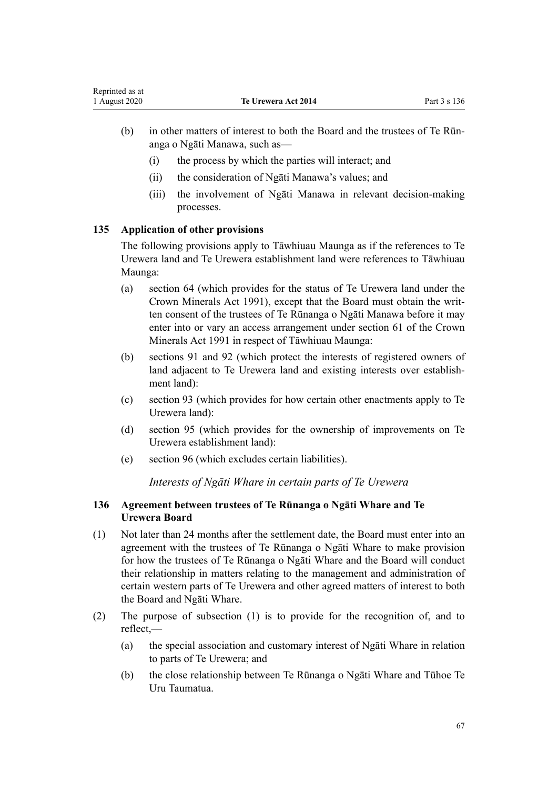- (b) in other matters of interest to both the Board and the trustees of Te Rūnanga o Ngāti Manawa, such as—
	- (i) the process by which the parties will interact; and
	- (ii) the consideration of Ngāti Manawa's values; and
	- (iii) the involvement of Ngāti Manawa in relevant decision-making processes.

# **135 Application of other provisions**

The following provisions apply to Tāwhiuau Maunga as if the references to Te Urewera land and Te Urewera establishment land were references to Tāwhiuau Maunga:

- (a) [section 64](#page-33-0) (which provides for the status of Te Urewera land under the Crown Minerals Act 1991), except that the Board must obtain the written consent of the trustees of Te Rūnanga o Ngāti Manawa before it may enter into or vary an access arrangement under [section 61](http://legislation.govt.nz/pdflink.aspx?id=DLM246714) of the Crown Minerals Act 1991 in respect of Tāwhiuau Maunga:
- (b) [sections 91](#page-45-0) and [92](#page-45-0) (which protect the interests of registered owners of land adjacent to Te Urewera land and existing interests over establishment land):
- (c) [section 93](#page-45-0) (which provides for how certain other enactments apply to Te Urewera land):
- (d) [section 95](#page-46-0) (which provides for the ownership of improvements on Te Urewera establishment land):
- (e) [section 96](#page-47-0) (which excludes certain liabilities).

*Interests of Ngāti Whare in certain parts of Te Urewera*

# **136 Agreement between trustees of Te Rūnanga o Ngāti Whare and Te Urewera Board**

- (1) Not later than 24 months after the settlement date, the Board must enter into an agreement with the trustees of Te Rūnanga o Ngāti Whare to make provision for how the trustees of Te Rūnanga o Ngāti Whare and the Board will conduct their relationship in matters relating to the management and administration of certain western parts of Te Urewera and other agreed matters of interest to both the Board and Ngāti Whare.
- (2) The purpose of subsection (1) is to provide for the recognition of, and to reflect,—
	- (a) the special association and customary interest of Ngāti Whare in relation to parts of Te Urewera; and
	- (b) the close relationship between Te Rūnanga o Ngāti Whare and Tūhoe Te Uru Taumatua.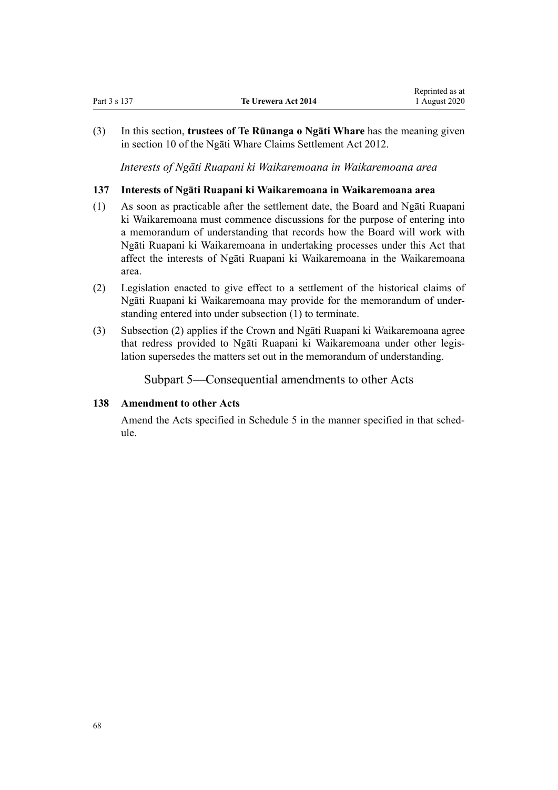(3) In this section, **trustees of Te Rūnanga o Ngāti Whare** has the meaning given in [section 10](http://legislation.govt.nz/pdflink.aspx?id=DLM4339919) of the Ngāti Whare Claims Settlement Act 2012.

*Interests of Ngāti Ruapani ki Waikaremoana in Waikaremoana area*

## **137 Interests of Ngāti Ruapani ki Waikaremoana in Waikaremoana area**

- (1) As soon as practicable after the settlement date, the Board and Ngāti Ruapani ki Waikaremoana must commence discussions for the purpose of entering into a memorandum of understanding that records how the Board will work with Ngāti Ruapani ki Waikaremoana in undertaking processes under this Act that affect the interests of Ngāti Ruapani ki Waikaremoana in the Waikaremoana area.
- (2) Legislation enacted to give effect to a settlement of the historical claims of Ngāti Ruapani ki Waikaremoana may provide for the memorandum of understanding entered into under subsection (1) to terminate.
- (3) Subsection (2) applies if the Crown and Ngāti Ruapani ki Waikaremoana agree that redress provided to Ngāti Ruapani ki Waikaremoana under other legislation supersedes the matters set out in the memorandum of understanding.

Subpart 5—Consequential amendments to other Acts

### **138 Amendment to other Acts**

Amend the Acts specified in [Schedule 5](#page-112-0) in the manner specified in that schedule.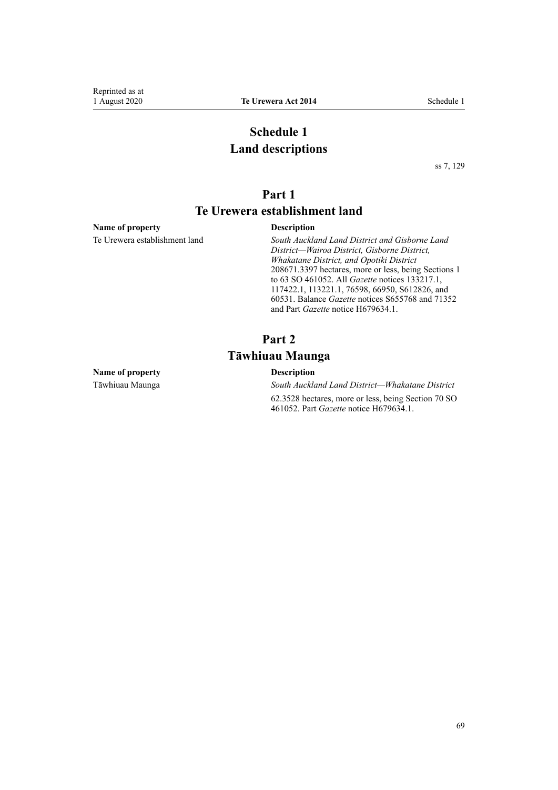# **Schedule 1 Land descriptions**

[ss 7](#page-8-0), [129](#page-63-0)

# **Part 1**

# **Te Urewera establishment land**

#### <span id="page-68-0"></span>**Name of property Description**

Te Urewera establishment land *South Auckland Land District and Gisborne Land District—Wairoa District, Gisborne District, Whakatane District, and Opotiki District* 208671.3397 hectares, more or less, being Sections 1 to 63 SO 461052. All *Gazette* notices 133217.1, 117422.1, 113221.1, 76598, 66950, S612826, and 60531. Balance *Gazette* notices S655768 and 71352 and Part *Gazette* notice H679634.1.

# **Part 2 Tāwhiuau Maunga**

#### **Name of property Description**

Tāwhiuau Maunga *South Auckland Land District—Whakatane District* 62.3528 hectares, more or less, being Section 70 SO 461052. Part *Gazette* notice H679634.1.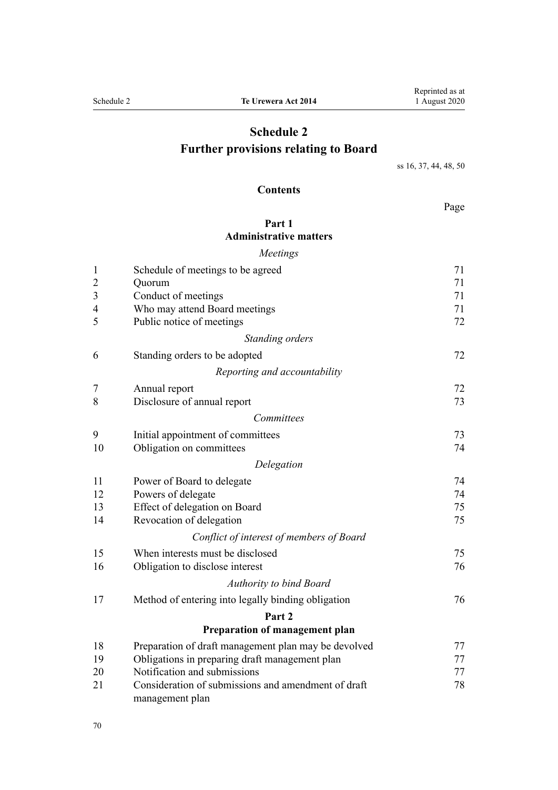# **Schedule 2 Further provisions relating to Board**

[ss 16](#page-15-0), [37,](#page-23-0) [44](#page-25-0), [48, 50](#page-27-0)

# **Contents**

Page

# **[Part 1](#page-70-0) [Administrative matters](#page-70-0)**

|                | Meetings                                             |    |
|----------------|------------------------------------------------------|----|
| $\mathbf{1}$   | Schedule of meetings to be agreed                    | 71 |
| $\overline{c}$ | Quorum                                               | 71 |
| 3              | Conduct of meetings                                  | 71 |
| 4              | Who may attend Board meetings                        | 71 |
| 5              | Public notice of meetings                            | 72 |
|                | Standing orders                                      |    |
| 6              | Standing orders to be adopted                        | 72 |
|                | Reporting and accountability                         |    |
| 7              | Annual report                                        | 72 |
| 8              | Disclosure of annual report                          | 73 |
|                | Committees                                           |    |
| 9              | Initial appointment of committees                    | 73 |
| 10             | Obligation on committees                             | 74 |
|                | Delegation                                           |    |
| 11             | Power of Board to delegate                           | 74 |
| 12             | Powers of delegate                                   | 74 |
| 13             | Effect of delegation on Board                        | 75 |
| 14             | Revocation of delegation                             | 75 |
|                | Conflict of interest of members of Board             |    |
| 15             | When interests must be disclosed                     | 75 |
| 16             | Obligation to disclose interest                      | 76 |
|                | <b>Authority to bind Board</b>                       |    |
| 17             | Method of entering into legally binding obligation   | 76 |
|                | Part 2                                               |    |
|                | Preparation of management plan                       |    |
| 18             | Preparation of draft management plan may be devolved | 77 |
| 19             | Obligations in preparing draft management plan       | 77 |
| 20             | Notification and submissions                         | 77 |
| 21             | Consideration of submissions and amendment of draft  | 78 |

[management plan](#page-77-0)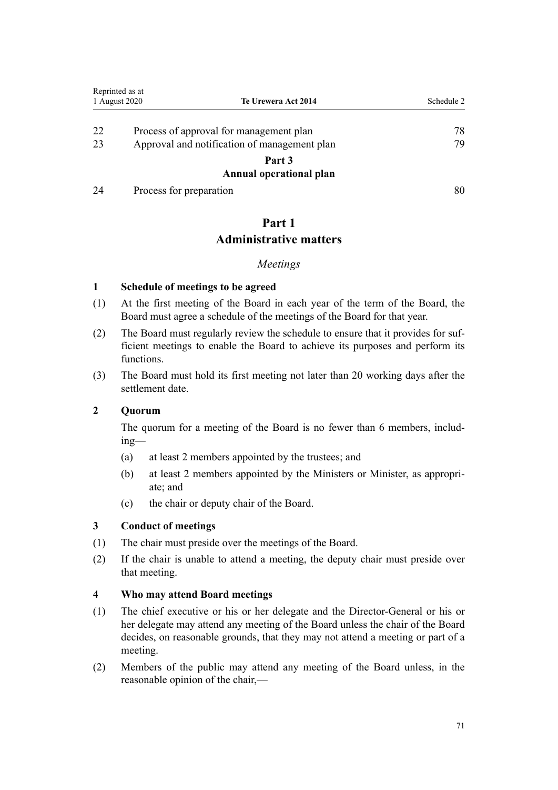<span id="page-70-0"></span>

|    | Reprinted as at                              |            |
|----|----------------------------------------------|------------|
|    | 1 August 2020<br>Te Urewera Act 2014         | Schedule 2 |
| 22 | Process of approval for management plan      | 78         |
| 23 | Approval and notification of management plan | 79         |
|    | Part 3                                       |            |
|    | Annual operational plan                      |            |
| 24 | Process for preparation                      | 80         |

# **Part 1**

# **Administrative matters**

# *Meetings*

# **1 Schedule of meetings to be agreed**

- (1) At the first meeting of the Board in each year of the term of the Board, the Board must agree a schedule of the meetings of the Board for that year.
- (2) The Board must regularly review the schedule to ensure that it provides for sufficient meetings to enable the Board to achieve its purposes and perform its functions.
- (3) The Board must hold its first meeting not later than 20 working days after the settlement date.

# **2 Quorum**

The quorum for a meeting of the Board is no fewer than 6 members, including—

- (a) at least 2 members appointed by the trustees; and
- (b) at least 2 members appointed by the Ministers or Minister, as appropriate; and
- (c) the chair or deputy chair of the Board.

# **3 Conduct of meetings**

- (1) The chair must preside over the meetings of the Board.
- (2) If the chair is unable to attend a meeting, the deputy chair must preside over that meeting.

# **4 Who may attend Board meetings**

- (1) The chief executive or his or her delegate and the Director-General or his or her delegate may attend any meeting of the Board unless the chair of the Board decides, on reasonable grounds, that they may not attend a meeting or part of a meeting.
- (2) Members of the public may attend any meeting of the Board unless, in the reasonable opinion of the chair,—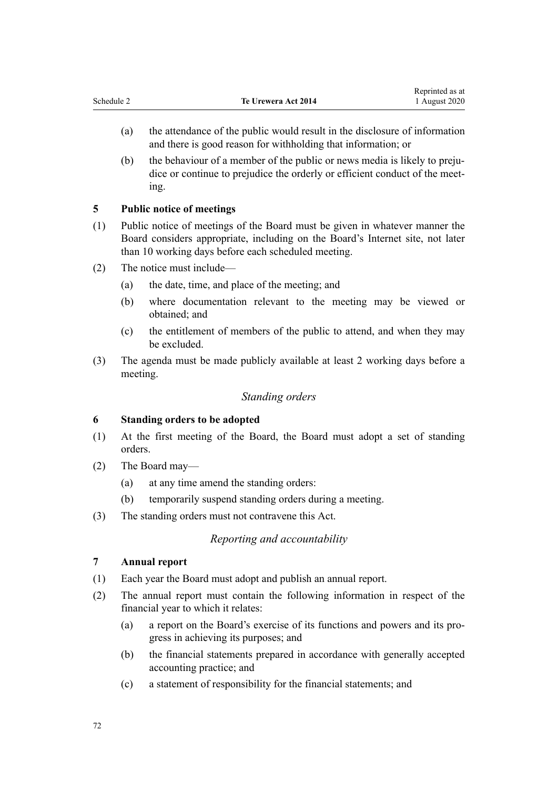- <span id="page-71-0"></span>(a) the attendance of the public would result in the disclosure of information and there is good reason for withholding that information; or
- (b) the behaviour of a member of the public or news media is likely to prejudice or continue to prejudice the orderly or efficient conduct of the meeting.

# **5 Public notice of meetings**

- (1) Public notice of meetings of the Board must be given in whatever manner the Board considers appropriate, including on the Board's Internet site, not later than 10 working days before each scheduled meeting.
- (2) The notice must include—
	- (a) the date, time, and place of the meeting; and
	- (b) where documentation relevant to the meeting may be viewed or obtained; and
	- (c) the entitlement of members of the public to attend, and when they may be excluded.
- (3) The agenda must be made publicly available at least 2 working days before a meeting.

# *Standing orders*

# **6 Standing orders to be adopted**

- (1) At the first meeting of the Board, the Board must adopt a set of standing orders.
- (2) The Board may—
	- (a) at any time amend the standing orders:
	- (b) temporarily suspend standing orders during a meeting.
- (3) The standing orders must not contravene this Act.

# *Reporting and accountability*

# **7 Annual report**

- (1) Each year the Board must adopt and publish an annual report.
- (2) The annual report must contain the following information in respect of the financial year to which it relates:
	- (a) a report on the Board's exercise of its functions and powers and its progress in achieving its purposes; and
	- (b) the financial statements prepared in accordance with generally accepted accounting practice; and
	- (c) a statement of responsibility for the financial statements; and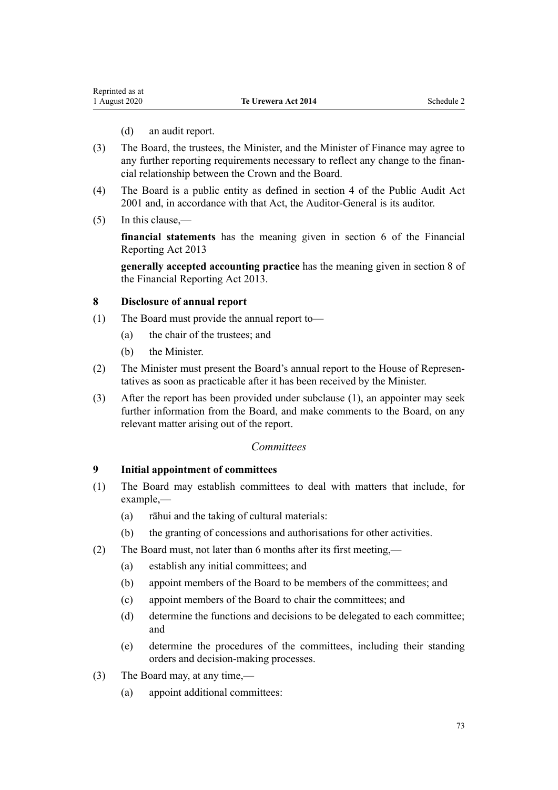- (d) an audit report.
- (3) The Board, the trustees, the Minister, and the Minister of Finance may agree to any further reporting requirements necessary to reflect any change to the financial relationship between the Crown and the Board.
- (4) The Board is a public entity as defined in [section 4](http://legislation.govt.nz/pdflink.aspx?id=DLM88548) of the Public Audit Act 2001 and, in accordance with that Act, the Auditor-General is its auditor.
- (5) In this clause,—

**financial statements** has the meaning given in [section 6](http://legislation.govt.nz/pdflink.aspx?id=DLM4632890) of the Financial Reporting Act 2013

**generally accepted accounting practice** has the meaning given in [section 8](http://legislation.govt.nz/pdflink.aspx?id=DLM4632894) of the Financial Reporting Act 2013.

#### **8 Disclosure of annual report**

- (1) The Board must provide the annual report to—
	- (a) the chair of the trustees; and
	- (b) the Minister.
- (2) The Minister must present the Board's annual report to the House of Representatives as soon as practicable after it has been received by the Minister.
- (3) After the report has been provided under subclause (1), an appointer may seek further information from the Board, and make comments to the Board, on any relevant matter arising out of the report.

### *Committees*

#### **9 Initial appointment of committees**

- (1) The Board may establish committees to deal with matters that include, for example,—
	- (a) rāhui and the taking of cultural materials:
	- (b) the granting of concessions and authorisations for other activities.
- (2) The Board must, not later than 6 months after its first meeting,—
	- (a) establish any initial committees; and
	- (b) appoint members of the Board to be members of the committees; and
	- (c) appoint members of the Board to chair the committees; and
	- (d) determine the functions and decisions to be delegated to each committee; and
	- (e) determine the procedures of the committees, including their standing orders and decision-making processes.
- (3) The Board may, at any time,—
	- (a) appoint additional committees: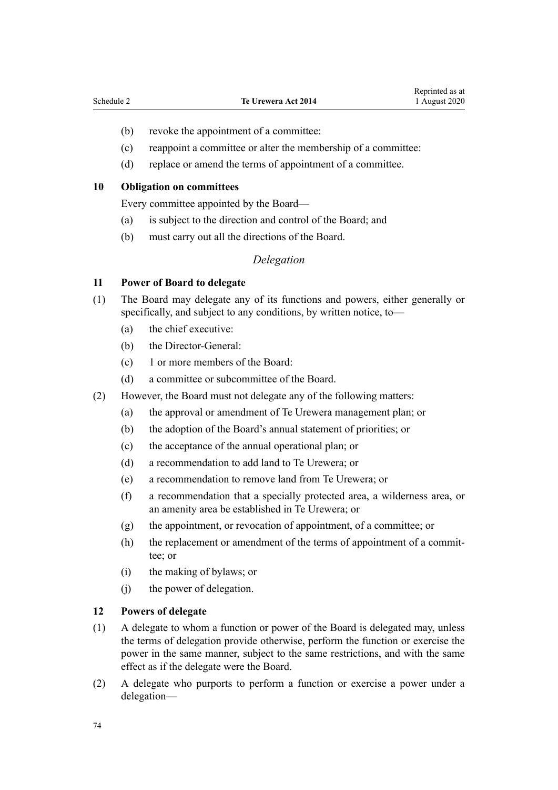- (b) revoke the appointment of a committee:
- (c) reappoint a committee or alter the membership of a committee:
- (d) replace or amend the terms of appointment of a committee.

#### **10 Obligation on committees**

Every committee appointed by the Board—

- (a) is subject to the direction and control of the Board; and
- (b) must carry out all the directions of the Board.

#### *Delegation*

#### **11 Power of Board to delegate**

- (1) The Board may delegate any of its functions and powers, either generally or specifically, and subject to any conditions, by written notice, to—
	- (a) the chief executive:
	- (b) the Director-General:
	- (c) 1 or more members of the Board:
	- (d) a committee or subcommittee of the Board.
- (2) However, the Board must not delegate any of the following matters:
	- (a) the approval or amendment of Te Urewera management plan; or
	- (b) the adoption of the Board's annual statement of priorities; or
	- (c) the acceptance of the annual operational plan; or
	- (d) a recommendation to add land to Te Urewera; or
	- (e) a recommendation to remove land from Te Urewera; or
	- (f) a recommendation that a specially protected area, a wilderness area, or an amenity area be established in Te Urewera; or
	- (g) the appointment, or revocation of appointment, of a committee; or
	- (h) the replacement or amendment of the terms of appointment of a committee; or
	- (i) the making of bylaws; or
	- (j) the power of delegation.

#### **12 Powers of delegate**

- (1) A delegate to whom a function or power of the Board is delegated may, unless the terms of delegation provide otherwise, perform the function or exercise the power in the same manner, subject to the same restrictions, and with the same effect as if the delegate were the Board.
- (2) A delegate who purports to perform a function or exercise a power under a delegation—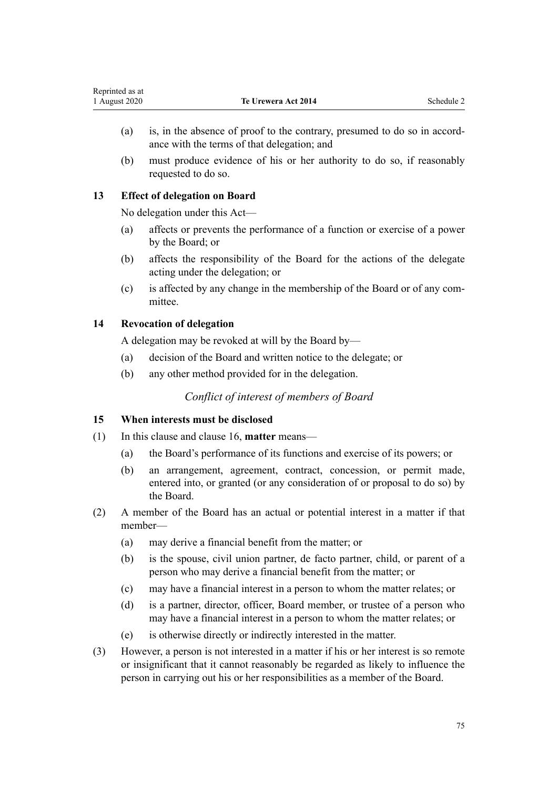- (a) is, in the absence of proof to the contrary, presumed to do so in accordance with the terms of that delegation; and
- (b) must produce evidence of his or her authority to do so, if reasonably requested to do so.

## **13 Effect of delegation on Board**

No delegation under this Act—

- (a) affects or prevents the performance of a function or exercise of a power by the Board; or
- (b) affects the responsibility of the Board for the actions of the delegate acting under the delegation; or
- (c) is affected by any change in the membership of the Board or of any committee.

## **14 Revocation of delegation**

A delegation may be revoked at will by the Board by—

- (a) decision of the Board and written notice to the delegate; or
- (b) any other method provided for in the delegation.

## *Conflict of interest of members of Board*

## **15 When interests must be disclosed**

- (1) In this clause and [clause 16](#page-75-0), **matter** means—
	- (a) the Board's performance of its functions and exercise of its powers; or
	- (b) an arrangement, agreement, contract, concession, or permit made, entered into, or granted (or any consideration of or proposal to do so) by the Board.
- (2) A member of the Board has an actual or potential interest in a matter if that member—
	- (a) may derive a financial benefit from the matter; or
	- (b) is the spouse, civil union partner, de facto partner, child, or parent of a person who may derive a financial benefit from the matter; or
	- (c) may have a financial interest in a person to whom the matter relates; or
	- (d) is a partner, director, officer, Board member, or trustee of a person who may have a financial interest in a person to whom the matter relates; or
	- (e) is otherwise directly or indirectly interested in the matter.
- (3) However, a person is not interested in a matter if his or her interest is so remote or insignificant that it cannot reasonably be regarded as likely to influence the person in carrying out his or her responsibilities as a member of the Board.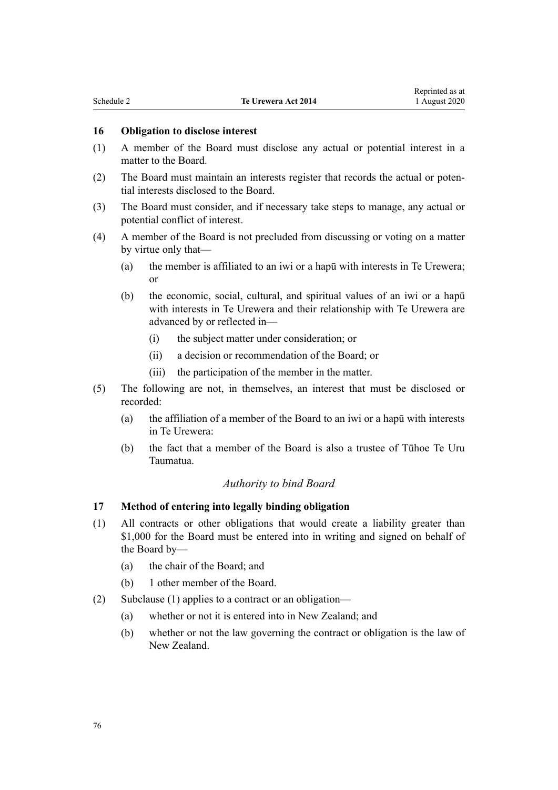#### <span id="page-75-0"></span>**16 Obligation to disclose interest**

- (1) A member of the Board must disclose any actual or potential interest in a matter to the Board.
- (2) The Board must maintain an interests register that records the actual or potential interests disclosed to the Board.
- (3) The Board must consider, and if necessary take steps to manage, any actual or potential conflict of interest.
- (4) A member of the Board is not precluded from discussing or voting on a matter by virtue only that—
	- (a) the member is affiliated to an iwi or a hapū with interests in Te Urewera; or
	- (b) the economic, social, cultural, and spiritual values of an iwi or a hapū with interests in Te Urewera and their relationship with Te Urewera are advanced by or reflected in—
		- (i) the subject matter under consideration; or
		- (ii) a decision or recommendation of the Board; or
		- (iii) the participation of the member in the matter.
- (5) The following are not, in themselves, an interest that must be disclosed or recorded:
	- (a) the affiliation of a member of the Board to an iwi or a hapū with interests in Te Urewera:
	- (b) the fact that a member of the Board is also a trustee of Tūhoe Te Uru Taumatua.

#### *Authority to bind Board*

#### **17 Method of entering into legally binding obligation**

- (1) All contracts or other obligations that would create a liability greater than \$1,000 for the Board must be entered into in writing and signed on behalf of the Board by—
	- (a) the chair of the Board; and
	- (b) 1 other member of the Board.
- (2) Subclause (1) applies to a contract or an obligation—
	- (a) whether or not it is entered into in New Zealand; and
	- (b) whether or not the law governing the contract or obligation is the law of New Zealand.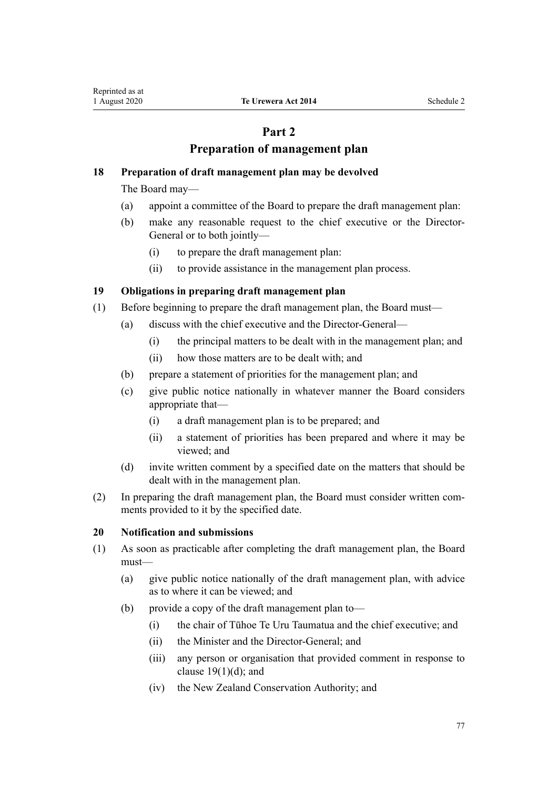## **Part 2**

## **Preparation of management plan**

## **18 Preparation of draft management plan may be devolved**

The Board may—

- (a) appoint a committee of the Board to prepare the draft management plan:
- (b) make any reasonable request to the chief executive or the Director-General or to both jointly—
	- (i) to prepare the draft management plan:
	- (ii) to provide assistance in the management plan process.

## **19 Obligations in preparing draft management plan**

- (1) Before beginning to prepare the draft management plan, the Board must—
	- (a) discuss with the chief executive and the Director-General—
		- (i) the principal matters to be dealt with in the management plan; and
		- (ii) how those matters are to be dealt with; and
	- (b) prepare a statement of priorities for the management plan; and
	- (c) give public notice nationally in whatever manner the Board considers appropriate that—
		- (i) a draft management plan is to be prepared; and
		- (ii) a statement of priorities has been prepared and where it may be viewed; and
	- (d) invite written comment by a specified date on the matters that should be dealt with in the management plan.
- (2) In preparing the draft management plan, the Board must consider written comments provided to it by the specified date.

## **20 Notification and submissions**

- (1) As soon as practicable after completing the draft management plan, the Board must—
	- (a) give public notice nationally of the draft management plan, with advice as to where it can be viewed; and
	- (b) provide a copy of the draft management plan to—
		- (i) the chair of Tūhoe Te Uru Taumatua and the chief executive; and
		- (ii) the Minister and the Director-General; and
		- (iii) any person or organisation that provided comment in response to clause  $19(1)(d)$ ; and
		- (iv) the New Zealand Conservation Authority; and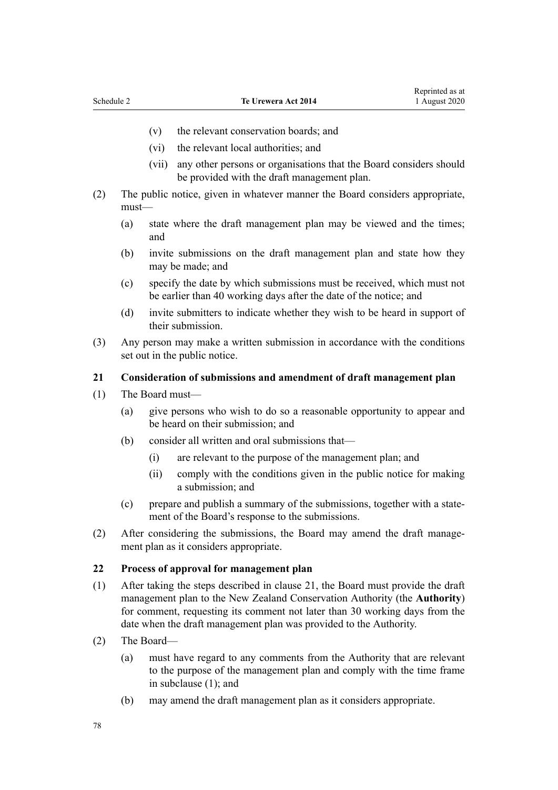- <span id="page-77-0"></span>(v) the relevant conservation boards; and
- (vi) the relevant local authorities; and
- (vii) any other persons or organisations that the Board considers should be provided with the draft management plan.
- (2) The public notice, given in whatever manner the Board considers appropriate, must—
	- (a) state where the draft management plan may be viewed and the times; and
	- (b) invite submissions on the draft management plan and state how they may be made; and
	- (c) specify the date by which submissions must be received, which must not be earlier than 40 working days after the date of the notice; and
	- (d) invite submitters to indicate whether they wish to be heard in support of their submission.
- (3) Any person may make a written submission in accordance with the conditions set out in the public notice.

#### **21 Consideration of submissions and amendment of draft management plan**

- (1) The Board must—
	- (a) give persons who wish to do so a reasonable opportunity to appear and be heard on their submission; and
	- (b) consider all written and oral submissions that—
		- (i) are relevant to the purpose of the management plan; and
		- (ii) comply with the conditions given in the public notice for making a submission; and
	- (c) prepare and publish a summary of the submissions, together with a statement of the Board's response to the submissions.
- (2) After considering the submissions, the Board may amend the draft management plan as it considers appropriate.

#### **22 Process of approval for management plan**

- (1) After taking the steps described in clause 21, the Board must provide the draft management plan to the New Zealand Conservation Authority (the **Authority**) for comment, requesting its comment not later than 30 working days from the date when the draft management plan was provided to the Authority.
- (2) The Board—
	- (a) must have regard to any comments from the Authority that are relevant to the purpose of the management plan and comply with the time frame in subclause (1); and
	- (b) may amend the draft management plan as it considers appropriate.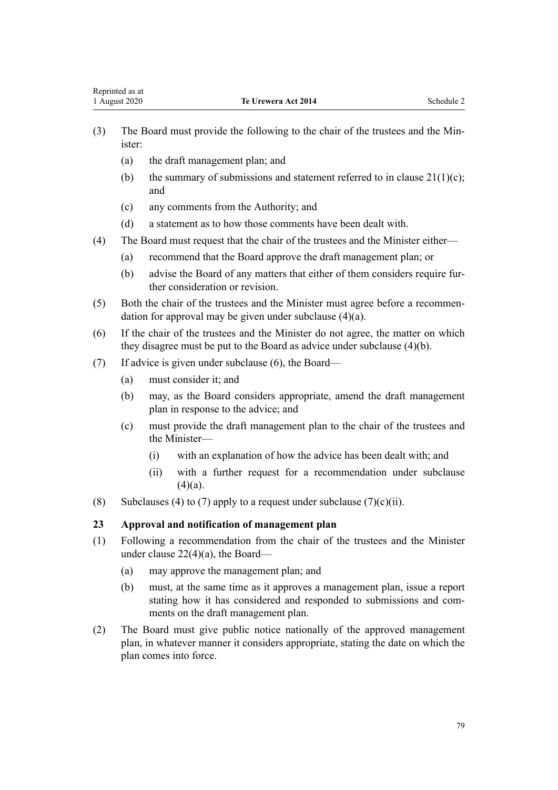- (3) The Board must provide the following to the chair of the trustees and the Minister:
	- (a) the draft management plan; and
	- (b) the summary of submissions and statement referred to in clause  $21(1)(c)$ ; and
	- (c) any comments from the Authority; and
	- (d) a statement as to how those comments have been dealt with.
- (4) The Board must request that the chair of the trustees and the Minister either—
	- (a) recommend that the Board approve the draft management plan; or
	- (b) advise the Board of any matters that either of them considers require further consideration or revision.
- (5) Both the chair of the trustees and the Minister must agree before a recommendation for approval may be given under subclause (4)(a).
- (6) If the chair of the trustees and the Minister do not agree, the matter on which they disagree must be put to the Board as advice under subclause (4)(b).
- (7) If advice is given under subclause (6), the Board—
	- (a) must consider it; and
	- (b) may, as the Board considers appropriate, amend the draft management plan in response to the advice; and
	- (c) must provide the draft management plan to the chair of the trustees and the Minister—
		- (i) with an explanation of how the advice has been dealt with; and
		- (ii) with a further request for a recommendation under subclause  $(4)(a)$ .
- (8) Subclauses (4) to (7) apply to a request under subclause (7)(c)(ii).

## **23 Approval and notification of management plan**

- (1) Following a recommendation from the chair of the trustees and the Minister under [clause 22\(4\)\(a\),](#page-77-0) the Board—
	- (a) may approve the management plan; and
	- (b) must, at the same time as it approves a management plan, issue a report stating how it has considered and responded to submissions and comments on the draft management plan.
- (2) The Board must give public notice nationally of the approved management plan, in whatever manner it considers appropriate, stating the date on which the plan comes into force.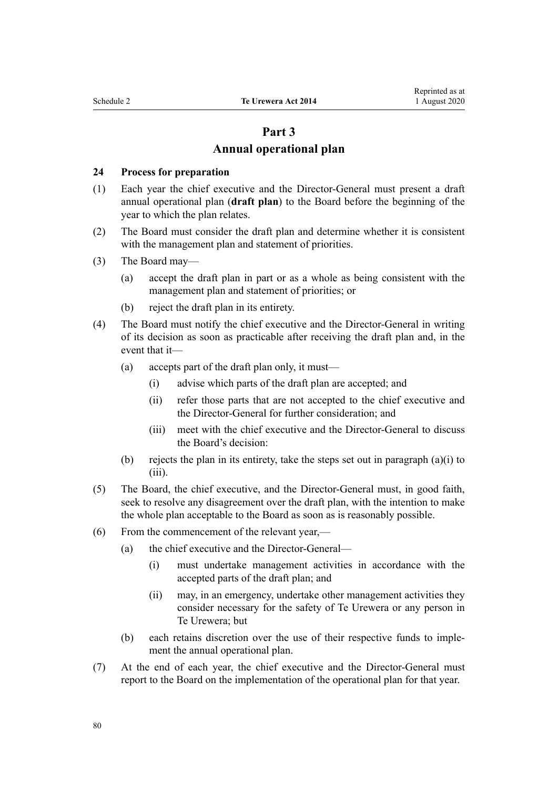## **Part 3 Annual operational plan**

#### **24 Process for preparation**

- (1) Each year the chief executive and the Director-General must present a draft annual operational plan (**draft plan**) to the Board before the beginning of the year to which the plan relates.
- (2) The Board must consider the draft plan and determine whether it is consistent with the management plan and statement of priorities.
- (3) The Board may—
	- (a) accept the draft plan in part or as a whole as being consistent with the management plan and statement of priorities; or
	- (b) reject the draft plan in its entirety.
- (4) The Board must notify the chief executive and the Director-General in writing of its decision as soon as practicable after receiving the draft plan and, in the event that it—
	- (a) accepts part of the draft plan only, it must—
		- (i) advise which parts of the draft plan are accepted; and
		- (ii) refer those parts that are not accepted to the chief executive and the Director-General for further consideration; and
		- (iii) meet with the chief executive and the Director-General to discuss the Board's decision:
	- (b) rejects the plan in its entirety, take the steps set out in paragraph (a)(i) to (iii).
- (5) The Board, the chief executive, and the Director-General must, in good faith, seek to resolve any disagreement over the draft plan, with the intention to make the whole plan acceptable to the Board as soon as is reasonably possible.
- (6) From the commencement of the relevant year,—
	- (a) the chief executive and the Director-General—
		- (i) must undertake management activities in accordance with the accepted parts of the draft plan; and
		- (ii) may, in an emergency, undertake other management activities they consider necessary for the safety of Te Urewera or any person in Te Urewera; but
	- (b) each retains discretion over the use of their respective funds to implement the annual operational plan.
- (7) At the end of each year, the chief executive and the Director-General must report to the Board on the implementation of the operational plan for that year.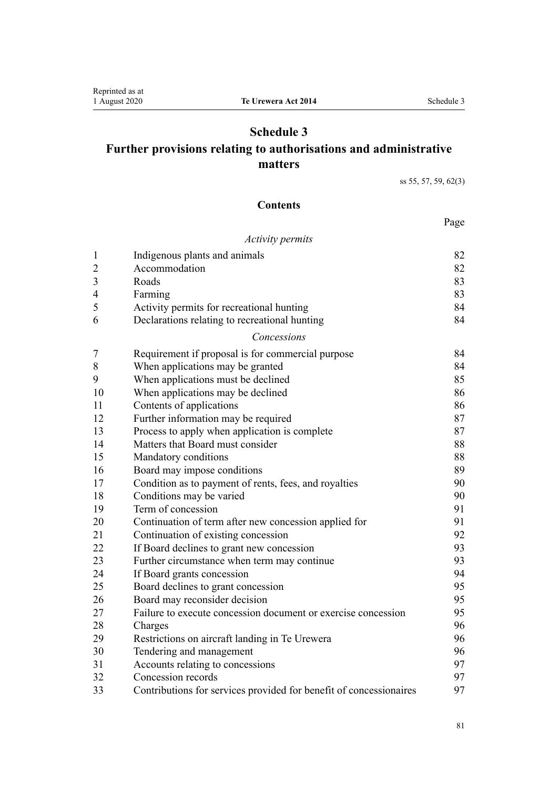## **Schedule 3**

## **Further provisions relating to authorisations and administrative matters**

[ss 55](#page-30-0), [57,](#page-30-0) [59](#page-31-0), [62\(3\)](#page-32-0)

## **Contents**

## Page

#### *[Activity permits](#page-81-0)*

| $\mathbf{1}$   | Indigenous plants and animals                                      | 82 |
|----------------|--------------------------------------------------------------------|----|
| $\overline{2}$ | Accommodation                                                      | 82 |
| 3              | Roads                                                              | 83 |
| 4              | Farming                                                            | 83 |
| 5              | Activity permits for recreational hunting                          | 84 |
| 6              | Declarations relating to recreational hunting                      | 84 |
|                | Concessions                                                        |    |
| 7              | Requirement if proposal is for commercial purpose                  | 84 |
| 8              | When applications may be granted                                   | 84 |
| 9              | When applications must be declined                                 | 85 |
| 10             | When applications may be declined                                  | 86 |
| 11             | Contents of applications                                           | 86 |
| 12             | Further information may be required                                | 87 |
| 13             | Process to apply when application is complete                      | 87 |
| 14             | Matters that Board must consider                                   | 88 |
| 15             | Mandatory conditions                                               | 88 |
| 16             | Board may impose conditions                                        | 89 |
| 17             | Condition as to payment of rents, fees, and royalties              | 90 |
| 18             | Conditions may be varied                                           | 90 |
| 19             | Term of concession                                                 | 91 |
| 20             | Continuation of term after new concession applied for              | 91 |
| 21             | Continuation of existing concession                                | 92 |
| 22             | If Board declines to grant new concession                          | 93 |
| 23             | Further circumstance when term may continue                        | 93 |
| 24             | If Board grants concession                                         | 94 |
| 25             | Board declines to grant concession                                 | 95 |
| 26             | Board may reconsider decision                                      | 95 |
| 27             | Failure to execute concession document or exercise concession      | 95 |
| 28             | Charges                                                            | 96 |
| 29             | Restrictions on aircraft landing in Te Urewera                     | 96 |
| 30             | Tendering and management                                           | 96 |
| 31             | Accounts relating to concessions                                   | 97 |
| 32             | Concession records                                                 | 97 |
| 33             | Contributions for services provided for benefit of concessionaires | 97 |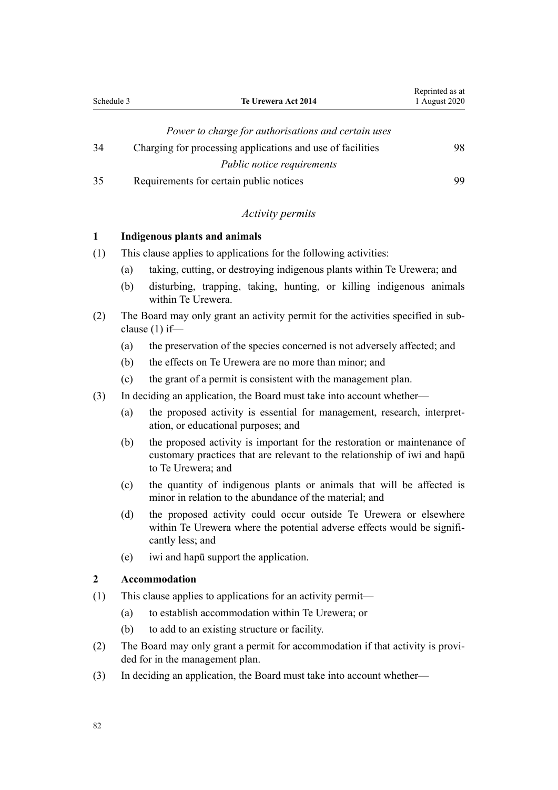<span id="page-81-0"></span>

| Schedule 3 | Te Urewera Act 2014                                        | 1 August 2020 |
|------------|------------------------------------------------------------|---------------|
|            | Power to charge for authorisations and certain uses        |               |
| 34         | Charging for processing applications and use of facilities | 98            |
|            | <i>Public notice requirements</i>                          |               |

Reprinted as at

[35](#page-98-0) [Requirements for certain public notices](#page-98-0) [99](#page-98-0)

## *Activity permits*

### **1 Indigenous plants and animals**

- (1) This clause applies to applications for the following activities:
	- (a) taking, cutting, or destroying indigenous plants within Te Urewera; and
	- (b) disturbing, trapping, taking, hunting, or killing indigenous animals within Te Urewera.
- (2) The Board may only grant an activity permit for the activities specified in subclause (1) if—
	- (a) the preservation of the species concerned is not adversely affected; and
	- (b) the effects on Te Urewera are no more than minor; and
	- (c) the grant of a permit is consistent with the management plan.
- (3) In deciding an application, the Board must take into account whether—
	- (a) the proposed activity is essential for management, research, interpretation, or educational purposes; and
	- (b) the proposed activity is important for the restoration or maintenance of customary practices that are relevant to the relationship of iwi and hapū to Te Urewera; and
	- (c) the quantity of indigenous plants or animals that will be affected is minor in relation to the abundance of the material; and
	- (d) the proposed activity could occur outside Te Urewera or elsewhere within Te Urewera where the potential adverse effects would be significantly less; and
	- (e) iwi and hapū support the application.

#### **2 Accommodation**

- (1) This clause applies to applications for an activity permit—
	- (a) to establish accommodation within Te Urewera; or
	- (b) to add to an existing structure or facility.
- (2) The Board may only grant a permit for accommodation if that activity is provided for in the management plan.
- (3) In deciding an application, the Board must take into account whether—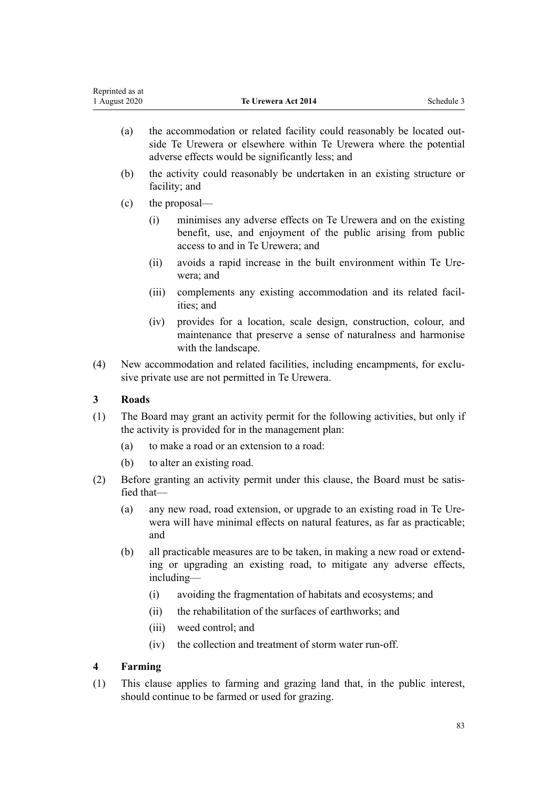<span id="page-82-0"></span>

|     | Reprinted as at<br>1 August 2020 |                                                                                                                                  | Te Urewera Act 2014                                                                                                                                                                              | Schedule 3 |  |
|-----|----------------------------------|----------------------------------------------------------------------------------------------------------------------------------|--------------------------------------------------------------------------------------------------------------------------------------------------------------------------------------------------|------------|--|
|     | (a)                              |                                                                                                                                  | the accommodation or related facility could reasonably be located out-<br>side Te Urewera or elsewhere within Te Urewera where the potential<br>adverse effects would be significantly less; and |            |  |
|     | (b)                              |                                                                                                                                  | the activity could reasonably be undertaken in an existing structure or<br>facility; and                                                                                                         |            |  |
|     | (c)                              |                                                                                                                                  | the proposal—                                                                                                                                                                                    |            |  |
|     |                                  | (i)                                                                                                                              | minimises any adverse effects on Te Urewera and on the existing<br>benefit, use, and enjoyment of the public arising from public<br>access to and in Te Urewera; and                             |            |  |
|     |                                  | (ii)                                                                                                                             | avoids a rapid increase in the built environment within Te Ure-<br>wera; and                                                                                                                     |            |  |
|     |                                  | (iii)                                                                                                                            | complements any existing accommodation and its related facil-<br>ities; and                                                                                                                      |            |  |
|     |                                  | (iv)                                                                                                                             | provides for a location, scale design, construction, colour, and<br>maintenance that preserve a sense of naturalness and harmonise<br>with the landscape.                                        |            |  |
| (4) |                                  | New accommodation and related facilities, including encampments, for exclu-<br>sive private use are not permitted in Te Urewera. |                                                                                                                                                                                                  |            |  |
| 3   | <b>Roads</b>                     |                                                                                                                                  |                                                                                                                                                                                                  |            |  |
| (1) |                                  |                                                                                                                                  | The Board may grant an activity permit for the following activities, but only if<br>the activity is provided for in the management plan:                                                         |            |  |
|     | (a)                              |                                                                                                                                  | to make a road or an extension to a road:                                                                                                                                                        |            |  |
|     | (b)                              |                                                                                                                                  | to alter an existing road.                                                                                                                                                                       |            |  |
| (2) | fied that-                       |                                                                                                                                  | Before granting an activity permit under this clause, the Board must be satis-                                                                                                                   |            |  |
|     | (a)                              | and                                                                                                                              | any new road, road extension, or upgrade to an existing road in Te Ure-<br>wera will have minimal effects on natural features, as far as practicable;                                            |            |  |
|     | (b)                              |                                                                                                                                  | all practicable measures are to be taken, in making a new road or extend-<br>ing or upgrading an existing road, to mitigate any adverse effects,<br>including—                                   |            |  |
|     |                                  | (i)                                                                                                                              | avoiding the fragmentation of habitats and ecosystems; and                                                                                                                                       |            |  |
|     |                                  | (ii)                                                                                                                             | the rehabilitation of the surfaces of earthworks; and                                                                                                                                            |            |  |
|     |                                  | (iii)                                                                                                                            | weed control; and                                                                                                                                                                                |            |  |
|     |                                  | (iv)                                                                                                                             | the collection and treatment of storm water run-off.                                                                                                                                             |            |  |
| 4   | Farming                          |                                                                                                                                  |                                                                                                                                                                                                  |            |  |
| (1) |                                  |                                                                                                                                  | This clause applies to farming and grazing land that, in the public interest,<br>should continue to be farmed or used for grazing.                                                               |            |  |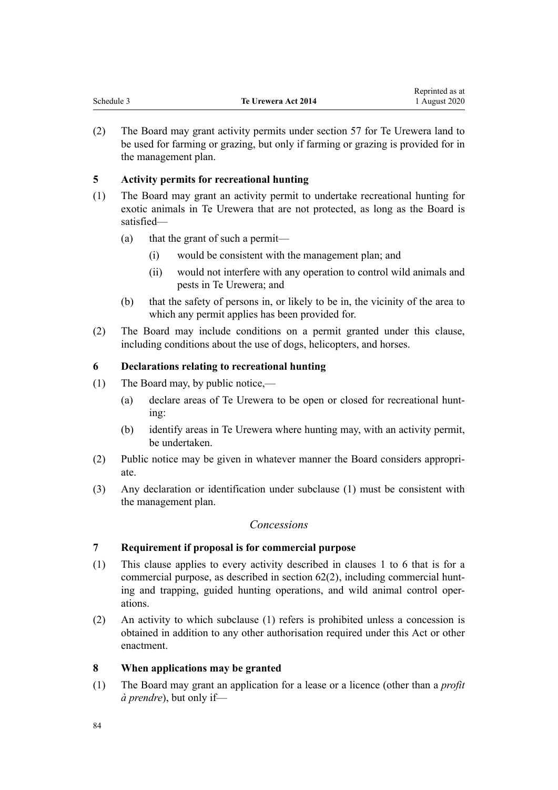<span id="page-83-0"></span>

| Schedule 3 | Te Urewera Act 2014 | Reprinted as at<br>1 August 2020 |
|------------|---------------------|----------------------------------|
|            |                     |                                  |

(2) The Board may grant activity permits under [section 57](#page-30-0) for Te Urewera land to be used for farming or grazing, but only if farming or grazing is provided for in the management plan.

## **5 Activity permits for recreational hunting**

- (1) The Board may grant an activity permit to undertake recreational hunting for exotic animals in Te Urewera that are not protected, as long as the Board is satisfied—
	- (a) that the grant of such a permit—
		- (i) would be consistent with the management plan; and
		- (ii) would not interfere with any operation to control wild animals and pests in Te Urewera; and
	- (b) that the safety of persons in, or likely to be in, the vicinity of the area to which any permit applies has been provided for.
- (2) The Board may include conditions on a permit granted under this clause, including conditions about the use of dogs, helicopters, and horses.

## **6 Declarations relating to recreational hunting**

- (1) The Board may, by public notice,—
	- (a) declare areas of Te Urewera to be open or closed for recreational hunting:
	- (b) identify areas in Te Urewera where hunting may, with an activity permit, be undertaken.
- (2) Public notice may be given in whatever manner the Board considers appropriate.
- (3) Any declaration or identification under subclause (1) must be consistent with the management plan.

## *Concessions*

## **7 Requirement if proposal is for commercial purpose**

- (1) This clause applies to every activity described in [clauses 1 to 6](#page-81-0) that is for a commercial purpose, as described in [section 62\(2\),](#page-32-0) including commercial hunting and trapping, guided hunting operations, and wild animal control operations.
- (2) An activity to which subclause (1) refers is prohibited unless a concession is obtained in addition to any other authorisation required under this Act or other enactment.

## **8 When applications may be granted**

(1) The Board may grant an application for a lease or a licence (other than a *profit à prendre*), but only if—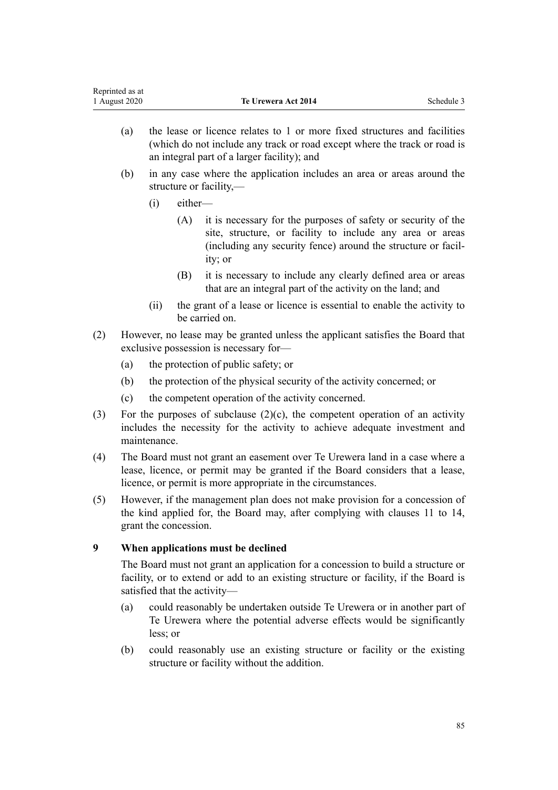- <span id="page-84-0"></span>(a) the lease or licence relates to 1 or more fixed structures and facilities (which do not include any track or road except where the track or road is an integral part of a larger facility); and
- (b) in any case where the application includes an area or areas around the structure or facility,—
	- (i) either—
		- (A) it is necessary for the purposes of safety or security of the site, structure, or facility to include any area or areas (including any security fence) around the structure or facility; or
		- (B) it is necessary to include any clearly defined area or areas that are an integral part of the activity on the land; and
	- (ii) the grant of a lease or licence is essential to enable the activity to be carried on.
- (2) However, no lease may be granted unless the applicant satisfies the Board that exclusive possession is necessary for—
	- (a) the protection of public safety; or
	- (b) the protection of the physical security of the activity concerned; or
	- (c) the competent operation of the activity concerned.
- (3) For the purposes of subclause  $(2)(c)$ , the competent operation of an activity includes the necessity for the activity to achieve adequate investment and maintenance.
- (4) The Board must not grant an easement over Te Urewera land in a case where a lease, licence, or permit may be granted if the Board considers that a lease, licence, or permit is more appropriate in the circumstances.
- (5) However, if the management plan does not make provision for a concession of the kind applied for, the Board may, after complying with [clauses 11 to 14](#page-85-0), grant the concession.

## **9 When applications must be declined**

The Board must not grant an application for a concession to build a structure or facility, or to extend or add to an existing structure or facility, if the Board is satisfied that the activity—

- (a) could reasonably be undertaken outside Te Urewera or in another part of Te Urewera where the potential adverse effects would be significantly less; or
- (b) could reasonably use an existing structure or facility or the existing structure or facility without the addition.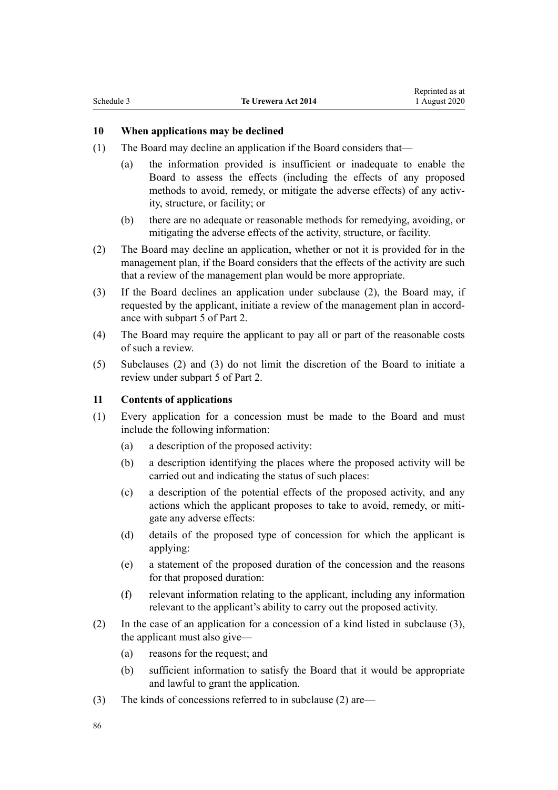### <span id="page-85-0"></span>**10 When applications may be declined**

- (1) The Board may decline an application if the Board considers that—
	- (a) the information provided is insufficient or inadequate to enable the Board to assess the effects (including the effects of any proposed methods to avoid, remedy, or mitigate the adverse effects) of any activity, structure, or facility; or
	- (b) there are no adequate or reasonable methods for remedying, avoiding, or mitigating the adverse effects of the activity, structure, or facility.
- (2) The Board may decline an application, whether or not it is provided for in the management plan, if the Board considers that the effects of the activity are such that a review of the management plan would be more appropriate.
- (3) If the Board declines an application under subclause (2), the Board may, if requested by the applicant, initiate a review of the management plan in accordance with [subpart 5](#page-33-0) of Part 2.
- (4) The Board may require the applicant to pay all or part of the reasonable costs of such a review.
- (5) Subclauses (2) and (3) do not limit the discretion of the Board to initiate a review under [subpart 5](#page-33-0) of Part 2.

#### **11 Contents of applications**

- (1) Every application for a concession must be made to the Board and must include the following information:
	- (a) a description of the proposed activity:
	- (b) a description identifying the places where the proposed activity will be carried out and indicating the status of such places:
	- (c) a description of the potential effects of the proposed activity, and any actions which the applicant proposes to take to avoid, remedy, or mitigate any adverse effects:
	- (d) details of the proposed type of concession for which the applicant is applying:
	- (e) a statement of the proposed duration of the concession and the reasons for that proposed duration:
	- (f) relevant information relating to the applicant, including any information relevant to the applicant's ability to carry out the proposed activity.
- (2) In the case of an application for a concession of a kind listed in subclause (3), the applicant must also give—
	- (a) reasons for the request; and
	- (b) sufficient information to satisfy the Board that it would be appropriate and lawful to grant the application.
- (3) The kinds of concessions referred to in subclause (2) are—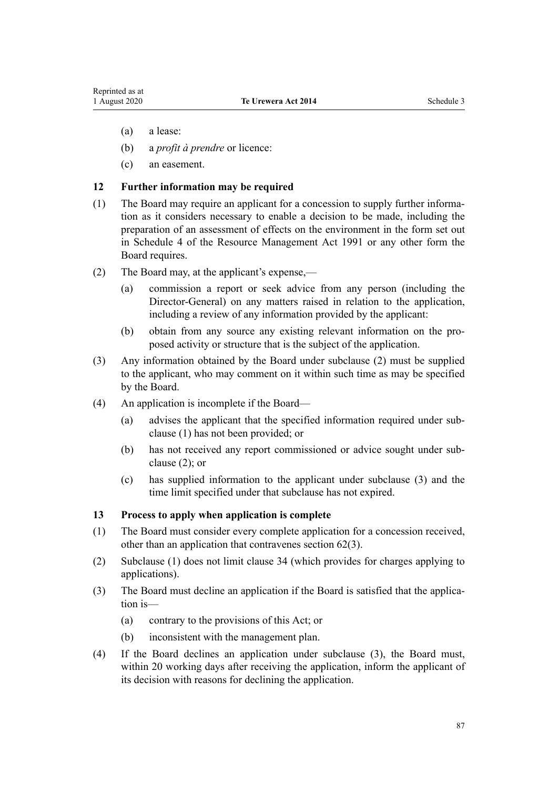- <span id="page-86-0"></span>(a) a lease:
- (b) a *profit à prendre* or licence:
- (c) an easement.

#### **12 Further information may be required**

- (1) The Board may require an applicant for a concession to supply further information as it considers necessary to enable a decision to be made, including the preparation of an assessment of effects on the environment in the form set out in Schedule 4 of the Resource Management Act 1991 or any other form the Board requires.
- (2) The Board may, at the applicant's expense,—
	- (a) commission a report or seek advice from any person (including the Director-General) on any matters raised in relation to the application, including a review of any information provided by the applicant:
	- (b) obtain from any source any existing relevant information on the proposed activity or structure that is the subject of the application.
- (3) Any information obtained by the Board under subclause (2) must be supplied to the applicant, who may comment on it within such time as may be specified by the Board.
- (4) An application is incomplete if the Board—
	- (a) advises the applicant that the specified information required under subclause (1) has not been provided; or
	- (b) has not received any report commissioned or advice sought under subclause (2); or
	- (c) has supplied information to the applicant under subclause (3) and the time limit specified under that subclause has not expired.

#### **13 Process to apply when application is complete**

- (1) The Board must consider every complete application for a concession received, other than an application that contravenes [section 62\(3\)](#page-32-0).
- (2) Subclause (1) does not limit [clause 34](#page-97-0) (which provides for charges applying to applications).
- (3) The Board must decline an application if the Board is satisfied that the application is—
	- (a) contrary to the provisions of this Act; or
	- (b) inconsistent with the management plan.
- (4) If the Board declines an application under subclause (3), the Board must, within 20 working days after receiving the application, inform the applicant of its decision with reasons for declining the application.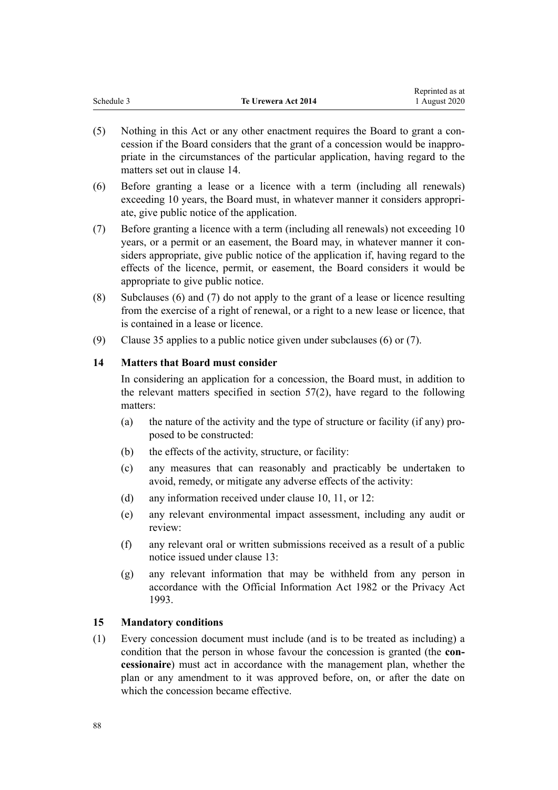<span id="page-87-0"></span>

| Schedule 3          | nephined as a |
|---------------------|---------------|
| Te Urewera Act 2014 | 1 August 2020 |

Reprinted as at

- (5) Nothing in this Act or any other enactment requires the Board to grant a concession if the Board considers that the grant of a concession would be inappropriate in the circumstances of the particular application, having regard to the matters set out in clause 14.
- (6) Before granting a lease or a licence with a term (including all renewals) exceeding 10 years, the Board must, in whatever manner it considers appropriate, give public notice of the application.
- (7) Before granting a licence with a term (including all renewals) not exceeding 10 years, or a permit or an easement, the Board may, in whatever manner it considers appropriate, give public notice of the application if, having regard to the effects of the licence, permit, or easement, the Board considers it would be appropriate to give public notice.
- (8) Subclauses (6) and (7) do not apply to the grant of a lease or licence resulting from the exercise of a right of renewal, or a right to a new lease or licence, that is contained in a lease or licence.
- (9) [Clause 35](#page-98-0) applies to a public notice given under subclauses (6) or (7).

#### **14 Matters that Board must consider**

In considering an application for a concession, the Board must, in addition to the relevant matters specified in [section 57\(2\),](#page-30-0) have regard to the following matters:

- (a) the nature of the activity and the type of structure or facility (if any) proposed to be constructed:
- (b) the effects of the activity, structure, or facility:
- (c) any measures that can reasonably and practicably be undertaken to avoid, remedy, or mitigate any adverse effects of the activity:
- (d) any information received under [clause 10,](#page-85-0) [11,](#page-85-0) or [12](#page-86-0):
- (e) any relevant environmental impact assessment, including any audit or review:
- (f) any relevant oral or written submissions received as a result of a public notice issued under [clause 13:](#page-86-0)
- (g) any relevant information that may be withheld from any person in accordance with the Official Information Act 1982 or the Privacy Act 1993.

#### **15 Mandatory conditions**

(1) Every concession document must include (and is to be treated as including) a condition that the person in whose favour the concession is granted (the **concessionaire**) must act in accordance with the management plan, whether the plan or any amendment to it was approved before, on, or after the date on which the concession became effective.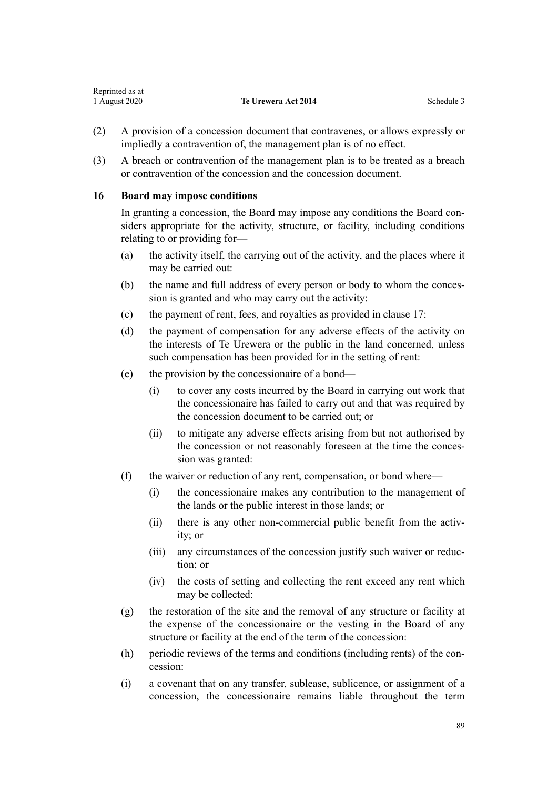| Reprinted as at |                            |            |
|-----------------|----------------------------|------------|
| 1 August 2020   | <b>Te Urewera Act 2014</b> | Schedule 3 |

- (2) A provision of a concession document that contravenes, or allows expressly or impliedly a contravention of, the management plan is of no effect.
- (3) A breach or contravention of the management plan is to be treated as a breach or contravention of the concession and the concession document.

#### **16 Board may impose conditions**

<span id="page-88-0"></span>Representative as a set of the set of the set of the set of the set of the set of the set of the set of the set of the set of the set of the set of the set of the set of the set of the set of the set of the set of the set

In granting a concession, the Board may impose any conditions the Board considers appropriate for the activity, structure, or facility, including conditions relating to or providing for—

- (a) the activity itself, the carrying out of the activity, and the places where it may be carried out:
- (b) the name and full address of every person or body to whom the concession is granted and who may carry out the activity:
- (c) the payment of rent, fees, and royalties as provided in [clause 17](#page-89-0):
- (d) the payment of compensation for any adverse effects of the activity on the interests of Te Urewera or the public in the land concerned, unless such compensation has been provided for in the setting of rent:
- (e) the provision by the concessionaire of a bond—
	- (i) to cover any costs incurred by the Board in carrying out work that the concessionaire has failed to carry out and that was required by the concession document to be carried out; or
	- (ii) to mitigate any adverse effects arising from but not authorised by the concession or not reasonably foreseen at the time the concession was granted:
- (f) the waiver or reduction of any rent, compensation, or bond where—
	- (i) the concessionaire makes any contribution to the management of the lands or the public interest in those lands; or
	- (ii) there is any other non-commercial public benefit from the activity; or
	- (iii) any circumstances of the concession justify such waiver or reduction; or
	- (iv) the costs of setting and collecting the rent exceed any rent which may be collected:
- (g) the restoration of the site and the removal of any structure or facility at the expense of the concessionaire or the vesting in the Board of any structure or facility at the end of the term of the concession:
- (h) periodic reviews of the terms and conditions (including rents) of the concession:
- (i) a covenant that on any transfer, sublease, sublicence, or assignment of a concession, the concessionaire remains liable throughout the term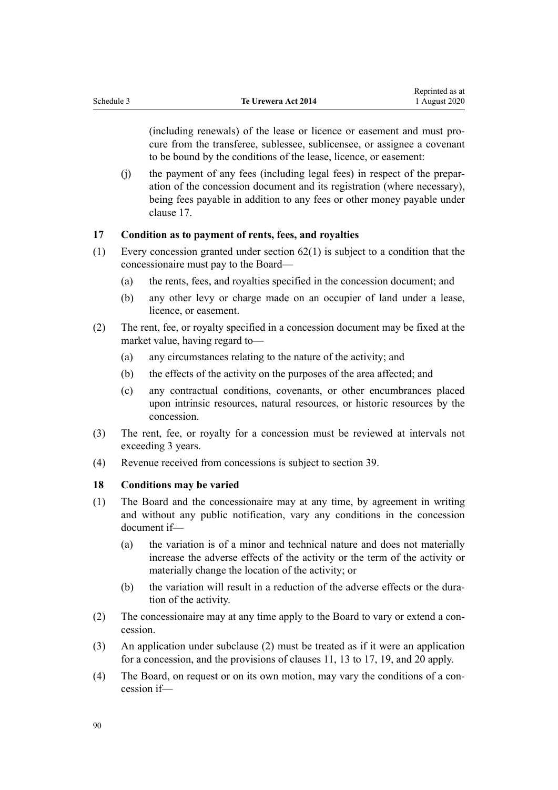<span id="page-89-0"></span>(including renewals) of the lease or licence or easement and must procure from the transferee, sublessee, sublicensee, or assignee a covenant to be bound by the conditions of the lease, licence, or easement:

(j) the payment of any fees (including legal fees) in respect of the preparation of the concession document and its registration (where necessary), being fees payable in addition to any fees or other money payable under clause 17.

### **17 Condition as to payment of rents, fees, and royalties**

- (1) Every concession granted under [section 62\(1\)](#page-32-0) is subject to a condition that the concessionaire must pay to the Board—
	- (a) the rents, fees, and royalties specified in the concession document; and
	- (b) any other levy or charge made on an occupier of land under a lease, licence, or easement.
- (2) The rent, fee, or royalty specified in a concession document may be fixed at the market value, having regard to—
	- (a) any circumstances relating to the nature of the activity; and
	- (b) the effects of the activity on the purposes of the area affected; and
	- (c) any contractual conditions, covenants, or other encumbrances placed upon intrinsic resources, natural resources, or historic resources by the concession.
- (3) The rent, fee, or royalty for a concession must be reviewed at intervals not exceeding 3 years.
- (4) Revenue received from concessions is subject to [section 39.](#page-23-0)

#### **18 Conditions may be varied**

- (1) The Board and the concessionaire may at any time, by agreement in writing and without any public notification, vary any conditions in the concession document if—
	- (a) the variation is of a minor and technical nature and does not materially increase the adverse effects of the activity or the term of the activity or materially change the location of the activity; or
	- (b) the variation will result in a reduction of the adverse effects or the duration of the activity.
- (2) The concessionaire may at any time apply to the Board to vary or extend a concession.
- (3) An application under subclause (2) must be treated as if it were an application for a concession, and the provisions of [clauses 11](#page-85-0), [13](#page-86-0) to 17, [19](#page-90-0), and [20](#page-90-0) apply.
- (4) The Board, on request or on its own motion, may vary the conditions of a concession if—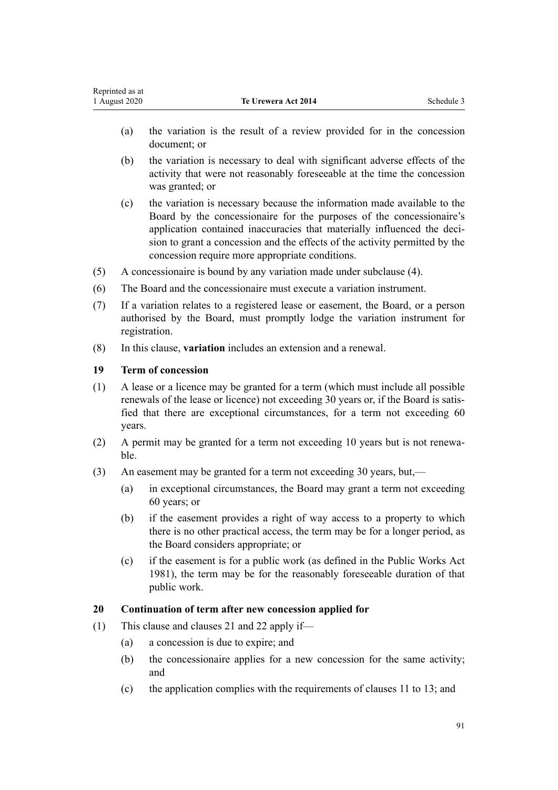- <span id="page-90-0"></span>(a) the variation is the result of a review provided for in the concession document; or
- (b) the variation is necessary to deal with significant adverse effects of the activity that were not reasonably foreseeable at the time the concession was granted; or
- (c) the variation is necessary because the information made available to the Board by the concessionaire for the purposes of the concessionaire's application contained inaccuracies that materially influenced the decision to grant a concession and the effects of the activity permitted by the concession require more appropriate conditions.
- (5) A concessionaire is bound by any variation made under subclause (4).
- (6) The Board and the concessionaire must execute a variation instrument.
- (7) If a variation relates to a registered lease or easement, the Board, or a person authorised by the Board, must promptly lodge the variation instrument for registration.
- (8) In this clause, **variation** includes an extension and a renewal.

## **19 Term of concession**

- (1) A lease or a licence may be granted for a term (which must include all possible renewals of the lease or licence) not exceeding 30 years or, if the Board is satisfied that there are exceptional circumstances, for a term not exceeding 60 years.
- (2) A permit may be granted for a term not exceeding 10 years but is not renewable.
- (3) An easement may be granted for a term not exceeding 30 years, but,—
	- (a) in exceptional circumstances, the Board may grant a term not exceeding 60 years; or
	- (b) if the easement provides a right of way access to a property to which there is no other practical access, the term may be for a longer period, as the Board considers appropriate; or
	- (c) if the easement is for a public work (as defined in the [Public Works Act](http://legislation.govt.nz/pdflink.aspx?id=DLM45426) [1981](http://legislation.govt.nz/pdflink.aspx?id=DLM45426)), the term may be for the reasonably foreseeable duration of that public work.

## **20 Continuation of term after new concession applied for**

- (1) This clause and [clauses 21](#page-91-0) and [22](#page-92-0) apply if—
	- (a) a concession is due to expire; and
	- (b) the concessionaire applies for a new concession for the same activity; and
	- (c) the application complies with the requirements of [clauses 11 to 13](#page-85-0); and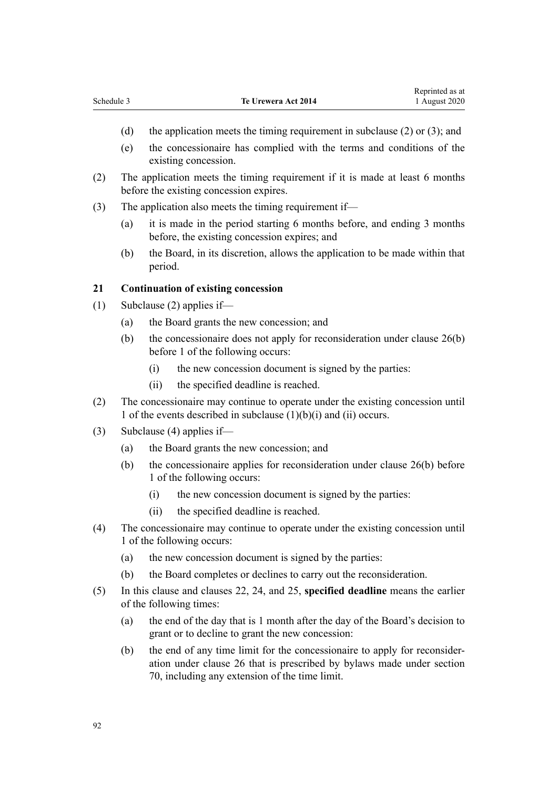- <span id="page-91-0"></span>(d) the application meets the timing requirement in subclause (2) or (3); and
- (e) the concessionaire has complied with the terms and conditions of the existing concession.
- (2) The application meets the timing requirement if it is made at least 6 months before the existing concession expires.
- (3) The application also meets the timing requirement if—
	- (a) it is made in the period starting 6 months before, and ending 3 months before, the existing concession expires; and
	- (b) the Board, in its discretion, allows the application to be made within that period.

#### **21 Continuation of existing concession**

- (1) Subclause (2) applies if—
	- (a) the Board grants the new concession; and
	- (b) the concessionaire does not apply for reconsideration under [clause 26\(b\)](#page-94-0) before 1 of the following occurs:
		- (i) the new concession document is signed by the parties:
		- (ii) the specified deadline is reached.
- (2) The concessionaire may continue to operate under the existing concession until 1 of the events described in subclause  $(1)(b)(i)$  and  $(ii)$  occurs.
- (3) Subclause (4) applies if—
	- (a) the Board grants the new concession; and
	- (b) the concessionaire applies for reconsideration under [clause 26\(b\)](#page-94-0) before 1 of the following occurs:
		- (i) the new concession document is signed by the parties:
		- (ii) the specified deadline is reached.
- (4) The concessionaire may continue to operate under the existing concession until 1 of the following occurs:
	- (a) the new concession document is signed by the parties:
	- (b) the Board completes or declines to carry out the reconsideration.
- (5) In this clause and [clauses 22,](#page-92-0) [24,](#page-93-0) and [25,](#page-94-0) **specified deadline** means the earlier of the following times:
	- (a) the end of the day that is 1 month after the day of the Board's decision to grant or to decline to grant the new concession:
	- (b) the end of any time limit for the concessionaire to apply for reconsideration under [clause 26](#page-94-0) that is prescribed by bylaws made under [section](#page-35-0) [70,](#page-35-0) including any extension of the time limit.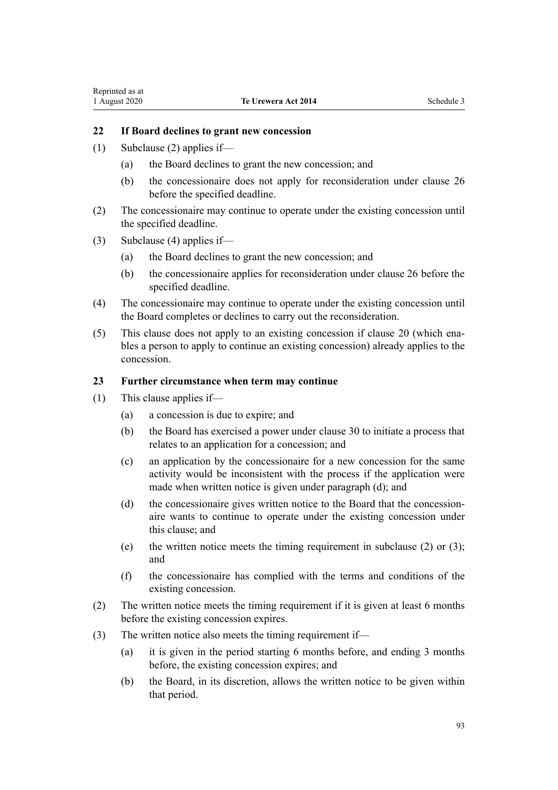## <span id="page-92-0"></span>**22 If Board declines to grant new concession**

- (1) Subclause (2) applies if—
	- (a) the Board declines to grant the new concession; and
	- (b) the concessionaire does not apply for reconsideration under [clause 26](#page-94-0) before the specified deadline.
- (2) The concessionaire may continue to operate under the existing concession until the specified deadline.
- (3) Subclause (4) applies if—
	- (a) the Board declines to grant the new concession; and
	- (b) the concessionaire applies for reconsideration under [clause 26](#page-94-0) before the specified deadline.
- (4) The concessionaire may continue to operate under the existing concession until the Board completes or declines to carry out the reconsideration.
- (5) This clause does not apply to an existing concession if [clause 20](#page-90-0) (which enables a person to apply to continue an existing concession) already applies to the concession.

#### **23 Further circumstance when term may continue**

- (1) This clause applies if—
	- (a) a concession is due to expire; and
	- (b) the Board has exercised a power under [clause 30](#page-95-0) to initiate a process that relates to an application for a concession; and
	- (c) an application by the concessionaire for a new concession for the same activity would be inconsistent with the process if the application were made when written notice is given under paragraph (d); and
	- (d) the concessionaire gives written notice to the Board that the concessionaire wants to continue to operate under the existing concession under this clause; and
	- (e) the written notice meets the timing requirement in subclause (2) or (3); and
	- (f) the concessionaire has complied with the terms and conditions of the existing concession.
- (2) The written notice meets the timing requirement if it is given at least 6 months before the existing concession expires.
- (3) The written notice also meets the timing requirement if—
	- (a) it is given in the period starting 6 months before, and ending 3 months before, the existing concession expires; and
	- (b) the Board, in its discretion, allows the written notice to be given within that period.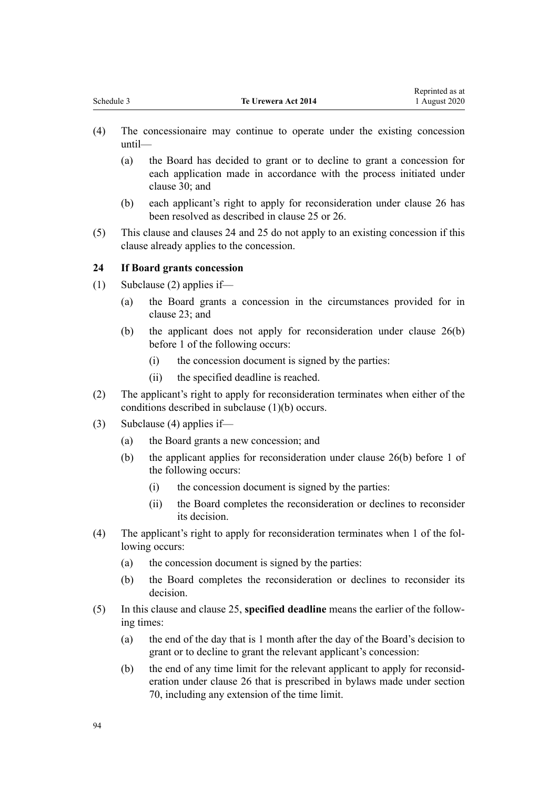Reprinted as at

- <span id="page-93-0"></span>(4) The concessionaire may continue to operate under the existing concession until—
	- (a) the Board has decided to grant or to decline to grant a concession for each application made in accordance with the process initiated under [clause 30](#page-95-0); and
	- (b) each applicant's right to apply for reconsideration under [clause 26](#page-94-0) has been resolved as described in [clause 25](#page-94-0) or [26.](#page-94-0)
- (5) This clause and clauses 24 and [25](#page-94-0) do not apply to an existing concession if this clause already applies to the concession.

#### **24 If Board grants concession**

- (1) Subclause (2) applies if—
	- (a) the Board grants a concession in the circumstances provided for in [clause 23](#page-92-0); and
	- (b) the applicant does not apply for reconsideration under [clause 26\(b\)](#page-94-0) before 1 of the following occurs:
		- (i) the concession document is signed by the parties:
		- (ii) the specified deadline is reached.
- (2) The applicant's right to apply for reconsideration terminates when either of the conditions described in subclause (1)(b) occurs.
- (3) Subclause (4) applies if—
	- (a) the Board grants a new concession; and
	- (b) the applicant applies for reconsideration under [clause 26\(b\)](#page-94-0) before 1 of the following occurs:
		- (i) the concession document is signed by the parties:
		- (ii) the Board completes the reconsideration or declines to reconsider its decision.
- (4) The applicant's right to apply for reconsideration terminates when 1 of the following occurs:
	- (a) the concession document is signed by the parties:
	- (b) the Board completes the reconsideration or declines to reconsider its decision.
- (5) In this clause and [clause 25](#page-94-0), **specified deadline** means the earlier of the following times:
	- (a) the end of the day that is 1 month after the day of the Board's decision to grant or to decline to grant the relevant applicant's concession:
	- (b) the end of any time limit for the relevant applicant to apply for reconsideration under [clause 26](#page-94-0) that is prescribed in bylaws made under [section](#page-35-0) [70,](#page-35-0) including any extension of the time limit.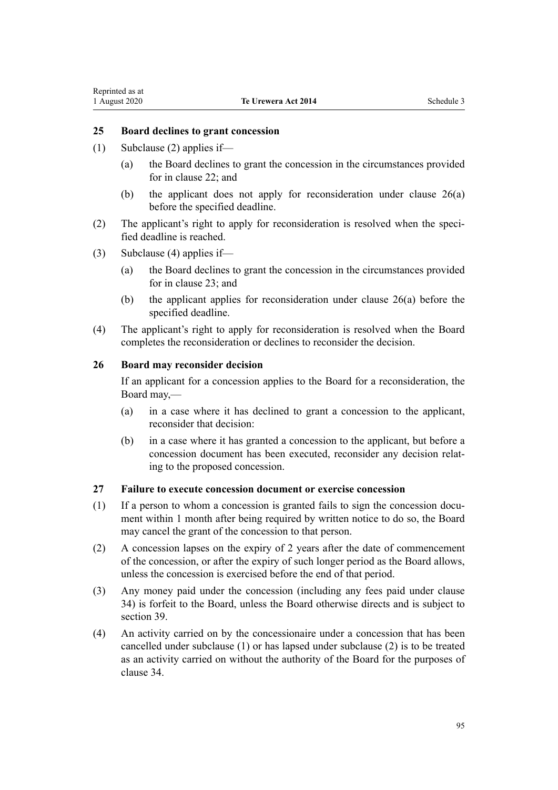#### <span id="page-94-0"></span>**25 Board declines to grant concession**

- (1) Subclause (2) applies if—
	- (a) the Board declines to grant the concession in the circumstances provided for in [clause 22](#page-92-0); and
	- (b) the applicant does not apply for reconsideration under clause 26(a) before the specified deadline.
- (2) The applicant's right to apply for reconsideration is resolved when the specified deadline is reached.
- (3) Subclause (4) applies if—
	- (a) the Board declines to grant the concession in the circumstances provided for in [clause 23](#page-92-0); and
	- (b) the applicant applies for reconsideration under clause 26(a) before the specified deadline.
- (4) The applicant's right to apply for reconsideration is resolved when the Board completes the reconsideration or declines to reconsider the decision.

#### **26 Board may reconsider decision**

If an applicant for a concession applies to the Board for a reconsideration, the Board may,—

- (a) in a case where it has declined to grant a concession to the applicant, reconsider that decision:
- (b) in a case where it has granted a concession to the applicant, but before a concession document has been executed, reconsider any decision relating to the proposed concession.

## **27 Failure to execute concession document or exercise concession**

- (1) If a person to whom a concession is granted fails to sign the concession document within 1 month after being required by written notice to do so, the Board may cancel the grant of the concession to that person.
- (2) A concession lapses on the expiry of 2 years after the date of commencement of the concession, or after the expiry of such longer period as the Board allows, unless the concession is exercised before the end of that period.
- (3) Any money paid under the concession (including any fees paid under [clause](#page-97-0) [34\)](#page-97-0) is forfeit to the Board, unless the Board otherwise directs and is subject to [section 39](#page-23-0).
- (4) An activity carried on by the concessionaire under a concession that has been cancelled under subclause (1) or has lapsed under subclause (2) is to be treated as an activity carried on without the authority of the Board for the purposes of [clause 34](#page-97-0).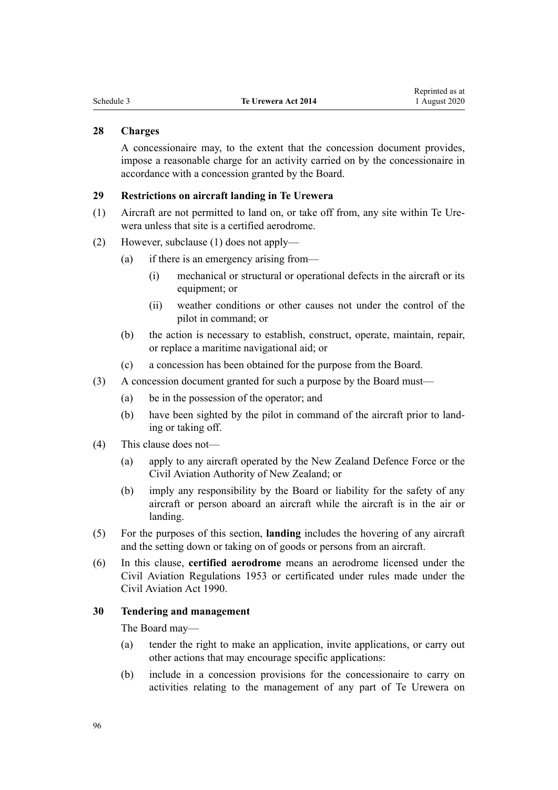#### <span id="page-95-0"></span>**28 Charges**

A concessionaire may, to the extent that the concession document provides, impose a reasonable charge for an activity carried on by the concessionaire in accordance with a concession granted by the Board.

#### **29 Restrictions on aircraft landing in Te Urewera**

- (1) Aircraft are not permitted to land on, or take off from, any site within Te Urewera unless that site is a certified aerodrome.
- (2) However, subclause (1) does not apply—
	- (a) if there is an emergency arising from—
		- (i) mechanical or structural or operational defects in the aircraft or its equipment; or
		- (ii) weather conditions or other causes not under the control of the pilot in command; or
	- (b) the action is necessary to establish, construct, operate, maintain, repair, or replace a maritime navigational aid; or
	- (c) a concession has been obtained for the purpose from the Board.
- (3) A concession document granted for such a purpose by the Board must—
	- (a) be in the possession of the operator; and
	- (b) have been sighted by the pilot in command of the aircraft prior to landing or taking off.
- (4) This clause does not—
	- (a) apply to any aircraft operated by the New Zealand Defence Force or the Civil Aviation Authority of New Zealand; or
	- (b) imply any responsibility by the Board or liability for the safety of any aircraft or person aboard an aircraft while the aircraft is in the air or landing.
- (5) For the purposes of this section, **landing** includes the hovering of any aircraft and the setting down or taking on of goods or persons from an aircraft.
- (6) In this clause, **certified aerodrome** means an aerodrome licensed under the Civil Aviation Regulations 1953 or certificated under rules made under the [Civil Aviation Act 1990.](http://legislation.govt.nz/pdflink.aspx?id=DLM214686)

#### **30 Tendering and management**

The Board may—

- (a) tender the right to make an application, invite applications, or carry out other actions that may encourage specific applications:
- (b) include in a concession provisions for the concessionaire to carry on activities relating to the management of any part of Te Urewera on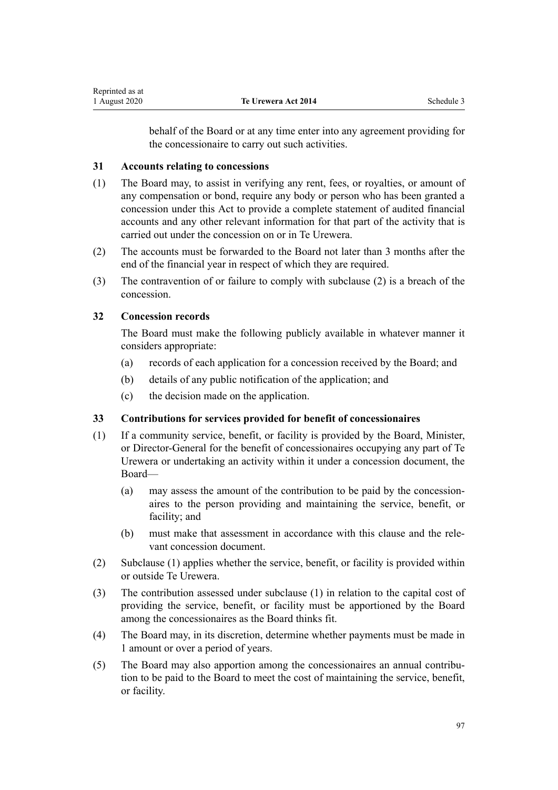behalf of the Board or at any time enter into any agreement providing for the concessionaire to carry out such activities.

#### <span id="page-96-0"></span>**31 Accounts relating to concessions**

- (1) The Board may, to assist in verifying any rent, fees, or royalties, or amount of any compensation or bond, require any body or person who has been granted a concession under this Act to provide a complete statement of audited financial accounts and any other relevant information for that part of the activity that is carried out under the concession on or in Te Urewera.
- (2) The accounts must be forwarded to the Board not later than 3 months after the end of the financial year in respect of which they are required.
- (3) The contravention of or failure to comply with subclause (2) is a breach of the concession.

#### **32 Concession records**

The Board must make the following publicly available in whatever manner it considers appropriate:

- (a) records of each application for a concession received by the Board; and
- (b) details of any public notification of the application; and
- (c) the decision made on the application.

#### **33 Contributions for services provided for benefit of concessionaires**

- (1) If a community service, benefit, or facility is provided by the Board, Minister, or Director-General for the benefit of concessionaires occupying any part of Te Urewera or undertaking an activity within it under a concession document, the Board—
	- (a) may assess the amount of the contribution to be paid by the concessionaires to the person providing and maintaining the service, benefit, or facility; and
	- (b) must make that assessment in accordance with this clause and the relevant concession document.
- (2) Subclause (1) applies whether the service, benefit, or facility is provided within or outside Te Urewera.
- (3) The contribution assessed under subclause (1) in relation to the capital cost of providing the service, benefit, or facility must be apportioned by the Board among the concessionaires as the Board thinks fit.
- (4) The Board may, in its discretion, determine whether payments must be made in 1 amount or over a period of years.
- (5) The Board may also apportion among the concessionaires an annual contribution to be paid to the Board to meet the cost of maintaining the service, benefit, or facility.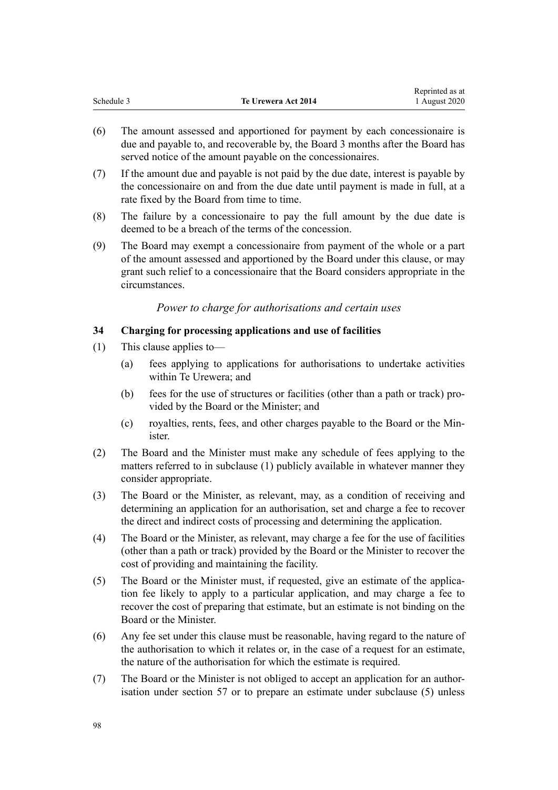<span id="page-97-0"></span>

|            |                     | Reprinted as at |
|------------|---------------------|-----------------|
| Schedule 3 | Te Urewera Act 2014 | 1 August 2020   |

- (6) The amount assessed and apportioned for payment by each concessionaire is due and payable to, and recoverable by, the Board 3 months after the Board has served notice of the amount payable on the concessionaires.
- (7) If the amount due and payable is not paid by the due date, interest is payable by the concessionaire on and from the due date until payment is made in full, at a rate fixed by the Board from time to time.
- (8) The failure by a concessionaire to pay the full amount by the due date is deemed to be a breach of the terms of the concession.
- (9) The Board may exempt a concessionaire from payment of the whole or a part of the amount assessed and apportioned by the Board under this clause, or may grant such relief to a concessionaire that the Board considers appropriate in the circumstances.

#### *Power to charge for authorisations and certain uses*

#### **34 Charging for processing applications and use of facilities**

- (1) This clause applies to—
	- (a) fees applying to applications for authorisations to undertake activities within Te Urewera; and
	- (b) fees for the use of structures or facilities (other than a path or track) provided by the Board or the Minister; and
	- (c) royalties, rents, fees, and other charges payable to the Board or the Minister.
- (2) The Board and the Minister must make any schedule of fees applying to the matters referred to in subclause (1) publicly available in whatever manner they consider appropriate.
- (3) The Board or the Minister, as relevant, may, as a condition of receiving and determining an application for an authorisation, set and charge a fee to recover the direct and indirect costs of processing and determining the application.
- (4) The Board or the Minister, as relevant, may charge a fee for the use of facilities (other than a path or track) provided by the Board or the Minister to recover the cost of providing and maintaining the facility.
- (5) The Board or the Minister must, if requested, give an estimate of the application fee likely to apply to a particular application, and may charge a fee to recover the cost of preparing that estimate, but an estimate is not binding on the Board or the Minister.
- (6) Any fee set under this clause must be reasonable, having regard to the nature of the authorisation to which it relates or, in the case of a request for an estimate, the nature of the authorisation for which the estimate is required.
- (7) The Board or the Minister is not obliged to accept an application for an authorisation under [section 57](#page-30-0) or to prepare an estimate under subclause (5) unless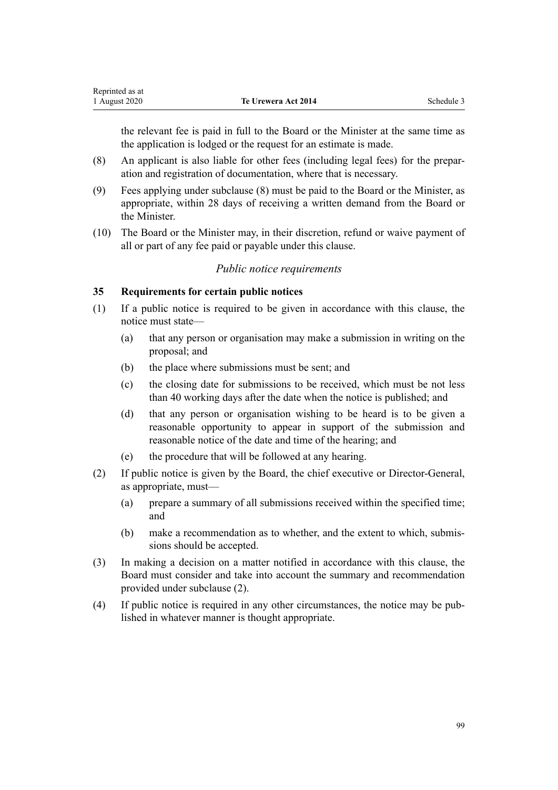<span id="page-98-0"></span>the relevant fee is paid in full to the Board or the Minister at the same time as the application is lodged or the request for an estimate is made.

- (8) An applicant is also liable for other fees (including legal fees) for the preparation and registration of documentation, where that is necessary.
- (9) Fees applying under subclause (8) must be paid to the Board or the Minister, as appropriate, within 28 days of receiving a written demand from the Board or the Minister.
- (10) The Board or the Minister may, in their discretion, refund or waive payment of all or part of any fee paid or payable under this clause.

#### *Public notice requirements*

### **35 Requirements for certain public notices**

- (1) If a public notice is required to be given in accordance with this clause, the notice must state—
	- (a) that any person or organisation may make a submission in writing on the proposal; and
	- (b) the place where submissions must be sent; and
	- (c) the closing date for submissions to be received, which must be not less than 40 working days after the date when the notice is published; and
	- (d) that any person or organisation wishing to be heard is to be given a reasonable opportunity to appear in support of the submission and reasonable notice of the date and time of the hearing; and
	- (e) the procedure that will be followed at any hearing.
- (2) If public notice is given by the Board, the chief executive or Director-General, as appropriate, must—
	- (a) prepare a summary of all submissions received within the specified time; and
	- (b) make a recommendation as to whether, and the extent to which, submissions should be accepted.
- (3) In making a decision on a matter notified in accordance with this clause, the Board must consider and take into account the summary and recommendation provided under subclause (2).
- (4) If public notice is required in any other circumstances, the notice may be published in whatever manner is thought appropriate.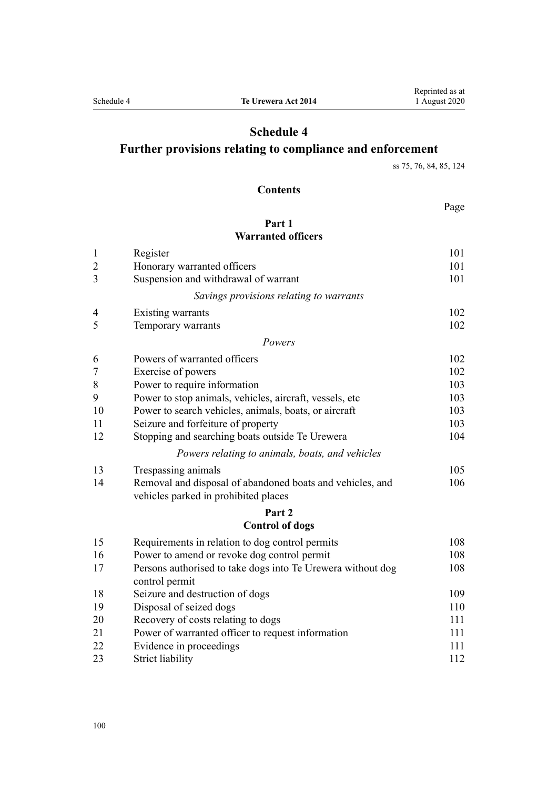## **Schedule 4**

## **Further provisions relating to compliance and enforcement**

[ss 75, 76](#page-38-0), [84, 85](#page-42-0), [124](#page-61-0)

## **Contents**

Page

## **[Part 1](#page-100-0) [Warranted officers](#page-100-0)**

| $\mathbf{1}$   | Register                                                                                          | 101 |
|----------------|---------------------------------------------------------------------------------------------------|-----|
| $\overline{c}$ | Honorary warranted officers                                                                       | 101 |
| 3              | Suspension and withdrawal of warrant                                                              | 101 |
|                | Savings provisions relating to warrants                                                           |     |
| 4              | Existing warrants                                                                                 | 102 |
| 5              | Temporary warrants                                                                                | 102 |
|                | Powers                                                                                            |     |
| 6              | Powers of warranted officers                                                                      | 102 |
| $\overline{7}$ | Exercise of powers                                                                                | 102 |
| 8              | Power to require information                                                                      | 103 |
| 9              | Power to stop animals, vehicles, aircraft, vessels, etc                                           | 103 |
| 10             | Power to search vehicles, animals, boats, or aircraft                                             | 103 |
| 11             | Seizure and forfeiture of property                                                                | 103 |
| 12             | Stopping and searching boats outside Te Urewera                                                   | 104 |
|                | Powers relating to animals, boats, and vehicles                                                   |     |
| 13             | Trespassing animals                                                                               | 105 |
| 14             | Removal and disposal of abandoned boats and vehicles, and<br>vehicles parked in prohibited places | 106 |
|                | Part 2                                                                                            |     |
|                | <b>Control of dogs</b>                                                                            |     |
| 15             | Requirements in relation to dog control permits                                                   | 108 |
| 16             | Power to amend or revoke dog control permit                                                       | 108 |
| 17             | Persons authorised to take dogs into Te Urewera without dog<br>control permit                     | 108 |
| 18             | Seizure and destruction of dogs                                                                   | 109 |
| 19             | Disposal of seized dogs                                                                           | 110 |
| 20             | Recovery of costs relating to dogs                                                                | 111 |
| 21             | Power of warranted officer to request information                                                 | 111 |
| 22             | Evidence in proceedings                                                                           | 111 |
| 23             | <b>Strict liability</b>                                                                           | 112 |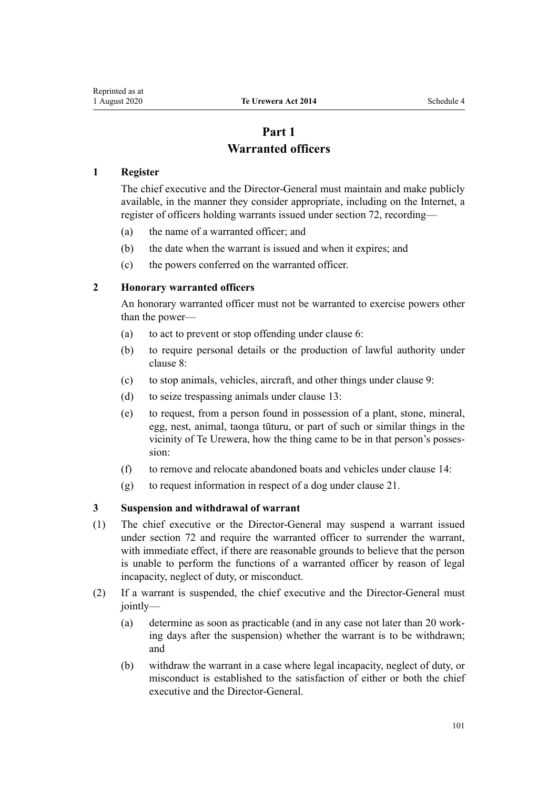## **Part 1 Warranted officers**

#### <span id="page-100-0"></span>**1 Register**

The chief executive and the Director-General must maintain and make publicly available, in the manner they consider appropriate, including on the Internet, a register of officers holding warrants issued under [section 72,](#page-37-0) recording—

- (a) the name of a warranted officer; and
- (b) the date when the warrant is issued and when it expires; and
- (c) the powers conferred on the warranted officer.

#### **2 Honorary warranted officers**

An honorary warranted officer must not be warranted to exercise powers other than the power—

- (a) to act to prevent or stop offending under [clause 6:](#page-101-0)
- (b) to require personal details or the production of lawful authority under [clause 8:](#page-102-0)
- (c) to stop animals, vehicles, aircraft, and other things under [clause 9](#page-102-0):
- (d) to seize trespassing animals under [clause 13:](#page-104-0)
- (e) to request, from a person found in possession of a plant, stone, mineral, egg, nest, animal, taonga tūturu, or part of such or similar things in the vicinity of Te Urewera, how the thing came to be in that person's possession:
- (f) to remove and relocate abandoned boats and vehicles under [clause 14](#page-105-0):
- (g) to request information in respect of a dog under [clause 21](#page-110-0).

#### **3 Suspension and withdrawal of warrant**

- (1) The chief executive or the Director-General may suspend a warrant issued under [section 72](#page-37-0) and require the warranted officer to surrender the warrant, with immediate effect, if there are reasonable grounds to believe that the person is unable to perform the functions of a warranted officer by reason of legal incapacity, neglect of duty, or misconduct.
- (2) If a warrant is suspended, the chief executive and the Director-General must jointly—
	- (a) determine as soon as practicable (and in any case not later than 20 working days after the suspension) whether the warrant is to be withdrawn; and
	- (b) withdraw the warrant in a case where legal incapacity, neglect of duty, or misconduct is established to the satisfaction of either or both the chief executive and the Director-General.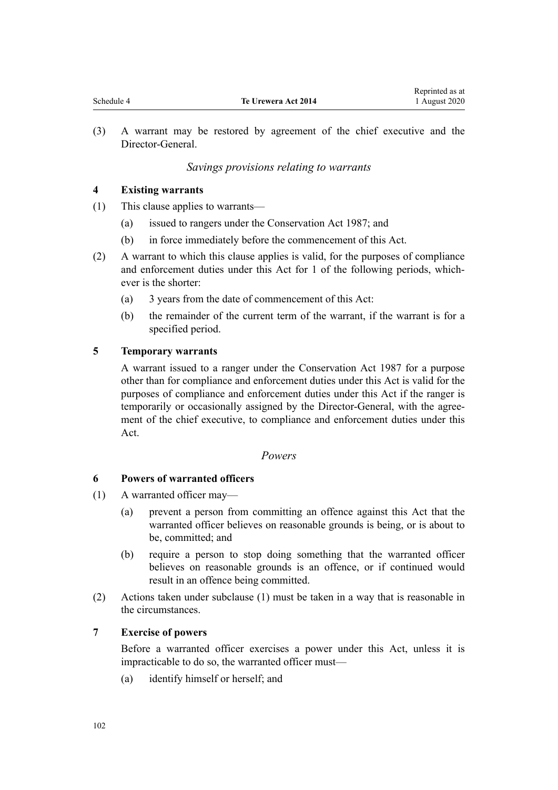Reprinted as at

<span id="page-101-0"></span>(3) A warrant may be restored by agreement of the chief executive and the Director-General.

## *Savings provisions relating to warrants*

## **4 Existing warrants**

- (1) This clause applies to warrants—
	- (a) issued to rangers under the Conservation Act 1987; and
	- (b) in force immediately before the commencement of this Act.
- (2) A warrant to which this clause applies is valid, for the purposes of compliance and enforcement duties under this Act for 1 of the following periods, whichever is the shorter:
	- (a) 3 years from the date of commencement of this Act:
	- (b) the remainder of the current term of the warrant, if the warrant is for a specified period.

## **5 Temporary warrants**

A warrant issued to a ranger under the Conservation Act 1987 for a purpose other than for compliance and enforcement duties under this Act is valid for the purposes of compliance and enforcement duties under this Act if the ranger is temporarily or occasionally assigned by the Director-General, with the agreement of the chief executive, to compliance and enforcement duties under this Act.

## *Powers*

## **6 Powers of warranted officers**

- (1) A warranted officer may—
	- (a) prevent a person from committing an offence against this Act that the warranted officer believes on reasonable grounds is being, or is about to be, committed; and
	- (b) require a person to stop doing something that the warranted officer believes on reasonable grounds is an offence, or if continued would result in an offence being committed.
- (2) Actions taken under subclause (1) must be taken in a way that is reasonable in the circumstances.

## **7 Exercise of powers**

Before a warranted officer exercises a power under this Act, unless it is impracticable to do so, the warranted officer must—

(a) identify himself or herself; and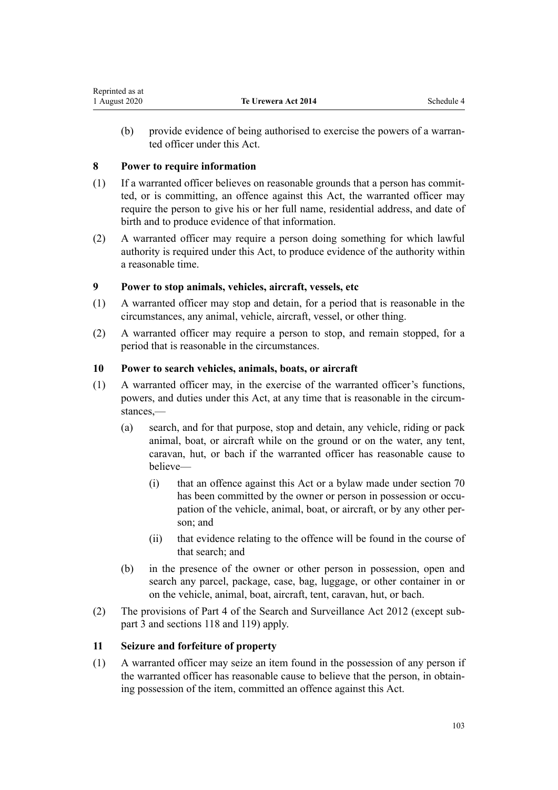<span id="page-102-0"></span>(b) provide evidence of being authorised to exercise the powers of a warranted officer under this Act.

## **8 Power to require information**

- (1) If a warranted officer believes on reasonable grounds that a person has committed, or is committing, an offence against this Act, the warranted officer may require the person to give his or her full name, residential address, and date of birth and to produce evidence of that information.
- (2) A warranted officer may require a person doing something for which lawful authority is required under this Act, to produce evidence of the authority within a reasonable time.

## **9 Power to stop animals, vehicles, aircraft, vessels, etc**

- (1) A warranted officer may stop and detain, for a period that is reasonable in the circumstances, any animal, vehicle, aircraft, vessel, or other thing.
- (2) A warranted officer may require a person to stop, and remain stopped, for a period that is reasonable in the circumstances.

## **10 Power to search vehicles, animals, boats, or aircraft**

- (1) A warranted officer may, in the exercise of the warranted officer's functions, powers, and duties under this Act, at any time that is reasonable in the circumstances,—
	- (a) search, and for that purpose, stop and detain, any vehicle, riding or pack animal, boat, or aircraft while on the ground or on the water, any tent, caravan, hut, or bach if the warranted officer has reasonable cause to believe—
		- (i) that an offence against this Act or a bylaw made under [section 70](#page-35-0) has been committed by the owner or person in possession or occupation of the vehicle, animal, boat, or aircraft, or by any other person; and
		- (ii) that evidence relating to the offence will be found in the course of that search; and
	- (b) in the presence of the owner or other person in possession, open and search any parcel, package, case, bag, luggage, or other container in or on the vehicle, animal, boat, aircraft, tent, caravan, hut, or bach.
- (2) The provisions of [Part 4](http://legislation.govt.nz/pdflink.aspx?id=DLM2136770) of the Search and Surveillance Act 2012 (except [sub](http://legislation.govt.nz/pdflink.aspx?id=DLM2136781)[part 3](http://legislation.govt.nz/pdflink.aspx?id=DLM2136781) and [sections 118](http://legislation.govt.nz/pdflink.aspx?id=DLM2136813) and [119\)](http://legislation.govt.nz/pdflink.aspx?id=DLM2136815) apply.

## **11 Seizure and forfeiture of property**

(1) A warranted officer may seize an item found in the possession of any person if the warranted officer has reasonable cause to believe that the person, in obtaining possession of the item, committed an offence against this Act.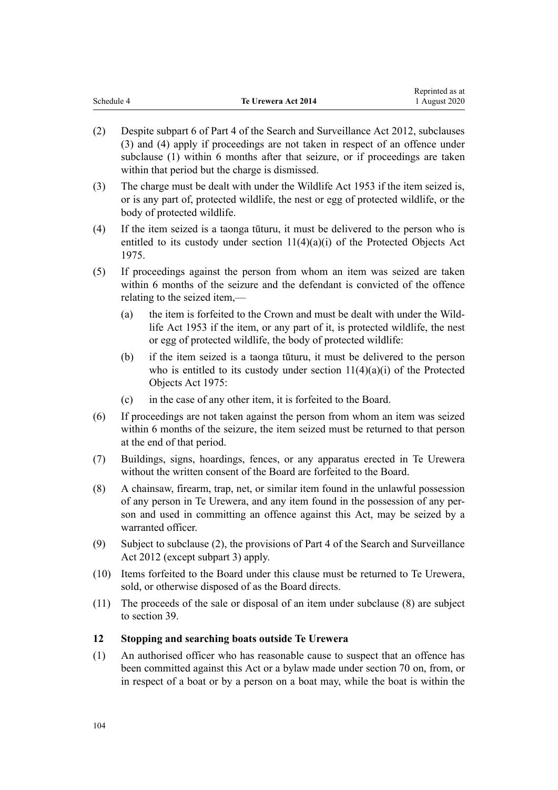<span id="page-103-0"></span>

|            |                     | Reprinted as at |
|------------|---------------------|-----------------|
| Schedule 4 | Te Urewera Act 2014 | 1 August 2020   |

- (2) Despite [subpart 6](http://legislation.govt.nz/pdflink.aspx?id=DLM2136860) of Part 4 of the Search and Surveillance Act 2012, subclauses (3) and (4) apply if proceedings are not taken in respect of an offence under subclause (1) within 6 months after that seizure, or if proceedings are taken within that period but the charge is dismissed.
- (3) The charge must be dealt with under the Wildlife Act 1953 if the item seized is, or is any part of, protected wildlife, the nest or egg of protected wildlife, or the body of protected wildlife.
- (4) If the item seized is a taonga tūturu, it must be delivered to the person who is entitled to its custody under [section 11\(4\)\(a\)\(i\)](http://legislation.govt.nz/pdflink.aspx?id=DLM432422) of the Protected Objects Act 1975.
- (5) If proceedings against the person from whom an item was seized are taken within 6 months of the seizure and the defendant is convicted of the offence relating to the seized item,—
	- (a) the item is forfeited to the Crown and must be dealt with under the [Wild](http://legislation.govt.nz/pdflink.aspx?id=DLM276813)[life Act 1953](http://legislation.govt.nz/pdflink.aspx?id=DLM276813) if the item, or any part of it, is protected wildlife, the nest or egg of protected wildlife, the body of protected wildlife:
	- (b) if the item seized is a taonga tūturu, it must be delivered to the person who is entitled to its custody under section  $11(4)(a)(i)$  of the Protected Objects Act 1975:
	- (c) in the case of any other item, it is forfeited to the Board.
- (6) If proceedings are not taken against the person from whom an item was seized within 6 months of the seizure, the item seized must be returned to that person at the end of that period.
- (7) Buildings, signs, hoardings, fences, or any apparatus erected in Te Urewera without the written consent of the Board are forfeited to the Board.
- (8) A chainsaw, firearm, trap, net, or similar item found in the unlawful possession of any person in Te Urewera, and any item found in the possession of any person and used in committing an offence against this Act, may be seized by a warranted officer.
- (9) Subject to subclause (2), the provisions of [Part 4](http://legislation.govt.nz/pdflink.aspx?id=DLM2136770) of the Search and Surveillance Act 2012 (except subpart 3) apply.
- (10) Items forfeited to the Board under this clause must be returned to Te Urewera, sold, or otherwise disposed of as the Board directs.
- (11) The proceeds of the sale or disposal of an item under subclause (8) are subject to [section 39.](#page-23-0)

## **12 Stopping and searching boats outside Te Urewera**

(1) An authorised officer who has reasonable cause to suspect that an offence has been committed against this Act or a bylaw made under [section 70](#page-35-0) on, from, or in respect of a boat or by a person on a boat may, while the boat is within the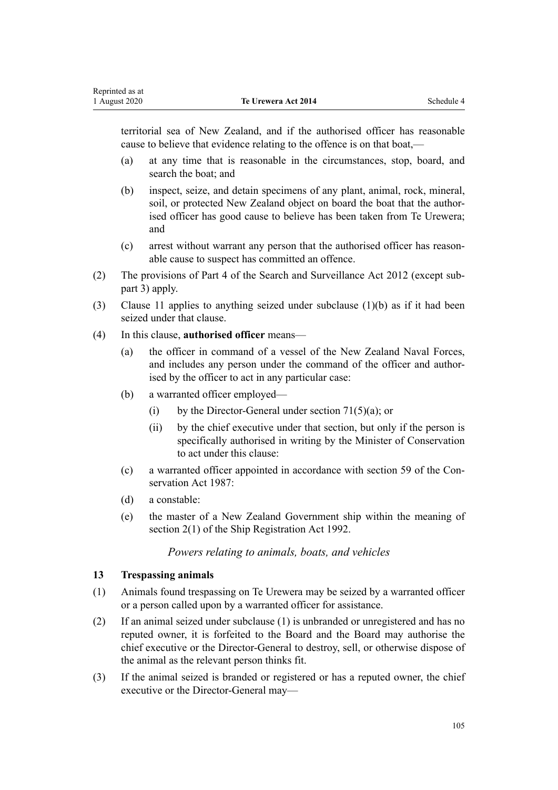<span id="page-104-0"></span>territorial sea of New Zealand, and if the authorised officer has reasonable cause to believe that evidence relating to the offence is on that boat,—

- (a) at any time that is reasonable in the circumstances, stop, board, and search the boat; and
- (b) inspect, seize, and detain specimens of any plant, animal, rock, mineral, soil, or protected New Zealand object on board the boat that the authorised officer has good cause to believe has been taken from Te Urewera; and
- (c) arrest without warrant any person that the authorised officer has reasonable cause to suspect has committed an offence.
- (2) The provisions of [Part 4](http://legislation.govt.nz/pdflink.aspx?id=DLM2136770) of the Search and Surveillance Act 2012 (except subpart 3) apply.
- (3) [Clause 11](#page-102-0) applies to anything seized under subclause (1)(b) as if it had been seized under that clause.
- (4) In this clause, **authorised officer** means—
	- (a) the officer in command of a vessel of the New Zealand Naval Forces, and includes any person under the command of the officer and authorised by the officer to act in any particular case:
	- (b) a warranted officer employed—
		- (i) by the Director-General under section  $71(5)(a)$ ; or
		- (ii) by the chief executive under that section, but only if the person is specifically authorised in writing by the Minister of Conservation to act under this clause:
	- (c) a warranted officer appointed in accordance with [section 59](http://legislation.govt.nz/pdflink.aspx?id=DLM106939) of the Conservation Act 1987:
	- (d) a constable:
	- (e) the master of a New Zealand Government ship within the meaning of [section 2\(1\)](http://legislation.govt.nz/pdflink.aspx?id=DLM275032) of the Ship Registration Act 1992.

## *Powers relating to animals, boats, and vehicles*

#### **13 Trespassing animals**

- (1) Animals found trespassing on Te Urewera may be seized by a warranted officer or a person called upon by a warranted officer for assistance.
- (2) If an animal seized under subclause (1) is unbranded or unregistered and has no reputed owner, it is forfeited to the Board and the Board may authorise the chief executive or the Director-General to destroy, sell, or otherwise dispose of the animal as the relevant person thinks fit.
- (3) If the animal seized is branded or registered or has a reputed owner, the chief executive or the Director-General may—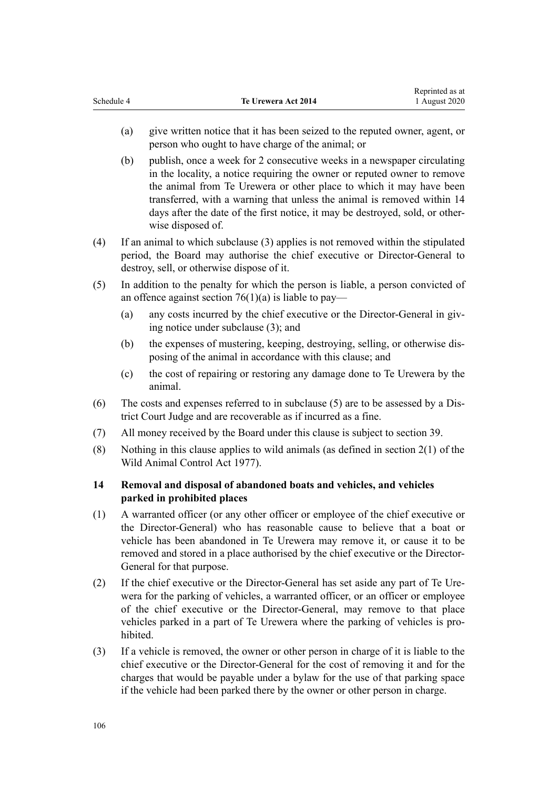- <span id="page-105-0"></span>(a) give written notice that it has been seized to the reputed owner, agent, or person who ought to have charge of the animal; or
- (b) publish, once a week for 2 consecutive weeks in a newspaper circulating in the locality, a notice requiring the owner or reputed owner to remove the animal from Te Urewera or other place to which it may have been transferred, with a warning that unless the animal is removed within 14 days after the date of the first notice, it may be destroyed, sold, or otherwise disposed of.
- (4) If an animal to which subclause (3) applies is not removed within the stipulated period, the Board may authorise the chief executive or Director-General to destroy, sell, or otherwise dispose of it.
- (5) In addition to the penalty for which the person is liable, a person convicted of an offence against section  $76(1)(a)$  is liable to pay—
	- (a) any costs incurred by the chief executive or the Director-General in giving notice under subclause (3); and
	- (b) the expenses of mustering, keeping, destroying, selling, or otherwise disposing of the animal in accordance with this clause; and
	- (c) the cost of repairing or restoring any damage done to Te Urewera by the animal.
- (6) The costs and expenses referred to in subclause (5) are to be assessed by a District Court Judge and are recoverable as if incurred as a fine.
- (7) All money received by the Board under this clause is subject to [section 39.](#page-23-0)
- (8) Nothing in this clause applies to wild animals (as defined in [section 2\(1\)](http://legislation.govt.nz/pdflink.aspx?id=DLM16628) of the Wild Animal Control Act 1977).

## **14 Removal and disposal of abandoned boats and vehicles, and vehicles parked in prohibited places**

- (1) A warranted officer (or any other officer or employee of the chief executive or the Director-General) who has reasonable cause to believe that a boat or vehicle has been abandoned in Te Urewera may remove it, or cause it to be removed and stored in a place authorised by the chief executive or the Director-General for that purpose.
- (2) If the chief executive or the Director-General has set aside any part of Te Urewera for the parking of vehicles, a warranted officer, or an officer or employee of the chief executive or the Director-General, may remove to that place vehicles parked in a part of Te Urewera where the parking of vehicles is prohibited.
- (3) If a vehicle is removed, the owner or other person in charge of it is liable to the chief executive or the Director-General for the cost of removing it and for the charges that would be payable under a bylaw for the use of that parking space if the vehicle had been parked there by the owner or other person in charge.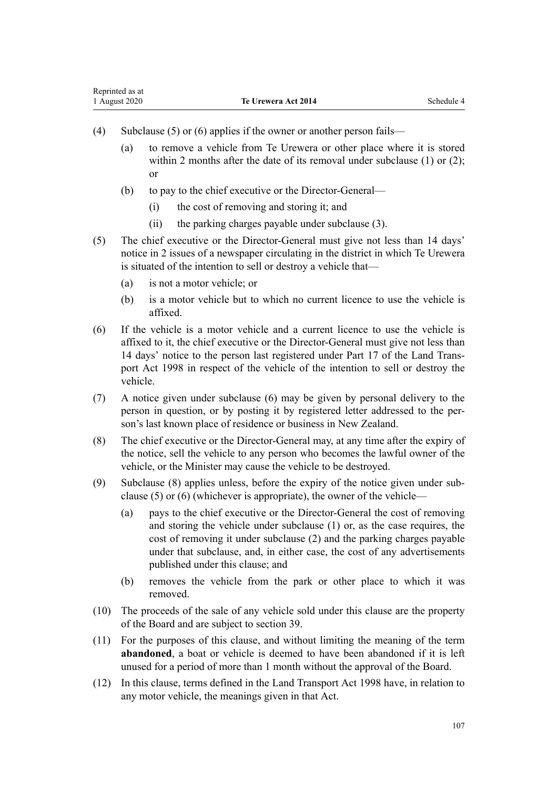- (4) Subclause (5) or (6) applies if the owner or another person fails—
	- (a) to remove a vehicle from Te Urewera or other place where it is stored within 2 months after the date of its removal under subclause (1) or (2): or
	- (b) to pay to the chief executive or the Director-General—
		- (i) the cost of removing and storing it; and
		- (ii) the parking charges payable under subclause (3).
- (5) The chief executive or the Director-General must give not less than 14 days' notice in 2 issues of a newspaper circulating in the district in which Te Urewera is situated of the intention to sell or destroy a vehicle that—
	- (a) is not a motor vehicle; or
	- (b) is a motor vehicle but to which no current licence to use the vehicle is affixed.
- (6) If the vehicle is a motor vehicle and a current licence to use the vehicle is affixed to it, the chief executive or the Director-General must give not less than 14 days' notice to the person last registered under [Part 17](http://legislation.govt.nz/pdflink.aspx?id=DLM2214226) of the Land Transport Act 1998 in respect of the vehicle of the intention to sell or destroy the vehicle.
- (7) A notice given under subclause (6) may be given by personal delivery to the person in question, or by posting it by registered letter addressed to the person's last known place of residence or business in New Zealand.
- (8) The chief executive or the Director-General may, at any time after the expiry of the notice, sell the vehicle to any person who becomes the lawful owner of the vehicle, or the Minister may cause the vehicle to be destroyed.
- (9) Subclause (8) applies unless, before the expiry of the notice given under subclause (5) or (6) (whichever is appropriate), the owner of the vehicle—
	- (a) pays to the chief executive or the Director-General the cost of removing and storing the vehicle under subclause (1) or, as the case requires, the cost of removing it under subclause (2) and the parking charges payable under that subclause, and, in either case, the cost of any advertisements published under this clause; and
	- (b) removes the vehicle from the park or other place to which it was removed.
- (10) The proceeds of the sale of any vehicle sold under this clause are the property of the Board and are subject to [section 39](#page-23-0).
- (11) For the purposes of this clause, and without limiting the meaning of the term **abandoned**, a boat or vehicle is deemed to have been abandoned if it is left unused for a period of more than 1 month without the approval of the Board.
- (12) In this clause, terms defined in the [Land Transport Act 1998](http://legislation.govt.nz/pdflink.aspx?id=DLM433612) have, in relation to any motor vehicle, the meanings given in that Act.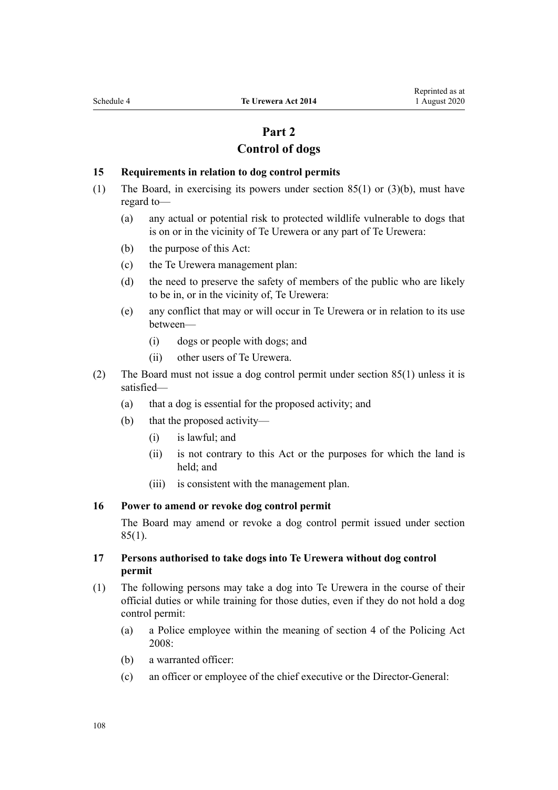# **Part 2**

## **Control of dogs**

#### <span id="page-107-0"></span>**15 Requirements in relation to dog control permits**

- (1) The Board, in exercising its powers under [section 85\(1\) or \(3\)\(b\),](#page-42-0) must have regard to—
	- (a) any actual or potential risk to protected wildlife vulnerable to dogs that is on or in the vicinity of Te Urewera or any part of Te Urewera:
	- (b) the purpose of this Act:
	- (c) the Te Urewera management plan:
	- (d) the need to preserve the safety of members of the public who are likely to be in, or in the vicinity of, Te Urewera:
	- (e) any conflict that may or will occur in Te Urewera or in relation to its use between—
		- (i) dogs or people with dogs; and
		- (ii) other users of Te Urewera.
- (2) The Board must not issue a dog control permit under [section 85\(1\)](#page-42-0) unless it is satisfied—
	- (a) that a dog is essential for the proposed activity; and
	- (b) that the proposed activity—
		- (i) is lawful; and
		- (ii) is not contrary to this Act or the purposes for which the land is held; and
		- (iii) is consistent with the management plan.

#### **16 Power to amend or revoke dog control permit**

The Board may amend or revoke a dog control permit issued under [section](#page-42-0)  $85(1)$ .

### **17 Persons authorised to take dogs into Te Urewera without dog control permit**

- (1) The following persons may take a dog into Te Urewera in the course of their official duties or while training for those duties, even if they do not hold a dog control permit:
	- (a) a Police employee within the meaning of [section 4](http://legislation.govt.nz/pdflink.aspx?id=DLM1102132) of the Policing Act 2008:
	- (b) a warranted officer:
	- (c) an officer or employee of the chief executive or the Director-General: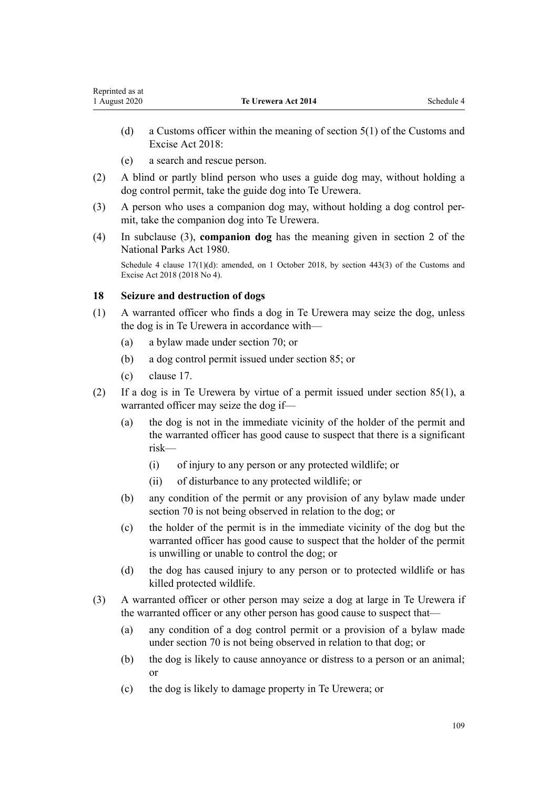- (d) a Customs officer within the meaning of [section 5\(1\)](http://legislation.govt.nz/pdflink.aspx?id=DLM7038971) of the Customs and Excise Act 2018:
- (e) a search and rescue person.

<span id="page-108-0"></span>Reprinted as at

- (2) A blind or partly blind person who uses a guide dog may, without holding a dog control permit, take the guide dog into Te Urewera.
- (3) A person who uses a companion dog may, without holding a dog control permit, take the companion dog into Te Urewera.
- (4) In subclause (3), **companion dog** has the meaning given in [section 2](http://legislation.govt.nz/pdflink.aspx?id=DLM36968) of the National Parks Act 1980.

Schedule 4 clause  $17(1)(d)$ : amended, on 1 October 2018, by [section 443\(3\)](http://legislation.govt.nz/pdflink.aspx?id=DLM7039957) of the Customs and Excise Act 2018 (2018 No 4).

### **18 Seizure and destruction of dogs**

- (1) A warranted officer who finds a dog in Te Urewera may seize the dog, unless the dog is in Te Urewera in accordance with—
	- (a) a bylaw made under [section 70;](#page-35-0) or
	- (b) a dog control permit issued under [section 85](#page-42-0); or
	- (c) [clause 17](#page-107-0).
- (2) If a dog is in Te Urewera by virtue of a permit issued under [section 85\(1\),](#page-42-0) a warranted officer may seize the dog if—
	- (a) the dog is not in the immediate vicinity of the holder of the permit and the warranted officer has good cause to suspect that there is a significant risk—
		- (i) of injury to any person or any protected wildlife; or
		- (ii) of disturbance to any protected wildlife; or
	- (b) any condition of the permit or any provision of any bylaw made under [section 70](#page-35-0) is not being observed in relation to the dog; or
	- (c) the holder of the permit is in the immediate vicinity of the dog but the warranted officer has good cause to suspect that the holder of the permit is unwilling or unable to control the dog; or
	- (d) the dog has caused injury to any person or to protected wildlife or has killed protected wildlife.
- (3) A warranted officer or other person may seize a dog at large in Te Urewera if the warranted officer or any other person has good cause to suspect that—
	- (a) any condition of a dog control permit or a provision of a bylaw made under [section 70](#page-35-0) is not being observed in relation to that dog; or
	- (b) the dog is likely to cause annoyance or distress to a person or an animal; or
	- (c) the dog is likely to damage property in Te Urewera; or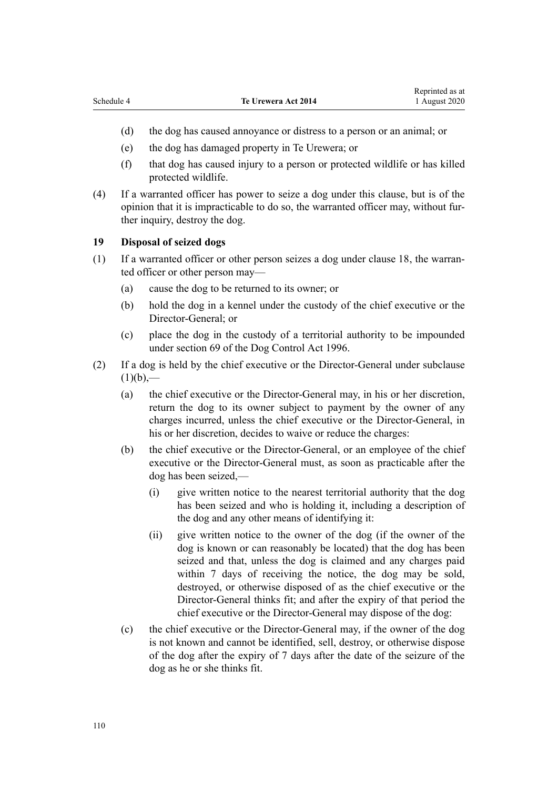Reprinted as at

- (d) the dog has caused annoyance or distress to a person or an animal; or
- (e) the dog has damaged property in Te Urewera; or
- (f) that dog has caused injury to a person or protected wildlife or has killed protected wildlife.
- (4) If a warranted officer has power to seize a dog under this clause, but is of the opinion that it is impracticable to do so, the warranted officer may, without further inquiry, destroy the dog.

## **19 Disposal of seized dogs**

- (1) If a warranted officer or other person seizes a dog under [clause 18,](#page-108-0) the warranted officer or other person may—
	- (a) cause the dog to be returned to its owner; or
	- (b) hold the dog in a kennel under the custody of the chief executive or the Director-General; or
	- (c) place the dog in the custody of a territorial authority to be impounded under [section 69](http://legislation.govt.nz/pdflink.aspx?id=DLM375442) of the Dog Control Act 1996.
- (2) If a dog is held by the chief executive or the Director-General under subclause  $(1)(b)$ ,—
	- (a) the chief executive or the Director-General may, in his or her discretion, return the dog to its owner subject to payment by the owner of any charges incurred, unless the chief executive or the Director-General, in his or her discretion, decides to waive or reduce the charges:
	- (b) the chief executive or the Director-General, or an employee of the chief executive or the Director-General must, as soon as practicable after the dog has been seized,—
		- (i) give written notice to the nearest territorial authority that the dog has been seized and who is holding it, including a description of the dog and any other means of identifying it:
		- (ii) give written notice to the owner of the dog (if the owner of the dog is known or can reasonably be located) that the dog has been seized and that, unless the dog is claimed and any charges paid within 7 days of receiving the notice, the dog may be sold, destroyed, or otherwise disposed of as the chief executive or the Director-General thinks fit; and after the expiry of that period the chief executive or the Director-General may dispose of the dog:
	- (c) the chief executive or the Director-General may, if the owner of the dog is not known and cannot be identified, sell, destroy, or otherwise dispose of the dog after the expiry of 7 days after the date of the seizure of the dog as he or she thinks fit.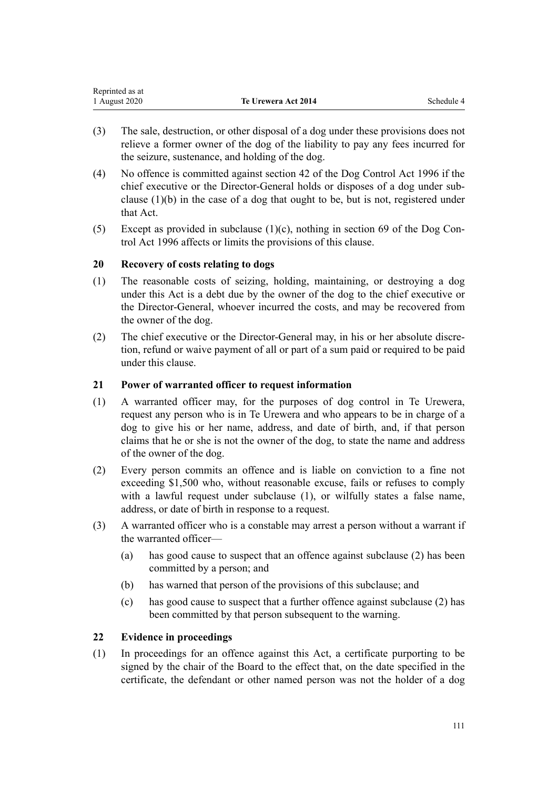| Reprinted as at |                            |            |
|-----------------|----------------------------|------------|
| 1 August 2020   | <b>Te Urewera Act 2014</b> | Schedule 4 |

- (3) The sale, destruction, or other disposal of a dog under these provisions does not relieve a former owner of the dog of the liability to pay any fees incurred for the seizure, sustenance, and holding of the dog.
- (4) No offence is committed against [section 42](http://legislation.govt.nz/pdflink.aspx?id=DLM375173) of the Dog Control Act 1996 if the chief executive or the Director-General holds or disposes of a dog under subclause (1)(b) in the case of a dog that ought to be, but is not, registered under that Act.
- (5) Except as provided in subclause  $(1)(c)$ , nothing in [section 69](http://legislation.govt.nz/pdflink.aspx?id=DLM375442) of the Dog Control Act 1996 affects or limits the provisions of this clause.

### **20 Recovery of costs relating to dogs**

- (1) The reasonable costs of seizing, holding, maintaining, or destroying a dog under this Act is a debt due by the owner of the dog to the chief executive or the Director-General, whoever incurred the costs, and may be recovered from the owner of the dog.
- (2) The chief executive or the Director-General may, in his or her absolute discretion, refund or waive payment of all or part of a sum paid or required to be paid under this clause.

### **21 Power of warranted officer to request information**

- (1) A warranted officer may, for the purposes of dog control in Te Urewera, request any person who is in Te Urewera and who appears to be in charge of a dog to give his or her name, address, and date of birth, and, if that person claims that he or she is not the owner of the dog, to state the name and address of the owner of the dog.
- (2) Every person commits an offence and is liable on conviction to a fine not exceeding \$1,500 who, without reasonable excuse, fails or refuses to comply with a lawful request under subclause (1), or wilfully states a false name, address, or date of birth in response to a request.
- (3) A warranted officer who is a constable may arrest a person without a warrant if the warranted officer—
	- (a) has good cause to suspect that an offence against subclause (2) has been committed by a person; and
	- (b) has warned that person of the provisions of this subclause; and
	- (c) has good cause to suspect that a further offence against subclause (2) has been committed by that person subsequent to the warning.

### **22 Evidence in proceedings**

(1) In proceedings for an offence against this Act, a certificate purporting to be signed by the chair of the Board to the effect that, on the date specified in the certificate, the defendant or other named person was not the holder of a dog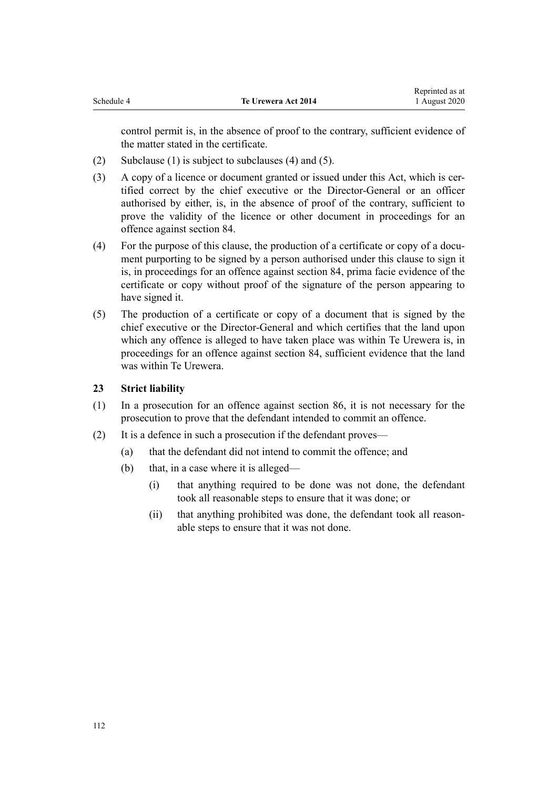control permit is, in the absence of proof to the contrary, sufficient evidence of the matter stated in the certificate.

- (2) Subclause (1) is subject to subclauses (4) and (5).
- (3) A copy of a licence or document granted or issued under this Act, which is certified correct by the chief executive or the Director-General or an officer authorised by either, is, in the absence of proof of the contrary, sufficient to prove the validity of the licence or other document in proceedings for an offence against [section 84.](#page-42-0)
- (4) For the purpose of this clause, the production of a certificate or copy of a document purporting to be signed by a person authorised under this clause to sign it is, in proceedings for an offence against [section 84](#page-42-0), prima facie evidence of the certificate or copy without proof of the signature of the person appearing to have signed it.
- (5) The production of a certificate or copy of a document that is signed by the chief executive or the Director-General and which certifies that the land upon which any offence is alleged to have taken place was within Te Urewera is, in proceedings for an offence against [section 84,](#page-42-0) sufficient evidence that the land was within Te Urewera.

## **23 Strict liability**

- (1) In a prosecution for an offence against [section 86,](#page-43-0) it is not necessary for the prosecution to prove that the defendant intended to commit an offence.
- (2) It is a defence in such a prosecution if the defendant proves—
	- (a) that the defendant did not intend to commit the offence; and
	- (b) that, in a case where it is alleged—
		- (i) that anything required to be done was not done, the defendant took all reasonable steps to ensure that it was done; or
		- (ii) that anything prohibited was done, the defendant took all reasonable steps to ensure that it was not done.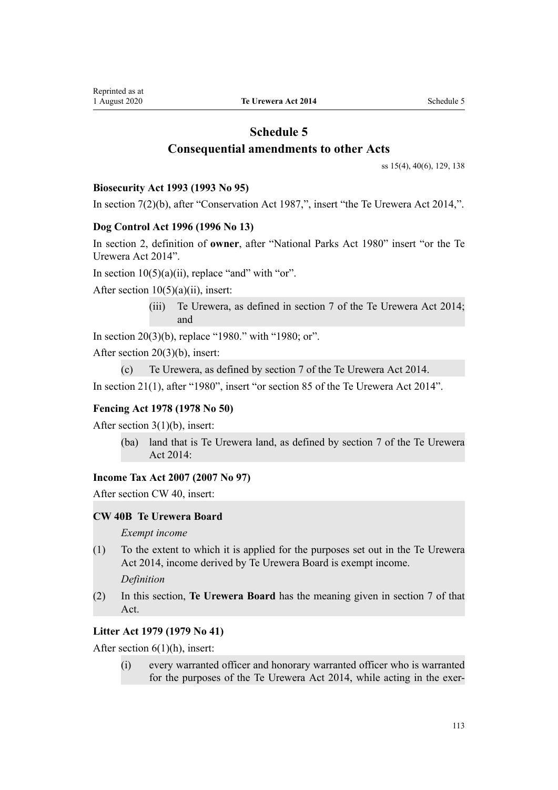# **Schedule 5 Consequential amendments to other Acts**

[ss 15\(4\)](#page-14-0), [40\(6\)](#page-24-0), [129](#page-63-0), [138](#page-67-0)

### **Biosecurity Act 1993 (1993 No 95)**

In [section 7\(2\)\(b\),](http://legislation.govt.nz/pdflink.aspx?id=DLM315227) after "Conservation Act 1987,", insert "the Te Urewera Act 2014,".

### **Dog Control Act 1996 (1996 No 13)**

In [section 2](http://legislation.govt.nz/pdflink.aspx?id=DLM374415), definition of **owner**, after "National Parks Act 1980" insert "or the Te Urewera Act 2014".

In section  $10(5)(a)(ii)$ , replace "and" with "or".

After section  $10(5)(a)(ii)$ , insert:

(iii) Te Urewera, as defined in section 7 of the Te Urewera Act 2014; and

In [section 20\(3\)\(b\)](http://legislation.govt.nz/pdflink.aspx?id=DLM374833), replace "1980." with "1980; or".

After [section 20\(3\)\(b\)](http://legislation.govt.nz/pdflink.aspx?id=DLM374833), insert:

```
(c) Te Urewera, as defined by section 7 of the Te Urewera Act 2014.
```
In [section 21\(1\)](http://legislation.govt.nz/pdflink.aspx?id=DLM374839), after "1980", insert "or section 85 of the Te Urewera Act 2014".

## **Fencing Act 1978 (1978 No 50)**

After [section 3\(1\)\(b\)](http://legislation.govt.nz/pdflink.aspx?id=DLM21842), insert:

(ba) land that is Te Urewera land, as defined by section 7 of the Te Urewera Act 2014:

## **Income Tax Act 2007 (2007 No 97)**

After [section CW 40,](http://legislation.govt.nz/pdflink.aspx?id=DLM1513267) insert:

## **CW 40B Te Urewera Board**

*Exempt income*

(1) To the extent to which it is applied for the purposes set out in the Te Urewera Act 2014, income derived by Te Urewera Board is exempt income.

*Definition*

(2) In this section, **Te Urewera Board** has the meaning given in section 7 of that Act.

## **Litter Act 1979 (1979 No 41)**

After [section 6\(1\)\(h\)](http://legislation.govt.nz/pdflink.aspx?id=DLM33430), insert:

(i) every warranted officer and honorary warranted officer who is warranted for the purposes of the Te Urewera Act 2014, while acting in the exer-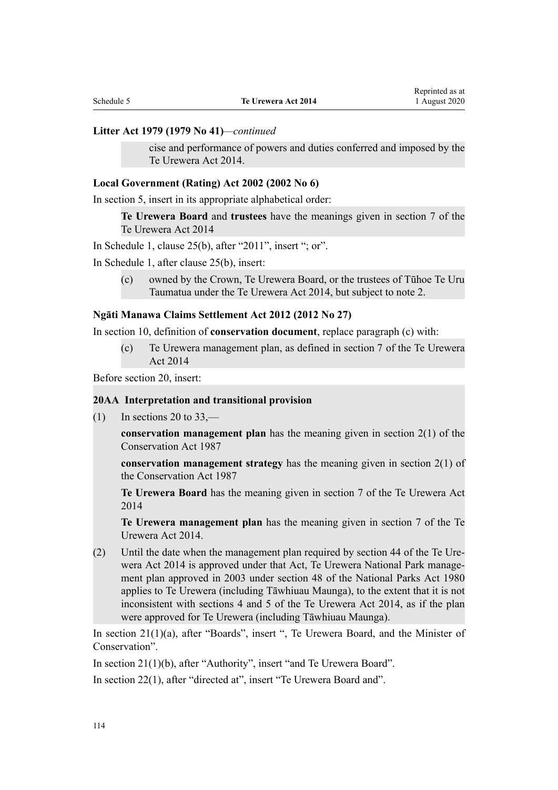#### **Litter Act 1979 (1979 No 41)***—continued*

cise and performance of powers and duties conferred and imposed by the Te Urewera Act 2014.

#### **Local Government (Rating) Act 2002 (2002 No 6)**

In [section 5,](http://legislation.govt.nz/pdflink.aspx?id=DLM132004) insert in its appropriate alphabetical order:

**Te Urewera Board** and **trustees** have the meanings given in section 7 of the Te Urewera Act 2014

In Schedule 1, [clause 25\(b\),](http://legislation.govt.nz/pdflink.aspx?id=DLM3682516) after "2011", insert "; or".

In Schedule 1, after [clause 25\(b\),](http://legislation.govt.nz/pdflink.aspx?id=DLM3682516) insert:

(c) owned by the Crown, Te Urewera Board, or the trustees of Tūhoe Te Uru Taumatua under the Te Urewera Act 2014, but subject to note 2.

#### **Ngāti Manawa Claims Settlement Act 2012 (2012 No 27)**

In [section 10,](http://legislation.govt.nz/pdflink.aspx?id=DLM3276821) definition of **conservation document**, replace paragraph (c) with:

(c) Te Urewera management plan, as defined in section 7 of the Te Urewera Act 2014

Before [section 20](http://legislation.govt.nz/pdflink.aspx?id=DLM3276973), insert:

### **20AA Interpretation and transitional provision**

 $(1)$  In sections 20 to 33,—

**conservation management plan** has the meaning given in section 2(1) of the Conservation Act 1987

**conservation management strategy** has the meaning given in section 2(1) of the Conservation Act 1987

**Te Urewera Board** has the meaning given in section 7 of the Te Urewera Act 2014

**Te Urewera management plan** has the meaning given in section 7 of the Te Urewera Act 2014.

(2) Until the date when the management plan required by section 44 of the Te Urewera Act 2014 is approved under that Act, Te Urewera National Park management plan approved in 2003 under section 48 of the National Parks Act 1980 applies to Te Urewera (including Tāwhiuau Maunga), to the extent that it is not inconsistent with sections 4 and 5 of the Te Urewera Act 2014, as if the plan were approved for Te Urewera (including Tāwhiuau Maunga).

In [section 21\(1\)\(a\)](http://legislation.govt.nz/pdflink.aspx?id=DLM3276974), after "Boards", insert ", Te Urewera Board, and the Minister of Conservation".

In [section 21\(1\)\(b\)](http://legislation.govt.nz/pdflink.aspx?id=DLM3276974), after "Authority", insert "and Te Urewera Board".

In [section 22\(1\)](http://legislation.govt.nz/pdflink.aspx?id=DLM3276975), after "directed at", insert "Te Urewera Board and".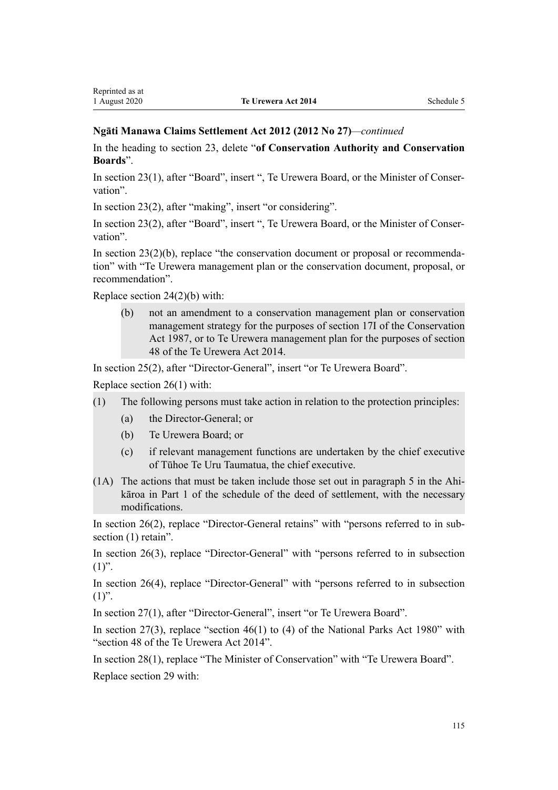### **Ngāti Manawa Claims Settlement Act 2012 (2012 No 27)***—continued*

In the heading to [section 23](http://legislation.govt.nz/pdflink.aspx?id=DLM3276976), delete "**of Conservation Authority and Conservation Boards**".

In [section 23\(1\)](http://legislation.govt.nz/pdflink.aspx?id=DLM3276976), after "Board", insert ", Te Urewera Board, or the Minister of Conservation".

In [section 23\(2\)](http://legislation.govt.nz/pdflink.aspx?id=DLM3276976), after "making", insert "or considering".

In [section 23\(2\)](http://legislation.govt.nz/pdflink.aspx?id=DLM3276976), after "Board", insert ", Te Urewera Board, or the Minister of Conservation".

In [section 23\(2\)\(b\),](http://legislation.govt.nz/pdflink.aspx?id=DLM3276976) replace "the conservation document or proposal or recommendation" with "Te Urewera management plan or the conservation document, proposal, or recommendation".

Replace [section 24\(2\)\(b\)](http://legislation.govt.nz/pdflink.aspx?id=DLM3276977) with:

(b) not an amendment to a conservation management plan or conservation management strategy for the purposes of section 17I of the Conservation Act 1987, or to Te Urewera management plan for the purposes of section 48 of the Te Urewera Act 2014.

In [section 25\(2\)](http://legislation.govt.nz/pdflink.aspx?id=DLM3276978), after "Director-General", insert "or Te Urewera Board".

Replace [section 26\(1\)](http://legislation.govt.nz/pdflink.aspx?id=DLM3276979) with:

- (1) The following persons must take action in relation to the protection principles:
	- (a) the Director-General; or
	- (b) Te Urewera Board; or
	- (c) if relevant management functions are undertaken by the chief executive of Tūhoe Te Uru Taumatua, the chief executive.
- (1A) The actions that must be taken include those set out in paragraph 5 in the Ahikāroa in Part 1 of the schedule of the deed of settlement, with the necessary modifications.

In [section 26\(2\),](http://legislation.govt.nz/pdflink.aspx?id=DLM3276979) replace "Director-General retains" with "persons referred to in subsection  $(1)$  retain".

In [section 26\(3\),](http://legislation.govt.nz/pdflink.aspx?id=DLM3276979) replace "Director-General" with "persons referred to in subsection  $(1)$ ".

In [section 26\(4\),](http://legislation.govt.nz/pdflink.aspx?id=DLM3276979) replace "Director-General" with "persons referred to in subsection  $(1)$ ".

In [section 27\(1\)](http://legislation.govt.nz/pdflink.aspx?id=DLM3276980), after "Director-General", insert "or Te Urewera Board".

In [section 27\(3\)](http://legislation.govt.nz/pdflink.aspx?id=DLM3276980), replace "section 46(1) to (4) of the National Parks Act 1980" with "section 48 of the Te Urewera Act 2014".

In [section 28\(1\)](http://legislation.govt.nz/pdflink.aspx?id=DLM3276981), replace "The Minister of Conservation" with "Te Urewera Board". Replace [section 29](http://legislation.govt.nz/pdflink.aspx?id=DLM3276982) with: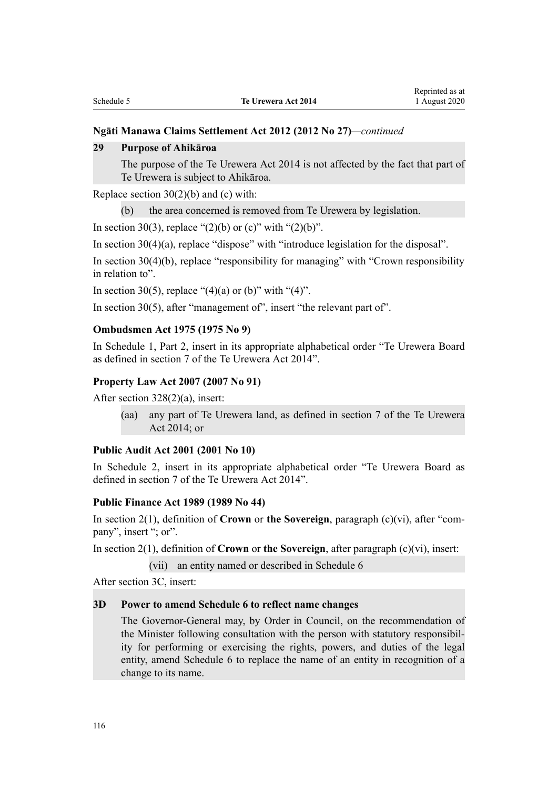### **Ngāti Manawa Claims Settlement Act 2012 (2012 No 27)***—continued*

#### **29 Purpose of Ahikāroa**

The purpose of the Te Urewera Act 2014 is not affected by the fact that part of Te Urewera is subject to Ahikāroa.

Replace section  $30(2)(b)$  and (c) with:

(b) the area concerned is removed from Te Urewera by legislation.

In [section 30\(3\)](http://legislation.govt.nz/pdflink.aspx?id=DLM3276983), replace "(2)(b) or (c)" with "(2)(b)".

In [section 30\(4\)\(a\),](http://legislation.govt.nz/pdflink.aspx?id=DLM3276983) replace "dispose" with "introduce legislation for the disposal".

In [section 30\(4\)\(b\)](http://legislation.govt.nz/pdflink.aspx?id=DLM3276983), replace "responsibility for managing" with "Crown responsibility in relation to".

In [section 30\(5\)](http://legislation.govt.nz/pdflink.aspx?id=DLM3276983), replace "(4)(a) or (b)" with "(4)".

In [section 30\(5\)](http://legislation.govt.nz/pdflink.aspx?id=DLM3276983), after "management of", insert "the relevant part of".

### **Ombudsmen Act 1975 (1975 No 9)**

In Schedule 1, [Part 2,](http://legislation.govt.nz/pdflink.aspx?id=DLM431296) insert in its appropriate alphabetical order "Te Urewera Board as defined in section 7 of the Te Urewera Act 2014".

#### **Property Law Act 2007 (2007 No 91)**

After [section 328\(2\)\(a\)](http://legislation.govt.nz/pdflink.aspx?id=DLM969585), insert:

(aa) any part of Te Urewera land, as defined in section 7 of the Te Urewera Act 2014; or

#### **Public Audit Act 2001 (2001 No 10)**

In [Schedule 2,](http://legislation.govt.nz/pdflink.aspx?id=DLM88987) insert in its appropriate alphabetical order "Te Urewera Board as defined in section 7 of the Te Urewera Act 2014".

#### **Public Finance Act 1989 (1989 No 44)**

In [section 2\(1\)](http://legislation.govt.nz/pdflink.aspx?id=DLM160819), definition of **Crown** or **the Sovereign**, paragraph (c)(vi), after "company", insert "; or".

In [section 2\(1\)](http://legislation.govt.nz/pdflink.aspx?id=DLM160819), definition of **Crown** or **the Sovereign**, after paragraph (c)(vi), insert:

(vii) an entity named or described in Schedule 6

After [section 3C](http://legislation.govt.nz/pdflink.aspx?id=DLM4576347), insert:

## **3D Power to amend Schedule 6 to reflect name changes**

The Governor-General may, by Order in Council, on the recommendation of the Minister following consultation with the person with statutory responsibility for performing or exercising the rights, powers, and duties of the legal entity, amend Schedule 6 to replace the name of an entity in recognition of a change to its name.